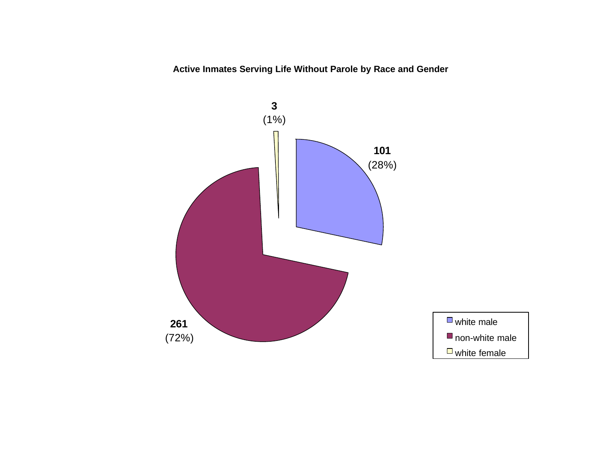**Active Inmates Serving Life Without Parole by Race and Gender**

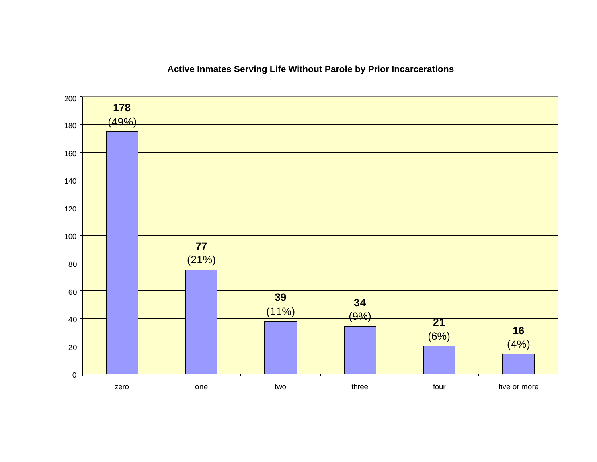### $(4%)$  (6%)  $(9%)$   $(11%)$   $(21%)$   $(49%)$  zero one two three four five or more

### **Active Inmates Serving Life Without Parole by Prior Incarcerations**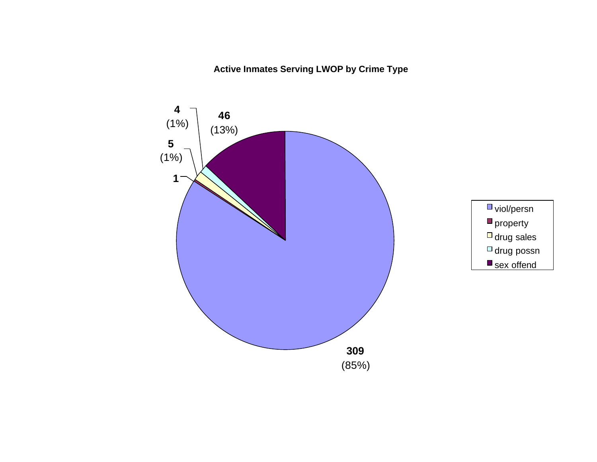### **Active Inmates Serving LWOP by Crime Type**

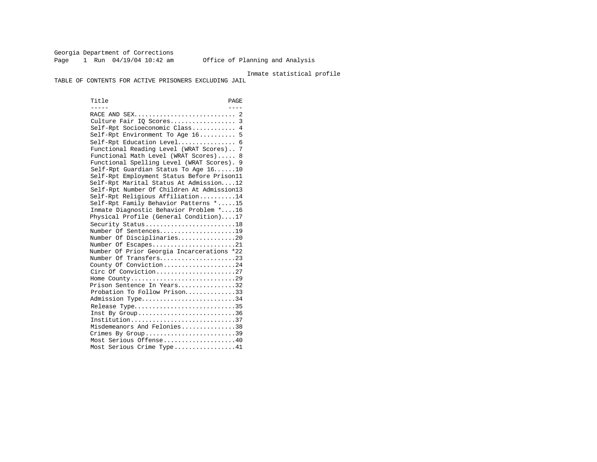Georgia Department of Corrections Page 1 Run 04/19/04 10:42 am Office of Planning and Analysis

#### Inmate statistical profile

TABLE OF CONTENTS FOR ACTIVE PRISONERS EXCLUDING JAIL

Title PAGE ----- ---- RACE AND SEX............................ 2 Culture Fair IQ Scores.................. 3 Self-Rpt Socioeconomic Class............ 4 Self-Rpt Environment To Age 16.......... 5 Self-Rpt Education Level................ 6 Functional Reading Level (WRAT Scores).. 7 Functional Math Level (WRAT Scores)..... 8 Functional Spelling Level (WRAT Scores). 9 Self-Rpt Guardian Status To Age 16......10 Self-Rpt Employment Status Before Prison11 Self-Rpt Marital Status At Admission....12 Self-Rpt Number Of Children At Admission13 Self-Rpt Religious Affiliation..........14 Self-Rpt Family Behavior Patterns \*.....15 Inmate Diagnostic Behavior Problem \*....16 Physical Profile (General Condition)....17 Security Status............................18 Number Of Sentences.....................19 Number Of Disciplinaries................20 Number Of Escapes.........................21 Number Of Prior Georgia Incarcerations \*22 Number Of Transfers.....................23 County Of Conviction....................24 Circ Of Conviction........................27 Home County.............................29 Prison Sentence In Years................32 Probation To Follow Prison..............33 Admission Type.............................34 Release Type................................35 Inst By Group..............................36 Institution.............................37 Misdemeanors And Felonies...............38 Crimes By Group.............................39 Most Serious Offense....................40 Most Serious Crime Type.................41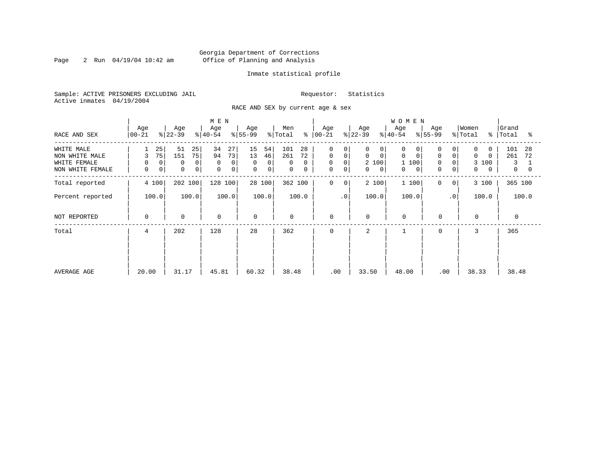Page 2 Run  $04/19/04$  10:42 am

### Inmate statistical profile

Sample: ACTIVE PRISONERS EXCLUDING JAIL Requestor: Statistics Active inmates 04/19/2004

RACE AND SEX by current age & sex

| RACE AND SEX                                                     | Age<br>$ 00-21 $                                         | Age<br>$ 22-39 $                                    | M E N<br>Age<br>$ 40-54 $                       | Age<br>$ 55-99 $                         | Men<br>% Total                             | Age<br>$8   00 - 21$                                                                            | Age<br>$ 22-39 $                                                     | <b>WOMEN</b><br>Age<br>$ 40-54 $                                  | Age<br>$ 55-99 $                                                      | Women<br>% Total<br>∻                                                           | Grand<br>Total<br>°≈                          |
|------------------------------------------------------------------|----------------------------------------------------------|-----------------------------------------------------|-------------------------------------------------|------------------------------------------|--------------------------------------------|-------------------------------------------------------------------------------------------------|----------------------------------------------------------------------|-------------------------------------------------------------------|-----------------------------------------------------------------------|---------------------------------------------------------------------------------|-----------------------------------------------|
| WHITE MALE<br>NON WHITE MALE<br>WHITE FEMALE<br>NON WHITE FEMALE | 25<br>75<br>3<br>$\mathbf 0$<br>0<br>0<br>0 <sup>1</sup> | 51<br>25<br>75<br>151<br>$\mathbf 0$<br>0<br>0<br>0 | 34<br>27<br>73<br>94<br>0<br>$\Omega$<br>0<br>0 | 15<br>54<br>13<br>46<br>0<br>0<br>0<br>0 | 101<br>28<br>261<br>72<br>0<br>0<br>0<br>0 | 0<br>0<br>$\mathbf 0$<br>$\circ$<br>$\mathbf 0$<br>$\mathbf 0$<br>$\mathbf 0$<br>$\overline{0}$ | 0<br>0<br>$\mathbf 0$<br>$\mathbf 0$<br>2 100<br>0<br>$\overline{0}$ | 0<br>0<br>$\Omega$<br>$\mathbf 0$<br>1 100<br>$\overline{0}$<br>0 | 0<br>$\mathbf 0$<br>$\overline{0}$<br>$\Omega$<br>0<br>$\overline{0}$ | $\Omega$<br>$\Omega$<br>$\Omega$<br>$\Omega$<br>3<br>100<br>0<br>$\overline{0}$ | 101<br>28<br>261<br>72<br>3<br>$\overline{0}$ |
| Total reported                                                   | 4 100                                                    | 202 100                                             | 128 100                                         | 28 100                                   | 362 100                                    | 0<br>0                                                                                          | 2 100                                                                | 1 100                                                             | 0<br>$\mathbf{0}$                                                     | 3 100                                                                           | 365 100                                       |
| Percent reported                                                 | 100.0                                                    | 100.0                                               | 100.0                                           | 100.0                                    | 100.0                                      | .0'                                                                                             | 100.0                                                                | 100.0                                                             | $\cdot$ 0                                                             | 100.0                                                                           | 100.0                                         |
| NOT REPORTED                                                     | 0                                                        | $\mathbf 0$                                         | 0                                               | $\mathbf 0$                              | $\mathbf 0$                                | 0                                                                                               | 0                                                                    | $\mathbf 0$                                                       | $\mathbf 0$                                                           | $\mathbf 0$                                                                     | $\Omega$                                      |
| Total                                                            | 4                                                        | 202                                                 | 128                                             | 28                                       | 362                                        | 0                                                                                               | 2                                                                    |                                                                   | $\mathbf 0$                                                           | 3                                                                               | 365                                           |
| AVERAGE AGE                                                      | 20.00                                                    | 31.17                                               | 45.81                                           | 60.32                                    | 38.48                                      | .00                                                                                             | 33.50                                                                | 48.00                                                             | .00                                                                   | 38.33                                                                           | 38.48                                         |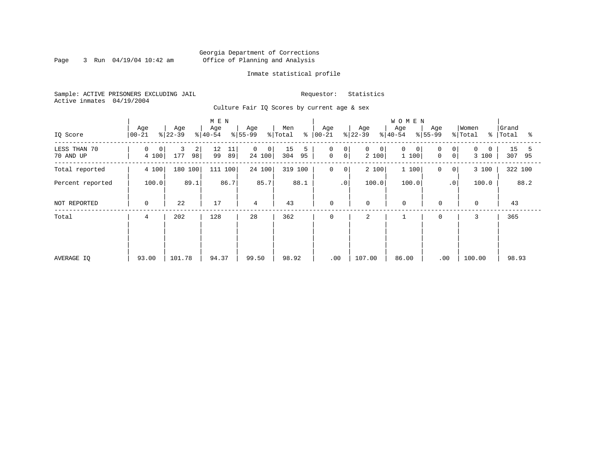Page 3 Run  $04/19/04$  10:42 am

### Inmate statistical profile

Sample: ACTIVE PRISONERS EXCLUDING JAIL Requestor: Statistics Active inmates 04/19/2004

Culture Fair IQ Scores by current age & sex

| IQ Score                  | Age<br>$00 - 21$             | Age<br>$ 22-39 $    | M E N<br>Age<br>$ 40-54 $ | Age<br>$8 55-99$           | Men<br>နွ<br>% Total | Age<br>$ 00 - 21 $                               | Age<br>$ 22-39 $ | <b>WOMEN</b><br>Age<br>$8 40-54$ | Age<br>$ 55-99$                    | Women<br>% Total  | Grand<br>%   Total<br>ႜ |
|---------------------------|------------------------------|---------------------|---------------------------|----------------------------|----------------------|--------------------------------------------------|------------------|----------------------------------|------------------------------------|-------------------|-------------------------|
| LESS THAN 70<br>70 AND UP | 0<br>$\overline{0}$<br>4 100 | 3<br>2<br>98<br>177 | 12<br>11<br>89<br>99      | $\mathbf 0$<br>0<br>24 100 | 15<br>5<br>304<br>95 | $\mathbf 0$<br>0<br>$\mathsf{O}$<br>$\mathsf{O}$ | 0<br>0<br>2 100  | $\mathbf 0$<br>0<br>1 100        | $\Omega$<br>0<br>$\mathsf{O}$<br>0 | $\Omega$<br>3 100 | 15<br>5<br>307<br>95    |
| Total reported            | 4 100                        | 180 100             | 100<br>111                | 24 100                     | 319<br>100           | $\mathbf 0$<br>0                                 | 2 100            | 1 100                            | 0<br>0                             | 3 100             | 322 100                 |
| Percent reported          | 100.0                        | 89.1                | 86.7                      | 85.7                       | 88.1                 | .0 <sup>1</sup>                                  | 100.0            | 100.0                            | $\cdot$ 0                          | 100.0             | 88.2                    |
| NOT REPORTED              | $\mathbf 0$                  | 22                  | 17                        | 4                          | 43                   | 0                                                | 0                | $\mathbf 0$                      | $\mathbf 0$                        | $\mathbf 0$       | 43                      |
| Total                     | 4                            | 202                 | 128                       | 28                         | 362                  | 0                                                | 2                |                                  | $\mathbf 0$                        | 3                 | 365                     |
| AVERAGE IO                | 93.00                        | 101.78              | 94.37                     | 99.50                      | 98.92                | .00                                              | 107.00           | 86.00                            | .00                                | 100.00            | 98.93                   |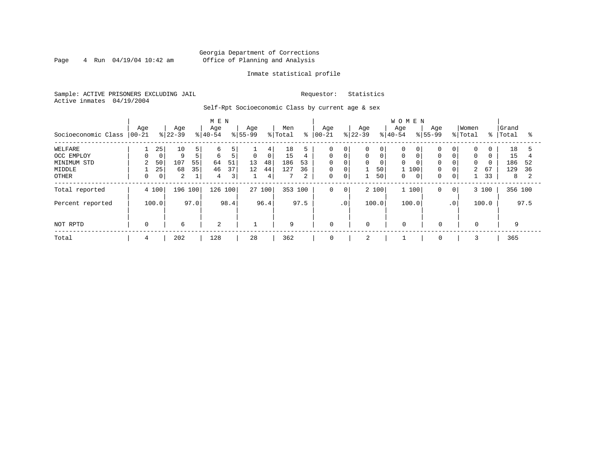### Georgia Department of Corrections Page 4 Run 04/19/04 10:42 am Office of Planning and Analysis

### Inmate statistical profile

Sample: ACTIVE PRISONERS EXCLUDING JAIL Requestor: Statistics Active inmates 04/19/2004

Self-Rpt Socioeconomic Class by current age & sex

|                     | M E N           |       |                  |                |                  |      |                  |                |                |      |                   |             |                  |       | <b>WOMEN</b>     |              |                    |                |                  |          |                |      |
|---------------------|-----------------|-------|------------------|----------------|------------------|------|------------------|----------------|----------------|------|-------------------|-------------|------------------|-------|------------------|--------------|--------------------|----------------|------------------|----------|----------------|------|
| Socioeconomic Class | Age<br>$ 00-21$ |       | Age<br>$ 22-39 $ |                | Age<br>$8 40-54$ |      | Age<br>$8 55-99$ |                | Men<br>% Total | နွ   | Age<br>$ 00 - 21$ |             | Age<br>$ 22-39 $ |       | Age<br>$8 40-54$ |              | Age<br>$8155 - 99$ |                | Women<br>% Total | % ၂      | Grand<br>Total | °≈   |
| WELFARE             |                 | 25    | 10               | 5              | 6                | 5    |                  | 4              | 18             |      | 0                 | 0           | 0                | 0     |                  |              |                    | 0              | 0                | 0        | 18             |      |
| OCC EMPLOY          |                 | 0     | 9                | 5 <sup>1</sup> | 6                | 5    | $\mathsf{O}$     | 0 <sup>1</sup> | 15             | 4    | $\mathbf 0$       | $\mathbf 0$ | 0                | 0     | $\mathbf 0$      |              | $\Omega$           | $\mathbf 0$    | $\mathbf 0$      | $\Omega$ | 15             |      |
| MINIMUM STD         | $\mathbf{2}$    | 50    | 107              | 55             | 64               | 51   | 13               | 48             | 186            | 53   | $\Omega$          | $\Omega$    | 0                | 0     | $\Omega$         |              | $\Omega$           | $\mathbf 0$    | $\Omega$         | $\Omega$ | 186            | 52   |
| MIDDLE              |                 | 25    | 68               | 35             | 46               | 37   | 12               | 44             | 127            | 36   | 0                 | $\mathbf 0$ |                  | 50    | 1 100            |              | 0                  | $\mathbf 0$    | $\overline{a}$   | 67       | 129            | -36  |
| OTHER               |                 | 0     | 2                |                | 4                | 3    |                  | 4              |                | 2    | 0                 | 0           |                  | 50    | 0                | $\mathbf{0}$ | 0                  | 0              |                  | 33       | 8              |      |
| Total reported      |                 | 4 100 | 196 100          |                | 126 100          |      |                  | 27 100         | 353 100        |      | 0                 | $\mathbf 0$ |                  | 2 100 | 1 100            |              | 0                  | 0 <sup>1</sup> |                  | 3 100    | 356 100        |      |
| Percent reported    |                 | 100.0 |                  | 97.0           |                  | 98.4 |                  | 96.4           |                | 97.5 |                   | $\cdot$ 0   |                  | 100.0 | 100.0            |              |                    | $\cdot$ 0      |                  | 100.0    |                | 97.5 |
| NOT RPTD            | 0               |       | 6                |                | 2                |      |                  |                | 9              |      | 0                 |             | $\mathbf 0$      |       | $\mathbf 0$      |              | $\mathbf 0$        |                | 0                |          | 9              |      |
| Total               | 4               |       | 202              |                | 128              |      | 28               |                | 362            |      | 0                 |             | 2                |       |                  |              | 0                  |                |                  |          | 365            |      |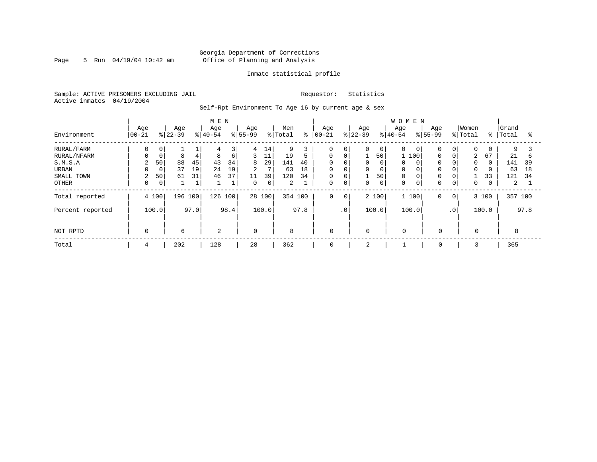Page 5 Run  $04/19/04$  10:42 am

### Inmate statistical profile

Sample: ACTIVE PRISONERS EXCLUDING JAIL Requestor: Statistics Active inmates 04/19/2004

Self-Rpt Environment To Age 16 by current age & sex

|                  |                  |             |                  |      | M E N            |              |                    |        |                |      |                   |             |                  |              | WOMEN            |   |                    |                 |                  |               |                |      |
|------------------|------------------|-------------|------------------|------|------------------|--------------|--------------------|--------|----------------|------|-------------------|-------------|------------------|--------------|------------------|---|--------------------|-----------------|------------------|---------------|----------------|------|
| Environment      | Age<br>$ 00-21 $ |             | Age<br>$ 22-39 $ |      | Age<br>$8 40-54$ |              | Age<br>$8155 - 99$ |        | Men<br>% Total | ి    | Age<br>$ 00 - 21$ |             | Age<br>$8 22-39$ |              | Age<br>$8 40-54$ |   | Age<br>$8155 - 99$ |                 | Women<br>% Total | $\frac{8}{6}$ | Grand<br>Total | ႜ    |
|                  |                  |             |                  |      |                  |              |                    |        |                |      |                   |             |                  |              |                  |   |                    |                 |                  |               |                |      |
| RURAL/FARM       | 0                | 0           |                  |      | 4                | 3            | 4                  | 14     | 9              | 3    | $\Omega$          | 0           | 0                | $\mathbf{0}$ | $\Omega$         | 0 | $\mathbf 0$        | 0               | 0                | 0             | 9              |      |
| RURAL/NFARM      |                  | $\mathbf 0$ | 8                | 4    | 8                | 6            | 3                  | 11     | 19             | 5    | $\Omega$          | $\mathbf 0$ |                  | 50           | 100              |   | 0                  | $\Omega$        | 2                | 67            | 21             | b    |
| S.M.S.A          | 2                | 50          | 88               | 45   | 43               | 34           | 8                  | 29     | 141            | 40   | $\mathbf 0$       | $\mathbf 0$ | 0                | 0            | $\Omega$         |   | $\mathbf 0$        | 0               | $\Omega$         | $\Omega$      | 141            | 39   |
| URBAN            |                  | $\mathbf 0$ | 37               | 19   | 24               | 19           | $\overline{a}$     | 7      | 63             | 18   | $\mathbf 0$       | $\mathbf 0$ | 0                | 0            | $\Omega$         |   | $\mathbf 0$        | 0               | $\mathbf 0$      | 0             | 63             | 18   |
| SMALL TOWN       | 2                | 50          | 61               | 31   | 46               | 37           | 11                 | 39     | 120            | 34   | $\mathbf 0$       | $\mathbf 0$ | 1                | 50           | $\Omega$         |   | 0                  | 0               |                  | 33            | 121            | 34   |
| <b>OTHER</b>     | $\Omega$         | 0           |                  |      |                  | $\mathbf{a}$ | $\Omega$           | 0      | $\overline{a}$ |      | $\Omega$          | $\mathbf 0$ | $\Omega$         | 0            | $\Omega$         | 0 | $\mathbf 0$        | 0               | 0                | 0             | 2              |      |
| Total reported   | 4 100            |             | 196 100          |      | 126 100          |              |                    | 28 100 | 354 100        |      | 0                 | $\mathbf 0$ |                  | 2 100        | 1 100            |   | $\mathbf 0$        | $\circ$         |                  | 3 100         | 357 100        |      |
| Percent reported | 100.0            |             |                  | 97.0 |                  | 98.4         |                    | 100.0  |                | 97.8 |                   | $\cdot$ 0   |                  | 100.0        | 100.0            |   |                    | .0 <sup>1</sup> |                  | 100.0         |                | 97.8 |
| NOT RPTD         | $\Omega$         |             | 6                |      | 2                |              | $\Omega$           |        | 8              |      | $\mathbf 0$       |             | $\Omega$         |              | $\Omega$         |   | 0                  |                 | $\Omega$         |               | 8              |      |
| Total            | 4                |             | 202              |      | 128              |              | 28                 |        | 362            |      | $\mathbf 0$       |             | 2                |              |                  |   | $\mathbf 0$        |                 |                  |               | 365            |      |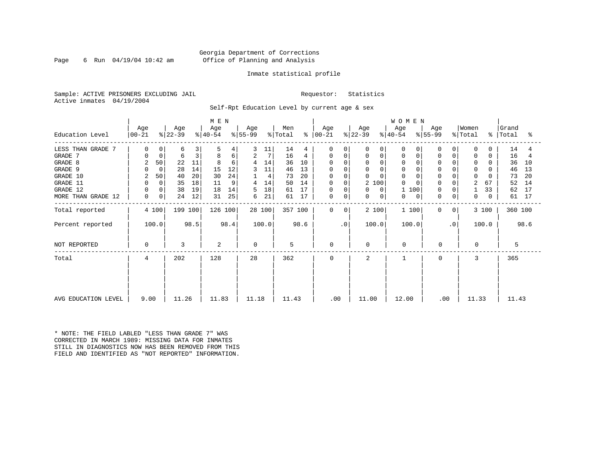Page 6 Run  $04/19/04$  10:42 am

### Inmate statistical profile

Sample: ACTIVE PRISONERS EXCLUDING JAIL Requestor: Statistics Active inmates 04/19/2004

Self-Rpt Education Level by current age & sex

|                     | M E N            |                |                  |      |                  |      |                  |        |                |      |                  |           |                  |                  | WOMEN             |                  |                 |                  |          |                    |      |
|---------------------|------------------|----------------|------------------|------|------------------|------|------------------|--------|----------------|------|------------------|-----------|------------------|------------------|-------------------|------------------|-----------------|------------------|----------|--------------------|------|
| Education Level     | Age<br>$ 00-21 $ |                | Age<br>$ 22-39 $ |      | Age<br>$ 40-54 $ |      | Age<br>$ 55-99 $ |        | Men<br>% Total | ႜ    | Age<br>$ 00-21 $ |           | Age<br>$ 22-39 $ | Age<br>$ 40-54 $ |                   | Age<br>$8 55-99$ |                 | Women<br>% Total |          | Grand<br>%   Total | ႜ    |
| LESS THAN GRADE 7   | 0                | $\Omega$       | 6                | 3    | 5                | 4    |                  | 11     | 14             | 4    | $\Omega$         | $\Omega$  | 0                | 0                | <sup>0</sup><br>0 | 0                |                 | $\Omega$         | 0        | 14                 | 4    |
| GRADE 7             | $\Omega$         | 0              | 6                | 3    | 8                | 6    | 2                | 7      | 16             | 4    | 0                | 0         | 0                | 0                | 0                 | 0                | 0               | 0                | 0        | 16                 |      |
| GRADE 8             | 2                | 50             | 22               | 11   | 8                | 6    | 4                | 14     | 36             | 10   |                  |           | $\Omega$         |                  |                   |                  |                 | $\Omega$         |          | 36                 | 10   |
| GRADE 9             | $\Omega$         | $\Omega$       | 28               | 14   | 15               | 12   | 3                | 11     | 46             | 13   | 0                |           | 0                |                  | $\Omega$          | 0                |                 | $\Omega$         |          | 46                 | 13   |
| GRADE 10            | 2                | 50             | 40               | 20   | 30               | 24   |                  | 4      | 73             | 20   | 0                | $\Omega$  | 0                |                  | $\mathbf 0$       | $\mathbf 0$      | 0               | 0                |          | 73                 | 20   |
| GRADE 11            | $\Omega$         | $\Omega$       | 35               | 18   | 11               | 9    | 4                | 14     | 50             | 14   | $\Omega$         | $\Omega$  | 2 100            |                  |                   | $\mathbf 0$      |                 | $\overline{2}$   | 67       | 52                 | 14   |
| GRADE 12            | $\Omega$         | 0              | 38               | 19   | 18               | 14   | 5                | 18     | 61             | 17   | 0                | 0         | 0                | 0                | 100               | $\mathbf 0$      | 0               |                  | 33       | 62                 | 17   |
| MORE THAN GRADE 12  | 0                | $\overline{0}$ | 24               | 12   | 31               | 25   | 6                | 21     | 61             | 17   | 0                | 0         | 0                | 0                | 0<br>0            | $\mathbf 0$      | 0               | 0                | $\Omega$ | 61                 | 17   |
| Total reported      |                  | 4 100          | 199 100          |      | 126 100          |      |                  | 28 100 | 357 100        |      | $\Omega$         | $\Omega$  | 2 100            |                  | 1 100             | $\Omega$         | 0 <sup>1</sup>  |                  | 3 100    | 360 100            |      |
| Percent reported    |                  | 100.0          |                  | 98.5 |                  | 98.4 |                  | 100.0  |                | 98.6 |                  | $\cdot$ 0 | 100.0            |                  | 100.0             |                  | .0 <sup>1</sup> |                  | 100.0    |                    | 98.6 |
| NOT REPORTED        | 0                |                | 3                |      | 2                |      | $\Omega$         |        | 5              |      | $\mathbf 0$      |           | $\Omega$         |                  | $\mathbf 0$       | 0                |                 | 0                |          | 5                  |      |
| Total               | 4                |                | 202              |      | 128              |      | 28               |        | 362            |      | $\Omega$         |           | 2                |                  |                   | $\Omega$         |                 | 3                |          | 365                |      |
|                     |                  |                |                  |      |                  |      |                  |        |                |      |                  |           |                  |                  |                   |                  |                 |                  |          |                    |      |
| AVG EDUCATION LEVEL | 9.00             |                | 11.26            |      | 11.83            |      | 11.18            |        | 11.43          |      | .00              |           | 11.00            |                  | 12.00             | .00              |                 | 11.33            |          | 11.43              |      |

\* NOTE: THE FIELD LABLED "LESS THAN GRADE 7" WAS CORRECTED IN MARCH 1989: MISSING DATA FOR INMATES STILL IN DIAGNOSTICS NOW HAS BEEN REMOVED FROM THIS FIELD AND IDENTIFIED AS "NOT REPORTED" INFORMATION.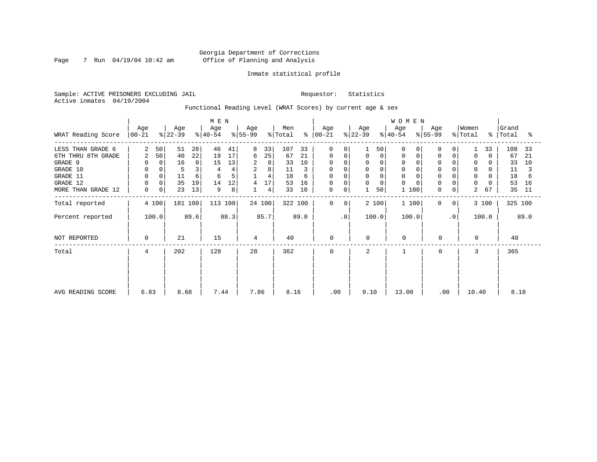Page 7 Run  $04/19/04$  10:42 am

### Inmate statistical profile

Sample: ACTIVE PRISONERS EXCLUDING JAIL Requestor: Statistics Active inmates 04/19/2004

Functional Reading Level (WRAT Scores) by current age & sex

|                    |                    |             |                 |      | M E N            |      |                  |        |                |      |                  |                |                  |              | WOMEN            |           |             |                |                  |             |                |      |
|--------------------|--------------------|-------------|-----------------|------|------------------|------|------------------|--------|----------------|------|------------------|----------------|------------------|--------------|------------------|-----------|-------------|----------------|------------------|-------------|----------------|------|
| WRAT Reading Score | Age<br>$ 00 - 21 $ |             | Age<br>$ 22-39$ |      | Age<br>$ 40-54 $ |      | Age<br>$ 55-99 $ |        | Men<br>% Total | ៖    | Age<br>$00 - 21$ |                | Age<br>$ 22-39 $ |              | Age<br>$ 40-54 $ | $ 55-99 $ | Age         |                | Women<br>% Total | $\approx$ 1 | Grand<br>Total | ႜ    |
| LESS THAN GRADE 6  | 2                  | 50          | 51              | 28   | 46               | 41   | 8                | 33     | 107            | 33   | $\Omega$         | $\Omega$       |                  | 50           | $\Omega$         |           | $\Omega$    | 0              |                  | 33          | 108            | 33   |
| 6TH THRU 8TH GRADE | $\overline{a}$     | 50          | 40              | 22   | 19               | 17   | 6                | 25     | 67             | 21   | 0                | 0              | 0                | $\mathsf{O}$ | $\Omega$         |           | 0           | $\Omega$       | $\Omega$         | $\Omega$    | 67             | 21   |
| GRADE 9            | 0                  | 0           | 16              | 9    | 15               | 13   | 2                | 8      | 33             | 10   |                  |                | 0                |              |                  |           | $\mathbf 0$ |                | 0                |             | 33             | 10   |
| GRADE 10           | 0                  | $\mathbf 0$ |                 | 3    |                  | 4    | 2                | 8      | 11             |      | 0                | 0              | 0                |              | $\mathbf 0$      |           | $\mathbf 0$ |                | 0                | 0           | 11             |      |
| GRADE 11           | $\mathbf 0$        |             | 11              | 6    | 6                | 5    |                  | 4      | 18             | 6    | <sup>0</sup>     |                | 0                |              |                  |           |             |                | $\mathbf 0$      |             | 18             | 6    |
| GRADE 12           | $\mathbf 0$        |             | 35              | 19   | 14               | 12   | 4                | 17     | 53             | 16   | 0                |                | 0                |              | $\Omega$         |           | $\mathbf 0$ |                | 0                |             | 53             | 16   |
| MORE THAN GRADE 12 | 0                  | 0           | 23              | 13   | 9                | 8    |                  | 4      | 33             | 10   | 0                | 0              |                  | 50           | 100              |           | $\mathbf 0$ | 0 <sup>1</sup> | 2                | 67          | 35             | 11   |
| Total reported     |                    | 4 100       | 181 100         |      | 113 100          |      |                  | 24 100 | 322 100        |      | $\mathbf 0$      | 0 <sup>1</sup> |                  | 2 100        | 1 100            |           | $\mathbf 0$ | 0 <sup>1</sup> |                  | 3 100       | 325 100        |      |
| Percent reported   |                    | 100.0       |                 | 89.6 |                  | 88.3 |                  | 85.7   |                | 89.0 |                  | $\cdot$ 0      | 100.0            |              | 100.0            |           |             | $\cdot$ 0      |                  | 100.0       |                | 89.0 |
| NOT REPORTED       | 0                  |             | 21              |      | 15               |      | 4                |        | 40             |      | $\mathbf 0$      |                | $\mathbf 0$      |              | $\Omega$         |           | $\mathbf 0$ |                | $\Omega$         |             | 40             |      |
| Total              | 4                  |             | 202             |      | 128              |      | 28               |        | 362            |      | $\Omega$         |                | 2                |              |                  |           | 0           |                | 3                |             | 365            |      |
|                    |                    |             |                 |      |                  |      |                  |        |                |      |                  |                |                  |              |                  |           |             |                |                  |             |                |      |
|                    |                    |             |                 |      |                  |      |                  |        |                |      |                  |                |                  |              |                  |           |             |                |                  |             |                |      |
| AVG READING SCORE  | 6.83               |             | 8.68            |      | 7.44             |      | 7.86             |        | 8.16           |      | .00              |                | 9.10             |              | 13.00            |           | .00         |                | 10.40            |             | 8.18           |      |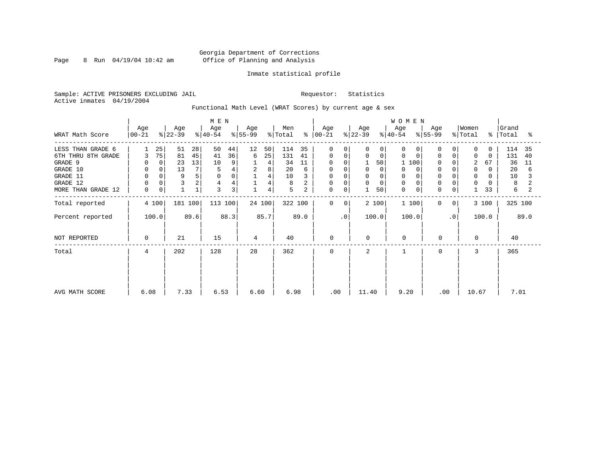Page 8 Run  $04/19/04$  10:42 am

### Inmate statistical profile

Sample: ACTIVE PRISONERS EXCLUDING JAIL Requestor: Statistics Active inmates 04/19/2004

Functional Math Level (WRAT Scores) by current age & sex

|                    | M E N<br>Men<br>Age<br>Age<br>Age<br>Age<br>$ 22-39 $<br>$8155 - 99$<br>$ 40-54 $<br>% Total<br>$ 00-21 $ |             |         |      |         |                |      |                |         |      |             |                | Age         |             | WOMEN<br>Age |       | Age                 |                | Women    |          | Grand     |      |
|--------------------|-----------------------------------------------------------------------------------------------------------|-------------|---------|------|---------|----------------|------|----------------|---------|------|-------------|----------------|-------------|-------------|--------------|-------|---------------------|----------------|----------|----------|-----------|------|
| WRAT Math Score    |                                                                                                           |             |         |      |         |                |      |                |         | ႜၟ   | $ 00-21 $   |                | $ 22-39 $   |             | $ 40-54 $    |       | $\frac{1}{6}$ 55-99 |                | % Total  |          | %   Total | ႜ    |
| LESS THAN GRADE 6  |                                                                                                           | 25          | 51      | 28   | 50      | 44             | 12   | 50             | 114     | 35   | $\Omega$    | $\Omega$       | 0           | $\Omega$    | $\Omega$     |       | $\Omega$            | 0              | $\Omega$ | 0        | 114       | 35   |
| 6TH THRU 8TH GRADE | 3                                                                                                         | 75          | 81      | 45   | 41      | 36             | 6    | 25             | 131     | 41   | 0           | 0              | $\Omega$    | $\mathbf 0$ | $\Omega$     |       | $\mathbf 0$         | 0              | $\Omega$ | $\Omega$ | 131       | 40   |
| GRADE 9            | 0                                                                                                         | $\mathbf 0$ | 23      | 13   | 10      | 9              |      | 4              | 34      | 11   | 0           | $\Omega$       |             | 50          |              | 100   | 0                   |                | 2        | 67       | 36        | 11   |
| GRADE 10           | 0                                                                                                         | 0           | 13      | 7    | 5       |                | 2    | 8              | 20      | 6    | 0           |                | 0           | 0           | 0            |       | $\mathbf 0$         |                | 0        | 0        | 20        | 6    |
| GRADE 11           | $\mathbf 0$                                                                                               |             | 9       | 5    |         | $\Omega$       |      | 4              | 10      |      | $\Omega$    |                | $\Omega$    |             |              |       |                     |                | $\Omega$ |          | 10        |      |
| GRADE 12           | $\mathbf 0$                                                                                               |             |         | 2    | 4       | 4              |      | $\overline{4}$ | 8       |      | 0           | $\Omega$       | 0           | 0           | $\Omega$     |       | $\mathbf 0$         | 0              | $\Omega$ | 0        | 8         |      |
| MORE THAN GRADE 12 | 0                                                                                                         | 0           |         | 1    | 3       | $\overline{3}$ |      | 4              | 5       | 2    | 0           | 0              | 1           | 50          | $\mathbf 0$  | 0     | 0                   | 0              |          | 33       | 6         |      |
| Total reported     |                                                                                                           | 4 100       | 181 100 |      | 113 100 |                |      | 24 100         | 322 100 |      | $\mathbf 0$ | 0 <sup>1</sup> |             | 2 100       |              | 1 100 | $\mathbf 0$         | 0 <sup>1</sup> |          | 3 100    | 325 100   |      |
| Percent reported   |                                                                                                           | 100.0       |         | 89.6 |         | 88.3           |      | 85.7           |         | 89.0 |             | $\cdot$ 0      |             | 100.0       |              | 100.0 |                     | $\cdot$ 0      |          | 100.0    |           | 89.0 |
| NOT REPORTED       | 0                                                                                                         |             | 21      |      | 15      |                | 4    |                | 40      |      | $\mathbf 0$ |                | $\mathbf 0$ |             | $\mathbf 0$  |       | 0                   |                | $\Omega$ |          | 40        |      |
| Total              | 4                                                                                                         |             | 202     |      | 128     |                | 28   |                | 362     |      | $\Omega$    |                | 2           |             |              |       | 0                   |                | 3        |          | 365       |      |
|                    |                                                                                                           |             |         |      |         |                |      |                |         |      |             |                |             |             |              |       |                     |                |          |          |           |      |
|                    |                                                                                                           |             |         |      |         |                |      |                |         |      |             |                |             |             |              |       |                     |                |          |          |           |      |
| AVG MATH SCORE     | 6.08                                                                                                      |             | 7.33    |      | 6.53    |                | 6.60 |                | 6.98    |      | .00         |                | 11.40       |             | 9.20         |       | .00                 |                | 10.67    |          | 7.01      |      |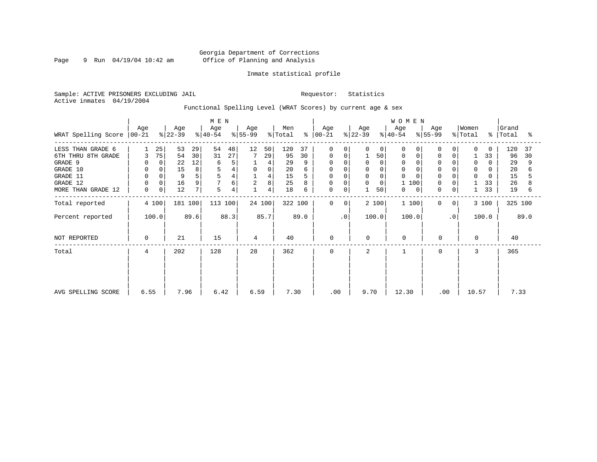Page 9 Run 04/19/04 10:42 am

### Inmate statistical profile

Sample: ACTIVE PRISONERS EXCLUDING JAIL Requestor: Statistics Active inmates 04/19/2004

Functional Spelling Level (WRAT Scores) by current age & sex

|                     |                 |          |                  |      | M E N            |      |                  |             |                |               |                  |                |                  |          | WOMEN            |     |                  |                |                              |          |                    |      |
|---------------------|-----------------|----------|------------------|------|------------------|------|------------------|-------------|----------------|---------------|------------------|----------------|------------------|----------|------------------|-----|------------------|----------------|------------------------------|----------|--------------------|------|
| WRAT Spelling Score | Age<br>$ 00-21$ |          | Age<br>$ 22-39 $ |      | Age<br>$ 40-54 $ |      | Age<br>$ 55-99 $ |             | Men<br>% Total | $\frac{6}{6}$ | Age<br>$ 00-21 $ |                | Age<br>$ 22-39 $ |          | Age<br>$ 40-54 $ |     | Age<br>$ 55-99 $ |                | Women<br>$\frac{1}{2}$ Total |          | Grand<br>%   Total | ႜ    |
| LESS THAN GRADE 6   |                 | 25       | 53               | 29   | 54               | 48   | 12               | 50          | 120            | 37            | $\Omega$         | 0              | 0                | 0        | $\Omega$         |     | $\Omega$         | 0              | $\Omega$                     | $\Omega$ | 120                | 37   |
| 6TH THRU 8TH GRADE  | 3               | 75       | 54               | 30   | 31               | 27   |                  | 29          | 95             | 30            | 0                | 0              |                  | 50       | 0                |     | $\mathbf 0$      | 0              |                              | 33       | 96                 | 30   |
| GRADE 9             | $\Omega$        | $\Omega$ | 22               | 12   | 6                | 5    |                  | 4           | 29             |               |                  | $\Omega$       | $\Omega$         | $\Omega$ | $\Omega$         |     |                  |                | 0                            | 0        | 29                 | 9    |
| GRADE 10            | 0               | 0        | 15               | 8    | 5                |      | 0                | $\mathsf 0$ | 20             |               | 0                |                | 0                |          | $\mathbf 0$      |     | $\mathbf 0$      |                | 0                            | 0        | 20                 |      |
| GRADE 11            | $\mathbf 0$     |          | 9                | 5    |                  |      |                  | 4           | 15             |               | $\Omega$         |                | $\mathbf 0$      |          | $\Omega$         |     | $\Omega$         |                | $\Omega$                     |          | 15                 |      |
| GRADE 12            | $\mathbf 0$     | 0        | 16               | 9    |                  | 6    | 2                | 8           | 25             |               | 0                | $\Omega$       | 0                | $\Omega$ |                  | 100 | 0                | 0              |                              | 33       | 26                 |      |
| MORE THAN GRADE 12  | 0               | 0        | 12               | 7    | 5                | 4    |                  | 4           | 18             | 6             | 0                | 0              |                  | 50       | 0                | 0   | 0                | $\overline{0}$ |                              | 33       | 19                 | 6    |
| Total reported      |                 | 4 100    | 181 100          |      | 113 100          |      |                  | 24 100      | 322 100        |               | $\mathbf 0$      | 0 <sup>1</sup> |                  | 2 100    | 1 100            |     | $\mathbf 0$      | 0 <sup>1</sup> |                              | 3 100    | 325 100            |      |
| Percent reported    |                 | 100.0    |                  | 89.6 |                  | 88.3 |                  | 85.7        |                | 89.0          |                  | $\cdot$ 0      |                  | 100.0    | 100.0            |     |                  | $\cdot$ 0      |                              | 100.0    |                    | 89.0 |
| NOT REPORTED        | 0               |          | 21               |      | 15               |      | 4                |             | 40             |               | 0                |                | $\mathbf 0$      |          | $\mathbf 0$      |     | 0                |                | $\Omega$                     |          | 40                 |      |
| Total               | 4               |          | 202              |      | 128              |      | 28               |             | 362            |               | 0                |                | 2                |          |                  |     | 0                |                | 3                            |          | 365                |      |
|                     |                 |          |                  |      |                  |      |                  |             |                |               |                  |                |                  |          |                  |     |                  |                |                              |          |                    |      |
| AVG SPELLING SCORE  | 6.55            |          | 7.96             |      | 6.42             |      | 6.59             |             | 7.30           |               | .00              |                | 9.70             |          | 12.30            |     | .00              |                | 10.57                        |          | 7.33               |      |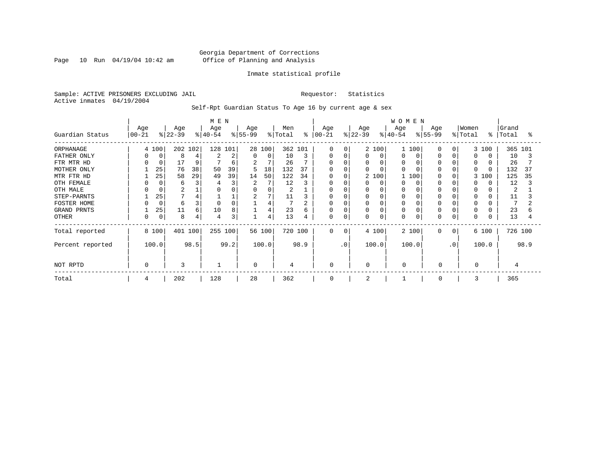Page 10 Run  $04/19/04$  10:42 am

### Inmate statistical profile

Sample: ACTIVE PRISONERS EXCLUDING JAIL Requestor: Statistics Active inmates 04/19/2004

Self-Rpt Guardian Status To Age 16 by current age & sex

|                  |                   |             |                  |      | M E N            |      |                 |          |                |                |                   |           |                  |          | WOMEN            |       |                 |           |                  |           |                |         |
|------------------|-------------------|-------------|------------------|------|------------------|------|-----------------|----------|----------------|----------------|-------------------|-----------|------------------|----------|------------------|-------|-----------------|-----------|------------------|-----------|----------------|---------|
| Guardian Status  | Age<br>$ 00 - 21$ |             | Age<br>$ 22-39 $ |      | Age<br>$ 40-54 $ |      | Age<br>$ 55-99$ |          | Men<br>% Total | န္             | Age<br>$ 00 - 21$ |           | Age<br>$ 22-39 $ |          | Age<br>$ 40-54 $ |       | Age<br>$ 55-99$ |           | Women<br>% Total | $\approx$ | Grand<br>Total | ႜ       |
| ORPHANAGE        |                   | 4 100       | 202 102          |      | 128 101          |      |                 | 28 100   | 362 101        |                | $\Omega$          | ∩         |                  | 2 100    |                  | 1 100 | <sup>0</sup>    | $\Omega$  |                  | 3 100     | 365 101        |         |
| FATHER ONLY      |                   | 0           | 8                | 4    |                  | 2    | $\Omega$        | $\Omega$ | 10             | 3              | U                 | 0         | U                | $\Omega$ | O                |       |                 |           | <sup>0</sup>     |           | 10             |         |
| FTR MTR HD       |                   |             | 17               | 9    |                  | 6    | 2               |          | 26             |                | $\Omega$          |           | 0                |          | 0                |       |                 |           |                  |           | 26             |         |
| MOTHER ONLY      |                   | 25          | 76               | 38   | 50               | 39   |                 | 18       | 132            | 37             | 0                 |           |                  |          | $\Omega$         |       |                 |           | $\Omega$         |           | 132            | 37      |
| MTR FTR HD       |                   | 25          | 58               | 29   | 49               | 39   | 14              | 50       | 122            | 34             | $\Omega$          |           |                  | 2 100    |                  | 100   |                 |           | 3                | 100       | 125            | 35      |
| OTH FEMALE       |                   | 0           | 6                | 3    |                  | 3    | 2               |          | 12             | 3              | 0                 |           |                  | $\Omega$ | 0                |       |                 |           |                  |           | 12             |         |
| OTH MALE         |                   |             |                  |      |                  |      | 0               | 0        | 2              |                | 0                 |           |                  |          | 0                |       |                 |           | $\Omega$         |           | 2              |         |
| STEP-PARNTS      |                   | 25          |                  | 4    |                  |      | $\overline{2}$  | 7        | 11             |                | 0                 |           |                  | $\Omega$ | 0                |       |                 |           | $\Omega$         |           | 11             |         |
| FOSTER HOME      |                   | $\mathbf 0$ | 6                | 3    |                  |      |                 | 4        | 7              | $\overline{2}$ | 0                 |           |                  |          | 0                |       |                 |           | 0                |           |                |         |
| GRAND PRNTS      |                   | 25          | 11               | 6    | 10               | 8    |                 | 4        | 23             | 6              | 0                 | 0         |                  | $\Omega$ | 0                |       |                 |           | 0                |           | 23             | 6       |
| <b>OTHER</b>     |                   | 0           | 8                | 4    | 4                | 3    |                 | 4        | 13             | 4              | 0                 | $\Omega$  |                  | $\Omega$ | 0                |       |                 |           | $\Omega$         |           | 13             |         |
| Total reported   |                   | 8 100       | 401 100          |      | 255 100          |      |                 | 56 100   |                | 720 100        | $\Omega$          | $\Omega$  |                  | 4 100    |                  | 2 100 | $\Omega$        | 0         |                  | 6 100     |                | 726 100 |
| Percent reported |                   | 100.0       |                  | 98.5 |                  | 99.2 |                 | 100.0    |                | 98.9           |                   | $\cdot$ 0 |                  | 100.0    |                  | 100.0 |                 | $\cdot$ 0 |                  | 100.0     |                | 98.9    |
| NOT RPTD         | $\Omega$          |             | 3                |      |                  |      | $\Omega$        |          | 4              |                | 0                 |           | $\Omega$         |          | 0                |       | $\mathbf 0$     |           | $\Omega$         |           |                |         |
| Total            |                   |             | 202              |      | 128              |      | 28              |          | 362            |                | 0                 |           | 2                |          |                  |       | $\Omega$        |           |                  |           | 365            |         |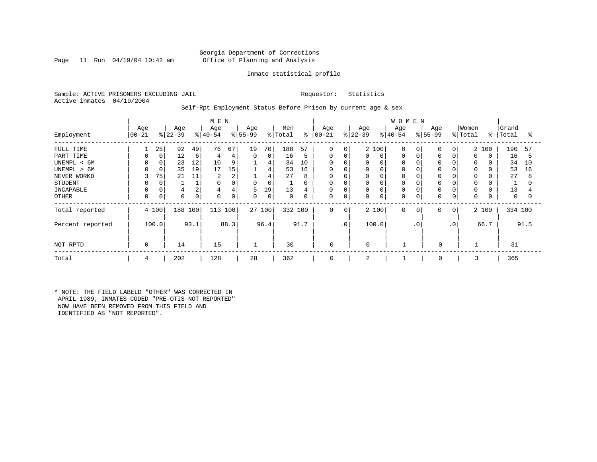### Georgia Department of Corrections Page 11 Run 04/19/04 10:42 am Office of Planning and Analysis

### Inmate statistical profile

Sample: ACTIVE PRISONERS EXCLUDING JAIL Requestor: Statistics Active inmates 04/19/2004

### Self-Rpt Employment Status Before Prison by current age & sex

|                  |                   |             |                 |      | M E N            |      |                  |        |                |      |                      |                 |                  |             | <b>WOMEN</b>     |           |                  |           |                  |          |                |      |
|------------------|-------------------|-------------|-----------------|------|------------------|------|------------------|--------|----------------|------|----------------------|-----------------|------------------|-------------|------------------|-----------|------------------|-----------|------------------|----------|----------------|------|
| Employment       | Age<br>$ 00 - 21$ |             | Age<br>$ 22-39$ |      | Age<br>$ 40-54 $ |      | Age<br>$8 55-99$ |        | Men<br>% Total |      | Age<br>$8   00 - 21$ |                 | Age<br>$ 22-39 $ |             | Age<br>$8 40-54$ |           | Age<br>$8 55-99$ |           | Women<br>% Total | ိ        | Grand<br>Total | °    |
| FULL TIME        |                   | 25          | 92              | 49   | 76               | 67   | 19               | 70     | 188            | 57   | 0                    | 0 <sup>1</sup>  |                  | 2 100       | $\mathbf 0$      |           | $\Omega$         | $\Omega$  |                  | 2 100    | 190            | 57   |
| PART TIME        | 0                 | $\mathbf 0$ | 12              | 6    | 4                | 4    | $\Omega$         | 0      | 16             | 5    | 0                    | 0               | 0                | 0           | 0                |           | $\Omega$         | $\Omega$  | $\Omega$         | $\Omega$ | 16             | 5    |
| UNEMPL < 6M      |                   |             | 23              | 12   | 10               | 9    |                  | 4      | 34             | 10   | $\mathbf 0$          |                 | 0                | $\Omega$    | 0                |           |                  |           |                  |          | 34             | 10   |
| UNEMPL > 6M      |                   |             | 35              | 19   | 17               | 15   |                  | 4      | 53             | 16   | $\mathbf 0$          |                 | 0                |             | 0                |           |                  |           |                  |          | 53             | 16   |
| NEVER WORKD      | 3                 | 75          | 21              | 11   | 2                | 2    |                  | 4      | 27             | 8    | $\mathbf 0$          |                 | 0                |             | 0                |           |                  |           | $\Omega$         |          | 27             | 8    |
| <b>STUDENT</b>   | 0                 |             |                 |      | $\Omega$         |      |                  | 0      | 1              | 0    | 0                    |                 | 0                | 0           | 0                |           |                  |           | 0                |          |                |      |
| INCAPABLE        |                   |             |                 |      | 4                | 4    | 5                | 19'    | 13             | 4    | $\mathbf 0$          |                 | 0                | $\Omega$    | 0                |           | $\Omega$         |           | $\Omega$         |          | 13             |      |
| OTHER            | 0                 | 0           | $\Omega$        |      | 0                | 0    | 0                | 0      | 0              | 0    | 0                    | 0               | 0                | $\mathbf 0$ | 0                |           | $\Omega$         | 0         | 0                |          | 0              | 0    |
| Total reported   |                   | 4 100       | 188             | 100  | 113 100          |      |                  | 27 100 | 332 100        |      | 0                    | 0               |                  | 2 100       | $\mathbf 0$      | 0         | 0                | 0         |                  | 2 100    | 334 100        |      |
| Percent reported |                   | 100.0       |                 | 93.1 |                  | 88.3 |                  | 96.4   |                | 91.7 |                      | .0 <sup>1</sup> |                  | 100.0       |                  | $\cdot$ 0 |                  | $\cdot$ 0 |                  | 66.7     |                | 91.5 |
| NOT RPTD         | 0                 |             | 14              |      | 15               |      | $\mathbf{1}$     |        | 30             |      | $\mathbf 0$          |                 | $\Omega$         |             |                  |           | $\mathbf 0$      |           |                  |          | 31             |      |
| Total            | 4                 |             | 202             |      | 128              |      | 28               |        | 362            |      | 0                    |                 | 2                |             |                  |           | 0                |           | 3                |          | 365            |      |

\* NOTE: THE FIELD LABELD "OTHER" WAS CORRECTED IN APRIL 1989; INMATES CODED "PRE-OTIS NOT REPORTED" NOW HAVE BEEN REMOVED FROM THIS FIELD AND IDENTIFIED AS "NOT REPORTED".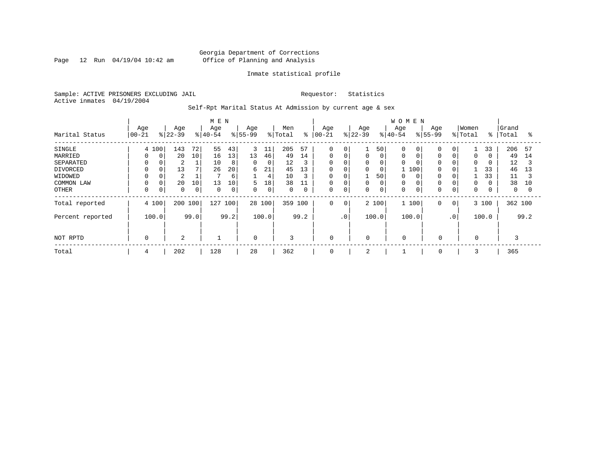Page 12 Run  $04/19/04$  10:42 am

### Inmate statistical profile

Sample: ACTIVE PRISONERS EXCLUDING JAIL Requestor: Statistics Active inmates 04/19/2004

Self-Rpt Marital Status At Admission by current age & sex

|                  | M E N     |          |                |      |           |             |             |       |             |      |             |                 |             |       | <b>WOMEN</b> |       |                   |              |             |       |         |          |
|------------------|-----------|----------|----------------|------|-----------|-------------|-------------|-------|-------------|------|-------------|-----------------|-------------|-------|--------------|-------|-------------------|--------------|-------------|-------|---------|----------|
|                  | Age       |          | Age            |      | Age       |             | Age         |       | Men         | ွေ   | Age         |                 | Age         |       | Age          |       | Age               |              | Women       | ွေ    | Grand   |          |
| Marital Status   | $00 - 21$ |          | $ 22-39 $      |      | $ 40-54 $ |             | $ 55-99$    |       | % Total     |      | $ 00 - 21$  |                 | $ 22-39 $   |       | $8 40-54$    |       | $\frac{8}{55-99}$ |              | % Total     |       | Total   | °        |
| SINGLE           |           | 4 100    | 143            | 72   | 55        | 43          | 3           | 11    | 205         | 57   | $\mathbf 0$ | 0               |             | 50    | $\Omega$     | 0     |                   | 0            |             | 33    | 206     | 57       |
| MARRIED          | $\Omega$  | $\Omega$ | 20             | 10   | 16        | 13          | 13          | 46    | 49          | 14   | 0           | 0               |             | 0     | 0            |       | $\Omega$          |              | 0           |       | 49      | 14       |
| SEPARATED        |           |          | 2              |      | 10        | 8           | 0           | 0     | 12          | 3    | 0           |                 | 0           | 0     | 0            |       | $\Omega$          |              | $\Omega$    |       | 12      | 3        |
| DIVORCED         |           | 0        | 13             |      | 26        | 20          | 6           | 21    | 45          | 13   | 0           | 0               | $\Omega$    | 0     |              | 100   | $\Omega$          |              |             | 33    | 46      | 13       |
| WIDOWED          |           |          | $\overline{2}$ |      |           | 6           |             | 4     | 10          | 3    | 0           |                 |             | 50    | 0            |       |                   |              |             | 33    | 11      |          |
| COMMON LAW       |           |          | 20             | 10   | 13        | 10          | 5           | 18    | 38          | 11   | $\mathbf 0$ |                 |             | 0     | 0            |       |                   | 0            | $\Omega$    |       | 38      | 10       |
| OTHER            | $\Omega$  | 0        | $\mathbf 0$    | 0    | $\Omega$  | $\mathbf 0$ | 0           | 0     | $\mathbf 0$ | 0    | 0           | 0               | 0           | 0     | 0            |       | $\Omega$          | 0            | 0           |       | 0       | $\Omega$ |
| Total reported   |           | 4 100    | 200 100        |      | 127       | 100         | 28 100      |       | 359         | 100  | 0           | $\mathbf 0$     |             | 2 100 |              | 1 100 | $\Omega$          | $\mathbf{0}$ |             | 3 100 | 362 100 |          |
| Percent reported |           | 100.0    |                | 99.0 |           | 99.2        |             | 100.0 |             | 99.2 |             | .0 <sup>1</sup> |             | 100.0 |              | 100.0 |                   | $\cdot$ 0    |             | 100.0 |         | 99.2     |
|                  |           |          |                |      |           |             |             |       |             |      |             |                 |             |       |              |       |                   |              |             |       |         |          |
| NOT RPTD         | $\Omega$  |          | $\overline{2}$ |      |           |             | $\mathbf 0$ |       | 3           |      | 0           |                 | $\mathbf 0$ |       | $\mathbf 0$  |       | $\mathbf 0$       |              | $\mathbf 0$ |       |         |          |
| Total            | 4         |          | 202            |      | 128       |             | 28          |       | 362         |      | 0           |                 | 2           |       |              |       | 0                 |              | 3           |       | 365     |          |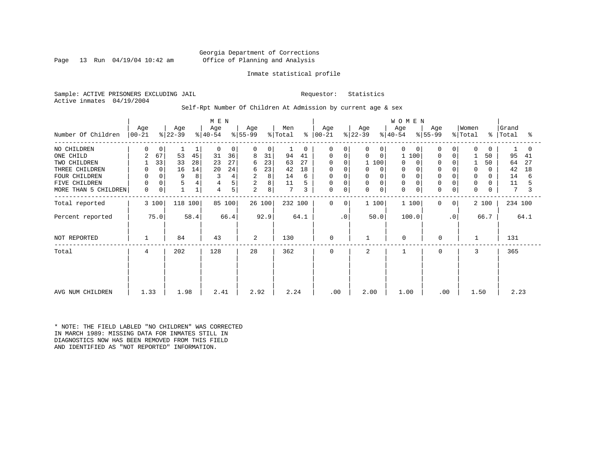### Georgia Department of Corrections Page 13 Run 04/19/04 10:42 am Office of Planning and Analysis

### Inmate statistical profile

Sample: ACTIVE PRISONERS EXCLUDING JAIL Requestor: Statistics Active inmates 04/19/2004

### Self-Rpt Number Of Children At Admission by current age & sex

|                      |                    |             |                  | M E N |                  |        |                  |        |                            |               |                    |             | WOMEN            |                  |             |                  |                |                  |           |                |      |
|----------------------|--------------------|-------------|------------------|-------|------------------|--------|------------------|--------|----------------------------|---------------|--------------------|-------------|------------------|------------------|-------------|------------------|----------------|------------------|-----------|----------------|------|
| Number Of Children   | Age<br>$ 00 - 21 $ |             | Age<br>$ 22-39 $ |       | Age<br>$ 40-54 $ |        | Age<br>$ 55-99 $ |        | Men<br>$\frac{1}{2}$ Total | $\frac{6}{6}$ | Age<br>$ 00 - 21 $ |             | Age<br>$ 22-39 $ | Age<br>$ 40-54 $ |             | Age<br>$ 55-99 $ |                | Women<br>% Total | $\approx$ | Grand<br>Total | °    |
|                      |                    |             |                  |       |                  |        |                  |        |                            |               |                    |             |                  |                  |             |                  |                |                  |           |                |      |
| NO CHILDREN          | $\Omega$           | 0           |                  |       | $\Omega$         | 0      | $\Omega$         | 0      |                            | $\Omega$      | $\Omega$           | $\Omega$    | 0<br>$\Omega$    | $\Omega$         | $\Omega$    | $\Omega$         | $\Omega$       | $\Omega$         | $\Omega$  |                | 0    |
| ONE CHILD            | 2                  | 67          | 53               | 45    | 31               | 36     | 8                | 31     | 94                         | 41            | $\Omega$           | $\Omega$    | $\mathbf 0$<br>0 | 1                | 100         | $\Omega$         | $\Omega$       |                  | 50        | 95             | 41   |
| TWO CHILDREN         |                    | 33          | 33               | 28    | 23               | 27     | 6                | 23     | 63                         | 27            | $\Omega$           | $\Omega$    | 1 100            | $\Omega$         | $\Omega$    |                  |                |                  | 50        | 64             | 27   |
| THREE CHILDREN       | 0                  | $\mathbf 0$ | 16               | 14    | 20               | 24     | 6                | 23     | 42                         | 18            | 0                  | 0           | 0<br>$\Omega$    | 0                | 0           | $\Omega$         |                | $\mathbf 0$      |           | 42             | 18   |
| FOUR CHILDREN        | 0                  |             | 9                | 8     | 3                | 4      | 2                | 8      | 14                         | 6             | 0                  | 0           | 0                | 0                |             |                  |                | $\Omega$         |           | 14             | 6    |
| FIVE CHILDREN        | $\mathbf 0$        | $\mathbf 0$ | 5                | 4     |                  | 5      | $\overline{2}$   | 8      | 11                         |               | 0                  | $\Omega$    | 0<br>$\Omega$    | 0                |             | $\Omega$         |                | 0                |           | 11             |      |
| MORE THAN 5 CHILDREN | 0                  | 0           |                  |       | 4                | 5      | 2                | 8      | $7\phantom{.0}$            | 3             | 0                  | $\mathbf 0$ | 0<br>$\mathbf 0$ | 0                | $\mathbf 0$ | $\Omega$         | 0              | $\mathbf 0$      |           | 7              | 3    |
| Total reported       |                    | 3 100       | 118 100          |       |                  | 85 100 |                  | 26 100 | 232 100                    |               | 0                  | 0           | 1 100            |                  | 1 100       | $\Omega$         | $\overline{0}$ |                  | 2 100     | 234 100        |      |
| Percent reported     |                    | 75.0        |                  | 58.4  |                  | 66.4   |                  | 92.9   |                            | 64.1          |                    | . 0         | 50.0             |                  | 100.0       |                  | $\cdot$ 0      |                  | 66.7      |                | 64.1 |
| NOT REPORTED         |                    |             | 84               |       | 43               |        | 2                |        | 130                        |               | 0                  |             |                  | $\mathbf 0$      |             | 0                |                | -1               |           | 131            |      |
| Total                | 4                  |             | 202              |       | 128              |        | 28               |        | 362                        |               | 0                  |             | 2                | $\mathbf{1}$     |             | $\Omega$         |                | 3                |           | 365            |      |
|                      |                    |             |                  |       |                  |        |                  |        |                            |               |                    |             |                  |                  |             |                  |                |                  |           |                |      |
|                      |                    |             |                  |       |                  |        |                  |        |                            |               |                    |             |                  |                  |             |                  |                |                  |           |                |      |
| AVG NUM CHILDREN     | 1.33               |             | 1.98             |       | 2.41             |        | 2.92             |        | 2.24                       |               | .00                |             | 2.00             | 1.00             |             | .00              |                | 1.50             |           | 2.23           |      |

\* NOTE: THE FIELD LABLED "NO CHILDREN" WAS CORRECTED IN MARCH 1989: MISSING DATA FOR INMATES STILL IN DIAGNOSTICS NOW HAS BEEN REMOVED FROM THIS FIELD AND IDENTIFIED AS "NOT REPORTED" INFORMATION.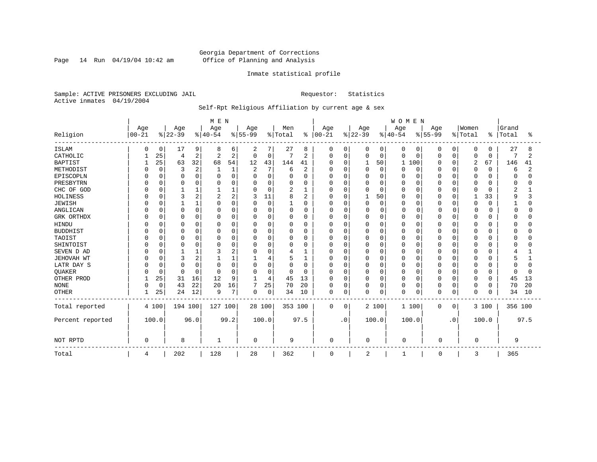Page 14 Run  $04/19/04$  10:42 am

### Inmate statistical profile

Sample: ACTIVE PRISONERS EXCLUDING JAIL Requestor: Statistics Active inmates 04/19/2004

### Self-Rpt Religious Affiliation by current age & sex

|                  |           |              |          |                | MEN            |              |                |          |              |                |             |             |          |             | <b>WOMEN</b> |             |          |           |              |          |         |      |
|------------------|-----------|--------------|----------|----------------|----------------|--------------|----------------|----------|--------------|----------------|-------------|-------------|----------|-------------|--------------|-------------|----------|-----------|--------------|----------|---------|------|
|                  | Age       |              | Age      |                | Age            |              | Age            |          | Men          |                | Age         |             | Age      |             | Age          |             | Age      |           | Women        |          | Grand   |      |
| Religion         | $00 - 21$ |              | $ 22-39$ |                | $ 40-54$       |              | $ 55-99$       |          | % Total      | $\frac{1}{6}$  | $ 00 - 21$  |             | $ 22-39$ |             | $ 40-54 $    |             | $ 55-99$ |           | % Total      | ಕಿ       | Total   | °    |
| <b>ISLAM</b>     | O         | 0            | 17       | 9              | 8              | 6            | 2              | 7        | 27           | 8              | 0           | 0           | 0        | 0           | 0            | 0           | 0        | 0         | 0            | 0        | 27      |      |
| CATHOLIC         |           | 25           | 4        | 2              | $\overline{2}$ | 2            | 0              | 0        | 7            | $\overline{2}$ | $\Omega$    | $\mathbf 0$ | 0        | $\mathbf 0$ | 0            | 0           | 0        | $\Omega$  | 0            | 0        | 7       | 2    |
| <b>BAPTIST</b>   |           | 25           | 63       | 32             | 68             | 54           | 12             | 43       | 144          | 41             | $\Omega$    | 0           |          | 50          | $\mathbf{1}$ | 100         | U        | $\Omega$  | 2            | 67       | 146     | 41   |
| METHODIST        |           | $\Omega$     | 3        | $\overline{2}$ |                | $\mathbf{1}$ | $\overline{2}$ | 7        | 6            | $\overline{2}$ |             | $\Omega$    | $\Omega$ | $\Omega$    | 0            | 0           | 0        | $\Omega$  | $\mathbf 0$  | $\Omega$ | 6       | 2    |
| EPISCOPLN        |           |              | $\Omega$ | $\Omega$       |                | $\Omega$     | $\Omega$       | 0        | 0            | 0              |             | $\Omega$    | 0        | $\Omega$    | Ω            | 0           |          | $\Omega$  | 0            | U        |         |      |
| PRESBYTRN        |           | <sup>0</sup> | 0        | $\Omega$       |                | O            | O              | 0        | O            | $\Omega$       |             | $\Omega$    | $\Omega$ | $\Omega$    | O            | $\Omega$    | U        | $\Omega$  | 0            | O        | U       |      |
| CHC OF GOD       |           | U            |          |                |                |              | $\Omega$       | 0        | 2            | 1              |             | $\Omega$    | 0        | $\cap$      | 0            | $\Omega$    | 0        | $\Omega$  | $\Omega$     | U        | 2       |      |
| HOLINESS         |           |              | 3        |                | 2              | 2            | 3              | 11       | 8            | 2              | U           | $\Omega$    |          | 50          | 0            | 0           | U        | $\Omega$  | $\mathbf{1}$ | 33       | 9       |      |
| <b>JEWISH</b>    |           | $\Omega$     |          |                | O              | O            | $\Omega$       | $\Omega$ | $\mathbf{1}$ | 0              | U           | $\Omega$    | $\Omega$ | $\mathbf 0$ | O            | 0           | U        | $\Omega$  | $\mathbf 0$  | $\Omega$ |         |      |
| ANGLICAN         |           | $\Omega$     | 0        | O              | O              | 0            | $\Omega$       | 0        | 0            | 0              | 0           | $\Omega$    | 0        | $\mathbf 0$ | 0            | $\Omega$    | O        | 0         | $\Omega$     |          | n       |      |
| GRK ORTHDX       |           | 0            | $\Omega$ | 0              | n              | 0            | O              | 0        | $\Omega$     | 0              | O           | 0           | 0        | $\Omega$    | 0            | 0           | U        | $\Omega$  | $\Omega$     | U        |         |      |
| <b>HINDU</b>     |           |              | $\Omega$ | $\Omega$       |                | 0            | $\Omega$       | 0        | 0            | $\Omega$       |             | $\Omega$    | 0        | $\Omega$    | N            | 0           |          | $\Omega$  | $\Omega$     |          |         |      |
| <b>BUDDHIST</b>  |           |              | $\Omega$ | $\Omega$       |                | 0            | 0              | 0        | 0            | $\Omega$       |             | $\Omega$    | 0        | $\Omega$    | Ω            | 0           |          | $\Omega$  | $\Omega$     |          |         |      |
| TAOIST           |           |              | $\Omega$ | O              | C              | O            | O              | 0        | 0            | 0              |             | $\Omega$    | 0        | $\cap$      | 0            | 0           |          | $\Omega$  | $\Omega$     | U        |         |      |
| SHINTOIST        |           |              | $\Omega$ |                | O              | O            | $\Omega$       | 0        | O            | $\Omega$       |             | $\Omega$    | O        | ∩           | O            | $\Omega$    | U        | $\Omega$  | $\Omega$     | ∩        |         |      |
| SEVEN D AD       |           |              |          |                |                | 2            | $\Omega$       | $\Omega$ | 4            | 1              | n           | $\Omega$    | $\Omega$ | $\Omega$    | 0            | 0           | 0        | $\Omega$  | 0            |          |         |      |
| JEHOVAH WT       |           | O            | 3        | ∠              |                |              |                | 4        | 5            | 1              | U           | $\mathbf 0$ | 0        | $\Omega$    | 0            | 0           | U        | n         | 0            |          |         |      |
| LATR DAY S       |           |              | $\Omega$ | $\Omega$       | C              | O            | $\Omega$       | 0        | 0            | 0              |             | $\Omega$    | 0        | $\Omega$    | 0            | 0           |          | O         | 0            |          |         |      |
| <b>OUAKER</b>    |           | $\Omega$     | $\Omega$ | $\Omega$       | $\Omega$       | $\Omega$     | $\Omega$       | 0        | $\Omega$     | $\Omega$       | U           | 0           | 0        | $\Omega$    | 0            | 0           | 0        | $\Omega$  | 0            | 0        |         |      |
| OTHER PROD       |           | 25           | 31       | 16             | 12             | 9            | 1              | 4        | 45           | 13             | $\Omega$    | $\Omega$    | $\Omega$ | $\Omega$    | 0            | $\Omega$    | U        | $\Omega$  | $\mathbf 0$  | $\Omega$ | 45      | 13   |
| <b>NONE</b>      | $\Omega$  | $\mathbf 0$  | 43       | 22             | 20             | 16           | 7              | 25       | 70           | 20             | $\Omega$    | $\mathbf 0$ | 0        | $\mathbf 0$ | 0            | $\mathbf 0$ | 0        | 0         | $\mathbf 0$  | 0        | 70      | 20   |
| <b>OTHER</b>     |           | 25           | 24       | 12             | 9              | 7            | $\Omega$       | 0        | 34           | 10             | $\mathbf 0$ | 0           | $\Omega$ | 0           | 0            | 0           | 0        | 0         | $\mathbf 0$  | 0        | 34      | 10   |
| Total reported   |           | 4 100        | 194 100  |                | 127 100        |              |                | 28 100   | 353 100      |                | 0           | 0           |          | 2 100       | 1 100        |             | 0        | 0         |              | 3 100    | 356 100 |      |
| Percent reported |           | 100.0        |          | 96.0           |                | 99.2         |                | 100.0    |              | 97.5           |             | $\cdot$ 0   |          | 100.0       | 100.0        |             |          | $\cdot$ 0 |              | 100.0    |         | 97.5 |
| NOT RPTD         | $\Omega$  |              | 8        |                |                |              | 0              |          | 9            |                | $\Omega$    |             | 0        |             | $\mathbf 0$  |             | $\Omega$ |           | 0            |          | 9       |      |
| Total            | 4         |              | 202      |                | 128            |              | 28             |          | 362          |                | 0           |             | 2        |             | 1            |             | 0        |           | 3            |          | 365     |      |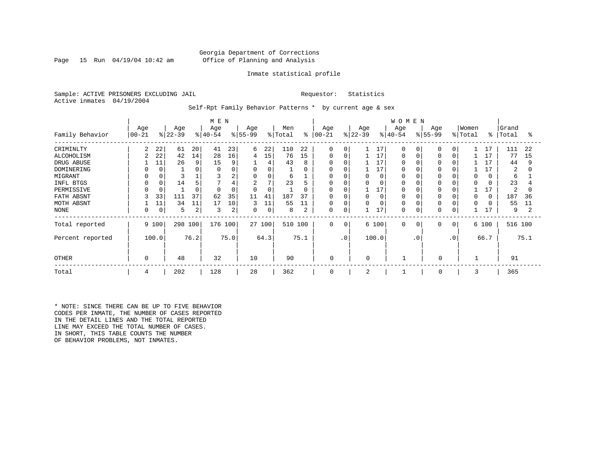### Georgia Department of Corrections Page 15 Run 04/19/04 10:42 am Office of Planning and Analysis

#### Inmate statistical profile

Sample: ACTIVE PRISONERS EXCLUDING JAIL **Requestor:** Statistics Active inmates 04/19/2004

Self-Rpt Family Behavior Patterns \* by current age & sex

|                  |           |             |           |      | M E N     |      |                |        |         |          |              |             |           |       | <b>WOMEN</b> |             |           |          |          |          |         |      |
|------------------|-----------|-------------|-----------|------|-----------|------|----------------|--------|---------|----------|--------------|-------------|-----------|-------|--------------|-------------|-----------|----------|----------|----------|---------|------|
|                  | Age       |             | Age       |      | Age       |      | Age            |        | Men     |          | Age          |             | Age       |       | Age          |             | Age       |          | Women    |          | Grand   |      |
| Family Behavior  | $00 - 21$ |             | $ 22-39 $ |      | $ 40-54 $ |      | $ 55-99$       |        | % Total | ៖        | $00 - 21$    |             | $ 22-39 $ |       | $ 40-54$     |             | $ 55-99 $ |          | % Total  | ိ        | Total   | ႜ    |
| CRIMINLTY        | 2         | 22          | 61        | 20   | 41        | 23   | 6              | 22     | 110     | 22       | $\Omega$     | $\Omega$    |           | 17    | $\Omega$     | $\Omega$    | $\Omega$  | $\Omega$ |          | 17       | 111     | 22   |
| ALCOHOLISM       | 2         | 22          | 42        | 14   | 28        | 16   | 4              | 15     | 76      | 15       | $\Omega$     | 0           |           | 17    | $\Omega$     |             | 0         | 0        |          | 17       | 77      | 15   |
| DRUG ABUSE       |           | 11          | 26        | 9    | 15        | 9    |                | 4      | 43      | 8        | 0            |             |           | 17    |              |             |           |          |          | 17       | 44      | 9    |
| DOMINERING       |           | $\Omega$    |           |      |           |      | 0              | 0      |         | $\Omega$ | <sup>0</sup> |             |           | 17    |              |             |           |          |          |          | 2       | O    |
| MIGRANT          |           |             |           |      |           | 2    | 0              | 0      | 6       |          | 0            |             | 0         |       |              |             | $\Omega$  |          | $\Omega$ | O        | 6       |      |
| INFL BTGS        |           |             | 14        |      |           |      | $\overline{2}$ | 7      | 23      |          | 0            | 0           | 0         |       |              |             |           |          | $\Omega$ |          | 23      |      |
| PERMISSIVE       |           |             |           |      |           | 0    | $\Omega$       | 0      |         | 0        | 0            | $\mathbf C$ |           | 17    | $\Omega$     |             | $\Omega$  |          |          | 17       | 2       |      |
| FATH ABSNT       |           | 33          | 111       | 37   | 62        | 35   | 11             | 41     | 187     | 37       | $\Omega$     | $\Omega$    | $\Omega$  |       |              |             | 0         |          | $\Omega$ | $\Omega$ | 187     | 36   |
| MOTH ABSNT       |           | 11          | 34        | 11   | 17        | 10   | 3              | 11     | 55      | 11       | 0            | $\mathbf 0$ | $\Omega$  |       | $\Omega$     |             | $\Omega$  |          | $\Omega$ |          | 55      | 11   |
| NONE             | 0         | $\mathbf 0$ | 5         | 2    | 3         | 2    | 0              | 0      | 8       |          | 0            | 0           |           | 17    | $\Omega$     |             | $\Omega$  | $\cap$   |          | 17       | 9       |      |
| Total reported   |           | 9 100       | 298 100   |      | 176 100   |      |                | 27 100 | 510 100 |          | $\mathbf 0$  | 0           |           | 6 100 | $\mathbf 0$  | $\mathbf 0$ | 0         | 0        |          | 6 100    | 516 100 |      |
| Percent reported |           | 100.0       |           | 76.2 |           | 75.0 |                | 64.3   |         | 75.1     |              | $\cdot$ 0   |           | 100.0 |              | $\cdot$ 0   |           | .0       |          | 66.7     |         | 75.1 |
| <b>OTHER</b>     | $\Omega$  |             | 48        |      | 32        |      | 10             |        | 90      |          | $\mathbf 0$  |             | $\Omega$  |       |              |             | 0         |          |          |          | 91      |      |
| Total            | 4         |             | 202       |      | 128       |      | 28             |        | 362     |          | 0            |             | 2         |       |              |             | 0         |          | 3        |          | 365     |      |

\* NOTE: SINCE THERE CAN BE UP TO FIVE BEHAVIOR CODES PER INMATE, THE NUMBER OF CASES REPORTED IN THE DETAIL LINES AND THE TOTAL REPORTED LINE MAY EXCEED THE TOTAL NUMBER OF CASES. IN SHORT, THIS TABLE COUNTS THE NUMBER OF BEHAVIOR PROBLEMS, NOT INMATES.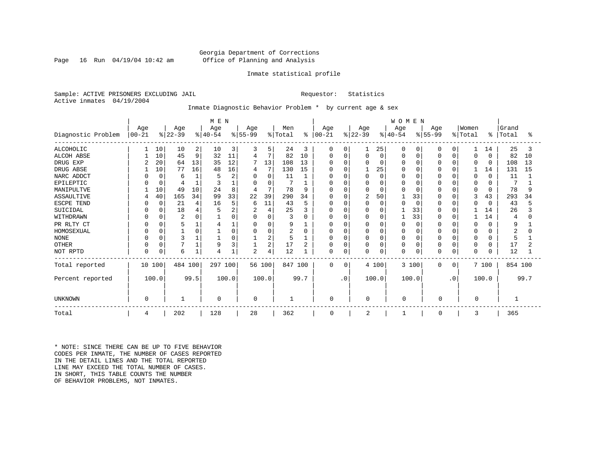### Georgia Department of Corrections Page 16 Run 04/19/04 10:42 am Office of Planning and Analysis

### Inmate statistical profile

Sample: ACTIVE PRISONERS EXCLUDING JAIL **Requestor:** Statistics Active inmates 04/19/2004

### Inmate Diagnostic Behavior Problem \* by current age & sex

|                    | M E N      |          |                |      |           |                |                |             |         |      |               |             |                |             | WOMEN        |             |              |           |          |             |         |      |
|--------------------|------------|----------|----------------|------|-----------|----------------|----------------|-------------|---------|------|---------------|-------------|----------------|-------------|--------------|-------------|--------------|-----------|----------|-------------|---------|------|
|                    | Age        |          | Age            |      | Age       |                | Age            |             | Men     |      | Age           |             | Age            |             | Age          |             | Age          |           | Women    |             | Grand   |      |
| Diagnostic Problem | $ 00 - 21$ |          | $ 22-39 $      |      | $ 40-54 $ |                | $ 55-99$       |             | % Total |      | $8   00 - 21$ |             | $ 22-39 $      |             | $ 40-54 $    |             | $ 55-99 $    |           | % Total  | ႜ           | Total   | °≈   |
| <b>ALCOHOLIC</b>   |            | 10       | 10             | 2    | 10        | 3              | 3              | 5.          | 24      | 3    | 0             | 0           |                | 25          | $\Omega$     | 0           | 0            | 0         | 1        | 14          | 25      | 3    |
| <b>ALCOH ABSE</b>  |            | 10       | 45             | 9    | 32        | 11             | 4              | 7           | 82      | 10   | 0             | $\mathbf 0$ | $\Omega$       | $\mathbf 0$ |              | $\mathbf 0$ | $\Omega$     | $\Omega$  | 0        | $\mathbf 0$ | 82      | 10   |
| DRUG EXP           | 2          | 20       | 64             | 13   | 35        | 12             | 7              | 13          | 108     | 13   | 0             | O           |                | 0           |              | 0           | $\Omega$     | $\Omega$  | $\Omega$ | $\mathbf 0$ | 108     | 13   |
| DRUG ABSE          |            | 10       | 77             | 16   | 48        | 16             | 4              |             | 130     | 15   | O             | O           |                | 25          |              | $\Omega$    |              | $\Omega$  |          | 14          | 131     | 15   |
| NARC ADDCT         |            | $\Omega$ | 6              |      |           | $\overline{2}$ | $\Omega$       | 0           | 11      |      | 0             | 0           |                | $\mathbf 0$ |              | $\Omega$    |              | $\Omega$  | 0        | $\Omega$    | 11      |      |
| EPILEPTIC          |            | $\Omega$ |                |      | κ         |                | $\Omega$       | $\mathbf 0$ |         |      | O             | $\Omega$    |                | $\Omega$    |              | $\Omega$    |              | $\Omega$  | 0        | O           |         |      |
| MANIPULTVE         |            | 10       | 49             | 10   | 24        | 8              | 4              | 7           | 78      | 9    | $\Omega$      | O           |                | $\Omega$    |              | $\Omega$    |              | $\Omega$  | 0        | $\Omega$    | 78      |      |
| <b>ASSAULTIVE</b>  |            | 40       | 165            | 34   | 99        | 33             | 22             | 39          | 290     | 34   | $\Omega$      | O           | $\overline{2}$ | 50          |              | 33          | $\Omega$     | $\Omega$  | 3        | 43          | 293     | 34   |
| ESCPE TEND         |            | $\Omega$ | 21             |      | 16        | 5              | 6              | 11          | 43      | 5    | 0             | $\Omega$    |                | $\mathbf 0$ |              | $\Omega$    | 0            | $\Omega$  | 0        | $\Omega$    | 43      |      |
| SUICIDAL           |            | 0        | 18             |      |           | 2              | $\overline{2}$ | 4           | 25      | 3    | <sup>0</sup>  | O           |                | 0           |              | 33          |              | $\Omega$  |          | 14          | 26      |      |
| WITHDRAWN          |            |          | $\overline{2}$ |      |           |                | $\Omega$       | $\Omega$    | 3       | U    | <sup>0</sup>  | U           |                | $\Omega$    |              | 33          |              | $\Omega$  |          | 14          | 4       |      |
| PR RLTY CT         |            |          | 5              |      |           |                | 0              | $\Omega$    | 9       |      | <sup>0</sup>  | 0           |                | 0           |              | $\Omega$    | $\Omega$     | $\Omega$  | O        | O           | 9       |      |
| HOMOSEXUAL         |            |          |                |      |           | $\cap$         | $\Omega$       | 0           | 2       | O    | 0             | $\Omega$    |                | $\Omega$    |              | $\Omega$    | $\Omega$     | $\cap$    | 0        | U           |         |      |
| <b>NONE</b>        |            |          | 3              |      |           |                |                | 2           | 5       |      | 0             | 0           |                | $\Omega$    |              | $\Omega$    | 0            | $\cap$    | $\Omega$ | O           | 5       |      |
| <b>OTHER</b>       |            |          |                |      | 9         |                |                | 2           | 17      | 2    | 0             | 0           |                | 0           |              | $\mathbf 0$ | 0            | ∩         | 0        | 0           | 17      |      |
| NOT RPTD           | 0          | 0        | 6              |      | 4         |                | $\overline{2}$ | 4           | 12      |      | 0             | 0           |                | 0           | <sup>0</sup> | $\mathbf 0$ |              | 0         | 0        | 0           | 12      |      |
| Total reported     | 10 100     |          | 484 100        |      | 297 100   |                |                | 56 100      | 847 100 |      | $\Omega$      | 0           |                | 4 100       |              | 3 100       | $\Omega$     | 0         |          | 7 100       | 854 100 |      |
| Percent reported   |            | 100.0    |                | 99.5 |           | 100.0          |                | 100.0       |         | 99.7 |               | $\cdot$ 0   |                | 100.0       |              | 100.0       |              | $\cdot$ 0 |          | 100.0       |         | 99.7 |
| UNKNOWN            | $\Omega$   |          |                |      | 0         |                | $\mathbf 0$    |             | 1       |      | $\Omega$      |             | 0              |             | 0            |             | O            |           | 0        |             |         |      |
| Total              | 4          |          | 202            |      | 128       |                | 28             |             | 362     |      | $\mathbf 0$   |             | 2              |             |              |             | <sup>0</sup> |           | 3        |             | 365     |      |

\* NOTE: SINCE THERE CAN BE UP TO FIVE BEHAVIOR CODES PER INMATE, THE NUMBER OF CASES REPORTED IN THE DETAIL LINES AND THE TOTAL REPORTED LINE MAY EXCEED THE TOTAL NUMBER OF CASES. IN SHORT, THIS TABLE COUNTS THE NUMBER OF BEHAVIOR PROBLEMS, NOT INMATES.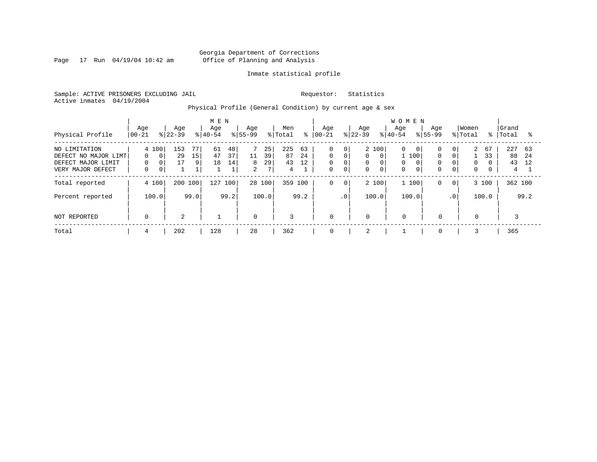Page 17 Run 04/19/04 10:42 am

### Inmate statistical profile

Sample: ACTIVE PRISONERS EXCLUDING JAIL Requestor: Statistics Active inmates 04/19/2004

Physical Profile (General Condition) by current age & sex

| Physical Profile                                                                 | Age<br>$00 - 21$                                                | Age<br>$ 22-39 $                 | M E N<br>Age<br>$8 40-54$                        | Age<br>$ 55-99 $                                               | Men<br>% Total<br>$\approx$            | Age<br>$ 00-21$                                          | Age<br>$ 22-39 $                                                                                                         | <b>WOMEN</b><br>Age<br>Age<br>$8 40-54$<br>$8155 - 99$                                                        | Women<br>% Total<br>ႜႜ                                                                                  | Grand<br>Total<br>°≈                    |
|----------------------------------------------------------------------------------|-----------------------------------------------------------------|----------------------------------|--------------------------------------------------|----------------------------------------------------------------|----------------------------------------|----------------------------------------------------------|--------------------------------------------------------------------------------------------------------------------------|---------------------------------------------------------------------------------------------------------------|---------------------------------------------------------------------------------------------------------|-----------------------------------------|
| NO LIMITATION<br>DEFECT NO MAJOR LIMT<br>DEFECT MAJOR LIMIT<br>VERY MAJOR DEFECT | 4 100<br>$\Omega$<br>$\Omega$<br>0<br>$\Omega$<br>$\Omega$<br>0 | 153<br>77<br>29<br>15<br>17<br>9 | 48<br>61<br>37<br>47<br>14<br>18<br>$\mathbf{1}$ | 25<br>39<br>11<br>29<br>8<br>$7\overline{ }$<br>$\overline{2}$ | 225<br>63<br>24<br>87<br>43<br>12<br>4 | $\mathbf 0$<br>$\mathbf 0$<br>$\mathbf 0$<br>$\mathbf 0$ | 2 100<br>$\overline{0}$<br>0<br>$\Omega$<br>$\Omega$<br>0<br>0<br>$\mathbf 0$<br>$\mathbf{0}$<br>$\mathbf 0$<br>$\Omega$ | 0<br>$\Omega$<br>$\overline{0}$<br>$\Omega$<br>100<br>$\Omega$<br>0<br>$\Omega$<br>$\Omega$<br>$\overline{0}$ | 2<br>67<br>0 <sup>1</sup><br>$\Omega$<br>33<br>$\mathbf 0$<br>$\Omega$<br>$\overline{0}$<br>$\mathbf 0$ | 227<br>63<br>88<br>-24<br>43<br>12<br>4 |
| Total reported                                                                   | 4 100                                                           | 200 100                          | 127<br>100                                       | 28 100                                                         | 359<br>100                             | 0                                                        | 2 100<br>$\mathbf 0$                                                                                                     | 1 100<br>0                                                                                                    | 3 100<br>$\mathbf{0}$                                                                                   | 362 100                                 |
| Percent reported                                                                 | 100.0                                                           | 99.0                             | 99.2                                             | 100.0                                                          | 99.2                                   |                                                          | .0 <sup>1</sup><br>100.0                                                                                                 | 100.0                                                                                                         | 100.0<br>$\cdot$ 0                                                                                      | 99.2                                    |
| NOT REPORTED                                                                     | 0                                                               | 2                                |                                                  | $\overline{0}$                                                 | 3                                      | $\mathbf 0$                                              | $\mathbf 0$                                                                                                              | $\mathbf 0$<br>$\mathbf 0$                                                                                    | $\mathbf{0}$                                                                                            |                                         |
| Total                                                                            | 4                                                               | 202                              | 128                                              | 28                                                             | 362                                    | 0                                                        | 2                                                                                                                        | 0                                                                                                             |                                                                                                         | 365                                     |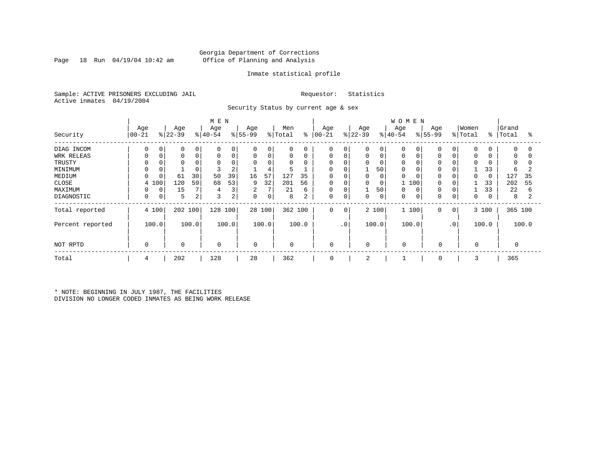### Georgia Department of Corrections Page 18 Run 04/19/04 10:42 am Office of Planning and Analysis

### Inmate statistical profile

Sample: ACTIVE PRISONERS EXCLUDING JAIL Requestor: Statistics Active inmates 04/19/2004

Security Status by current age & sex

|                   |                |   |                  |       | M E N            |             |                 |        |                |       |                      |             |                  |             | <b>WOMEN</b>     |       |                  |                 |                  |       |                |          |
|-------------------|----------------|---|------------------|-------|------------------|-------------|-----------------|--------|----------------|-------|----------------------|-------------|------------------|-------------|------------------|-------|------------------|-----------------|------------------|-------|----------------|----------|
| Security          | Age<br>  00-21 |   | Age<br>$8 22-39$ |       | Age<br>$ 40-54 $ |             | Age<br>$ 55-99$ |        | Men<br>% Total |       | Age<br>$8   00 - 21$ |             | Age<br>$ 22-39 $ |             | Age<br>$8 40-54$ |       | Age<br>$ 55-99 $ |                 | Women<br>% Total | ిం    | Grand<br>Total | °        |
|                   |                |   |                  |       |                  |             |                 |        |                |       |                      |             |                  |             |                  |       |                  |                 |                  |       |                |          |
| DIAG INCOM        | $\Omega$       | 0 | $\mathbf 0$      | 0     | $\Omega$         | $\mathbf 0$ | $\mathbf 0$     | 0      | $\mathbf 0$    | 0     | 0                    | 0           | 0                | 0           | 0                |       | $\Omega$         | $\Omega$        | $\mathbf 0$      |       | $\mathbf 0$    | $\Omega$ |
| <b>WRK RELEAS</b> |                | 0 | $\mathbf 0$      | 0     | $\Omega$         | $\mathbf 0$ | 0               | 0      | $\mathbf 0$    | 0     | 0                    | $\mathbf 0$ | 0                | $\mathsf 0$ | 0                |       | $\Omega$         | $\Omega$        | 0                |       | 0              | $\Omega$ |
| TRUSTY            |                |   |                  |       | $\Omega$         |             | 0               | 0      | $\Omega$       | 0     | 0                    |             | 0                | 0           | 0                |       |                  |                 | $\Omega$         |       | $\Omega$       | 0        |
| MINIMUM           |                |   |                  |       | 3                | 2           |                 | 4      | 5              |       | 0                    |             |                  | 50          | 0                |       | $\Omega$         |                 |                  | 33    | 6              | 2        |
| MEDIUM            |                |   | 61               | 30    | 50               | 39          | 16              | 57     | 127            | 35    | $\Omega$             |             |                  | 0           | $\Omega$         |       |                  |                 |                  |       | 127            | 35       |
| CLOSE             | 4 100          |   | 120              | 59    | 68               | 53          | 9               | 32     | 201            | 56    | 0                    | 0           | 0                | 0           |                  | 100   | $\Omega$         |                 |                  | 33    | 202            | 55       |
| MAXIMUM           |                | 0 | 15               |       | 4                | 3           | 2               | 7      | 21             | 6     | 0                    | $\mathbf 0$ |                  | 50          | 0                |       | $\Omega$         |                 |                  | 33    | 22             | 6        |
| DIAGNOSTIC        | $\mathbf 0$    | 0 | 5                | 2     | 3                | 2           | 0               | 0      | 8              | 2     | 0                    | 0           | 0                | $\mathbf 0$ | 0                | 0     | $\Omega$         | $\mathbf 0$     | 0                |       | 8              |          |
| Total reported    | 4 100          |   | 202 100          |       | 128              | 100         |                 | 28 100 | 362 100        |       | 0                    | 0           |                  | 2 100       |                  | 1 100 | 0                | 0               |                  | 3 100 | 365 100        |          |
| Percent reported  | 100.0          |   |                  | 100.0 |                  | 100.0       |                 | 100.0  |                | 100.0 |                      | $\cdot$ 0   |                  | 100.0       |                  | 100.0 |                  | .0 <sup>′</sup> |                  | 100.0 |                | 100.0    |
| NOT RPTD          | $\Omega$       |   | $\mathbf 0$      |       | $\mathbf 0$      |             | $\mathbf 0$     |        | $\mathbf 0$    |       | 0                    |             | $\Omega$         |             | $\Omega$         |       | $\mathbf 0$      |                 | 0                |       |                |          |
| Total             | 4              |   | 202              |       | 128              |             | 28              |        | 362            |       | 0                    |             | 2                |             |                  |       | 0                |                 | 3                |       | 365            |          |

\* NOTE: BEGINNING IN JULY 1987, THE FACILITIES DIVISION NO LONGER CODED INMATES AS BEING WORK RELEASE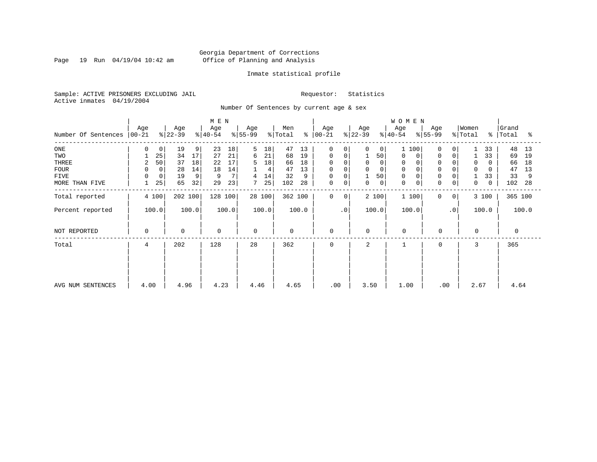Page 19 Run 04/19/04 10:42 am

### Inmate statistical profile

Sample: ACTIVE PRISONERS EXCLUDING JAIL Requestor: Statistics Active inmates 04/19/2004

Number Of Sentences by current age & sex

|                             | M E N |    |             |       |             |       |           |        |             |       |             |           |           |             | WOMEN            |             |                |          |       |           |       |
|-----------------------------|-------|----|-------------|-------|-------------|-------|-----------|--------|-------------|-------|-------------|-----------|-----------|-------------|------------------|-------------|----------------|----------|-------|-----------|-------|
|                             | Age   |    | Age         |       | Age         |       | Age       |        | Men         |       | Age         |           | Age       |             | Age              | Age         |                | Women    |       | Grand     |       |
| Number Of Sentences   00-21 |       |    | $ 22-39 $   |       | $ 40-54 $   |       | $8 55-99$ |        | % Total     | ᡷ     | $ 00-21$    |           | $ 22-39 $ |             | $ 40-54 $        | $8 55-99$   |                | % Total  |       | %   Total | ್ಠಿ   |
| $_{\rm ONE}$                | 0     | 0  | 19          | 9     | 23          | 18    | 5         | 18     | 47          | 13    | 0           | 0         | 0         | 0           | 100              | 0           | 0              |          | 33    | 48        | 13    |
| TWO                         |       | 25 | 34          | 17    | 27          | 21    | 6         | 21     | 68          | 19    | 0           | 0         |           | 50          | 0<br>0           | $\mathbf 0$ | 0              |          | 33    | 69        | 19    |
| THREE                       | 2     | 50 | 37          | 18    | 22          | 17    | 5         | 18     | 66          | 18    | 0           |           | 0         |             | 0                | 0           |                | 0        | 0     | 66        | 18    |
| <b>FOUR</b>                 | 0     | 0  | 28          | 14    | 18          | 14    |           | 4      | 47          | 13    | 0           |           | $\Omega$  |             | $\mathbf 0$      | $\mathbf 0$ |                | $\Omega$ | 0     | 47        | 13    |
| FIVE                        | 0     | 0  | 19          | 9     | 9           | 7     | 4         | 14     | 32          | 9     | 0           | 0         | 1         | 50          | $\mathbf 0$      | $\mathbf 0$ |                |          | 33    | 33        | 9     |
| MORE THAN FIVE              |       | 25 | 65          | 32    | 29          | 23    |           | 25     | 102         | 28    | 0           | 0         | 0         | $\mathbf 0$ | $\mathbf 0$<br>0 | $\mathbf 0$ | 0              | 0        | 0     | 102       | 28    |
| Total reported              | 4 100 |    | 202 100     |       | 128 100     |       |           | 28 100 | 362 100     |       | $\Omega$    | 0         | 2 100     |             | 1 100            | $\Omega$    | 0 <sup>1</sup> |          | 3 100 | 365 100   |       |
| Percent reported            | 100.0 |    |             | 100.0 |             | 100.0 |           | 100.0  |             | 100.0 |             | $\cdot$ 0 | 100.0     |             | 100.0            |             | $\cdot$ 0      |          | 100.0 |           | 100.0 |
| NOT REPORTED                | 0     |    | $\mathbf 0$ |       | $\mathbf 0$ |       | $\Omega$  |        | $\mathbf 0$ |       | $\mathbf 0$ |           | $\Omega$  |             | $\Omega$         | 0           |                | $\Omega$ |       | 0         |       |
| Total                       | 4     |    | 202         |       | 128         |       | 28        |        | 362         |       | $\mathbf 0$ |           | 2         |             |                  | $\Omega$    |                | 3        |       | 365       |       |
|                             |       |    |             |       |             |       |           |        |             |       |             |           |           |             |                  |             |                |          |       |           |       |
|                             |       |    |             |       |             |       |           |        |             |       |             |           |           |             |                  |             |                |          |       |           |       |
| AVG NUM SENTENCES           | 4.00  |    | 4.96        |       | 4.23        |       | 4.46      |        | 4.65        |       | .00         |           | 3.50      |             | 1.00             |             | .00            | 2.67     |       | 4.64      |       |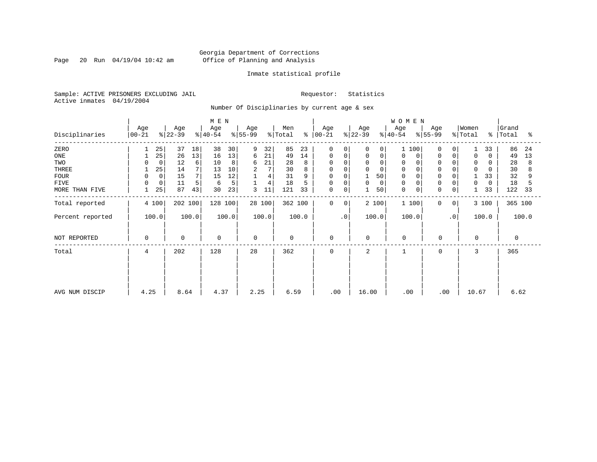Page 20 Run  $04/19/04$  10:42 am

### Inmate statistical profile

Sample: ACTIVE PRISONERS EXCLUDING JAIL Requestor: Statistics Active inmates 04/19/2004

Number Of Disciplinaries by current age & sex

|                  |                         |                  | M E N            |                 |                     |                         |                  | WOMEN                   |                         |                                   |                     |
|------------------|-------------------------|------------------|------------------|-----------------|---------------------|-------------------------|------------------|-------------------------|-------------------------|-----------------------------------|---------------------|
| Disciplinaries   | Age<br>$ 00-21 $        | Age<br>$ 22-39 $ | Age<br>$ 40-54 $ | Age<br>$ 55-99$ | Men<br>% Total<br>ႜ | Age<br>$ 00-21 $        | Age<br>$ 22-39 $ | Age<br>$ 40-54 $        | Age<br>$ 55-99$         | Women<br>% Total<br>$\frac{8}{6}$ | Grand<br>Total<br>ఄ |
| ZERO             | 25                      | 37<br>18         | 38<br>30         | 9<br>32         | 85<br>23            | $\mathbf 0$<br>$\Omega$ | 0<br>$\Omega$    | 100                     | $\Omega$<br>$\Omega$    | 33                                | 86<br>24            |
| ONE              | 25                      | 13<br>26         | 13<br>16         | 21<br>6         | 14<br>49            | 0<br>0                  | 0<br>0           | $\Omega$<br>$\mathbf 0$ | $\mathbf 0$<br>$\Omega$ | $\mathbf 0$<br>$\Omega$           | 49<br>13            |
| TWO              | $\mathbf 0$             | 12<br>6          | 10<br>8          | 21<br>6         | 28                  | $\Omega$<br>$\Omega$    | 0<br>0           | 0                       |                         | 0<br>0                            | 28<br>8             |
| THREE            | 25                      | 7<br>14          | 13<br>10         | 7<br>2          | 30                  | $\Omega$<br>$\Omega$    | 0<br>$\Omega$    | $\mathbf 0$             |                         | $\mathbf 0$<br>$\Omega$           | 30                  |
| <b>FOUR</b>      | $\mathbf 0$<br>$\Omega$ | 15               | 12<br>15         | 4               | 31<br>9             | $\Omega$<br>$\Omega$    | 50               | $\Omega$                |                         | 33                                | 32                  |
| <b>FIVE</b>      | 0<br>$\Omega$           | 11<br>5          | 5<br>6           | 4               | 18                  | $\Omega$<br>0           | 0<br>0           | $\mathbf 0$             | 0                       | 0<br>0                            | 18                  |
| MORE THAN FIVE   | 25                      | 87<br>43         | 23<br>30         | 11<br>3         | 121<br>33           | $\mathbf 0$<br>0        | 50               | $\mathbf 0$<br>0        | $\Omega$<br>$\mathbf 0$ | 33<br>$\mathbf{1}$                | 122<br>33           |
| Total reported   | 4 100                   | 202 100          | 128 100          | 28 100          | 362 100             | 0<br>$\mathbf{0}$       | 2 100            | 1 100                   | 0<br>0                  | 3 100                             | 365 100             |
| Percent reported | 100.0                   | 100.0            | 100.0            | 100.0           | 100.0               | $\cdot$ 0               | 100.0            | 100.0                   | $\cdot$ 0               | 100.0                             | 100.0               |
| NOT REPORTED     | 0                       | $\Omega$         | $\mathbf 0$      | $\Omega$        | $\mathbf 0$         | $\mathbf 0$             | $\Omega$         | $\mathbf 0$             | $\Omega$                | $\Omega$                          | $\Omega$            |
| Total            | 4                       | 202              | 128              | 28              | 362                 | 0                       | $\overline{a}$   | 1                       | 0                       | 3                                 | 365                 |
|                  |                         |                  |                  |                 |                     |                         |                  |                         |                         |                                   |                     |
| AVG NUM DISCIP   | 4.25                    | 8.64             | 4.37             | 2.25            | 6.59                | .00                     | 16.00            | .00                     | .00                     | 10.67                             | 6.62                |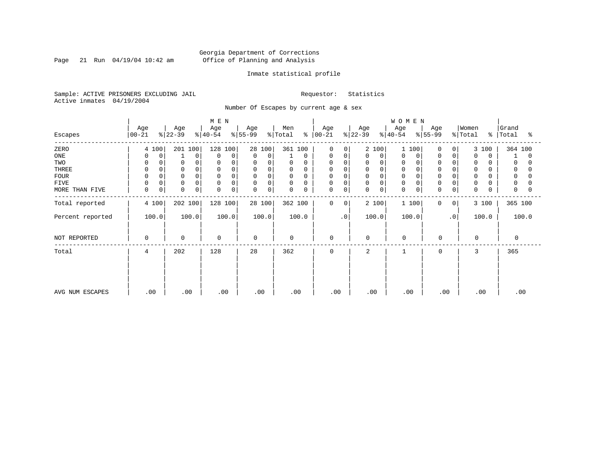Page 21 Run  $04/19/04$  10:42 am

### Inmate statistical profile

Sample: ACTIVE PRISONERS EXCLUDING JAIL Requestor: Statistics Active inmates 04/19/2004

Number Of Escapes by current age & sex

|                  |                  |                      | M E N                      |                         |                     |                            |                  | WOMEN            |                   |                                   |                     |
|------------------|------------------|----------------------|----------------------------|-------------------------|---------------------|----------------------------|------------------|------------------|-------------------|-----------------------------------|---------------------|
| Escapes          | Age<br>$00 - 21$ | Age<br>$ 22-39 $     | Age<br>$ 40-54 $           | Age<br>$ 55-99 $        | Men<br>% Total<br>ະ | Age<br>$ 00 - 21 $         | Age<br>$ 22-39 $ | Age<br>$ 40-54 $ | Age<br>$ 55-99 $  | Women<br>% Total<br>$\frac{1}{6}$ | Grand<br>Total<br>ႜ |
| ZERO             | 4 100            | 201 100              | 128 100                    | 28 100                  | 361 100             | $\Omega$<br>$\Omega$       | 2 100            | 100              | 0<br>$\Omega$     | 3 100                             | 364 100             |
| ONE              | 0<br>$\Omega$    | $\Omega$             | $\mathbf 0$<br>$\Omega$    | 0<br>$\mathbf 0$        | 0                   | 0<br>0                     | 0<br>0           | 0<br>0           | 0<br>0            | $\Omega$<br>0                     | 0                   |
| TWO              | 0<br>$\Omega$    | 0                    | $\Omega$                   | 0<br>$\Omega$           | 0<br>$\Omega$       | 0<br>$\Omega$              | 0<br>$\Omega$    | 0                | $\mathbf 0$       | 0                                 | 0                   |
| THREE            | $\mathbf 0$      | $\mathbf 0$          | $\Omega$                   | 0<br>0                  | $\mathbf 0$<br>0    | 0<br>$\Omega$              | 0                | $\mathbf 0$      | $\mathbf 0$       | 0                                 | 0                   |
| <b>FOUR</b>      | $\Omega$         |                      | $\Omega$                   | $\mathbf 0$<br>$\Omega$ | 0<br>$\Omega$       | 0                          | 0                | $\Omega$         | $\Omega$          | $\Omega$                          |                     |
| FIVE             | 0<br>0           | $\mathbf 0$          | 0<br>$\Omega$              | $\mathbf 0$<br>0        | 0<br>0              | 0<br>$\Omega$              | 0<br>$\Omega$    | 0                | $\Omega$          | 0                                 | 0                   |
| MORE THAN FIVE   | $\mathbf 0$<br>0 | $\Omega$<br>$\Omega$ | $\mathbf 0$<br>$\mathbf 0$ | 0<br>$\Omega$           | $\mathbf 0$<br>0    | $\mathbf 0$<br>$\mathbf 0$ | 0<br>0           | $\mathbf 0$<br>0 | 0<br>0            | $\mathbf 0$                       | $\Omega$            |
| Total reported   | 4 100            | 202 100              | 128 100                    | 28 100                  | 362 100             | 0<br>$\mathbf{0}$          | 2 100            | 1 100            | $\mathbf{0}$<br>0 | 3 100                             | 365 100             |
| Percent reported | 100.0            | 100.0                | 100.0                      | 100.0                   | 100.0               | $\cdot$ 0                  | 100.0            | 100.0            | $\cdot$ 0         | 100.0                             | 100.0               |
| NOT REPORTED     | $\Omega$         | $\mathbf 0$          | $\mathbf 0$                | $\Omega$                | $\mathbf 0$         | 0                          | $\Omega$         | $\mathbf 0$      | $\mathbf 0$       | $\Omega$                          | 0                   |
| Total            | 4                | 202                  | 128                        | 28                      | 362                 | $\mathbf 0$                | 2                |                  | 0                 | 3                                 | 365                 |
|                  |                  |                      |                            |                         |                     |                            |                  |                  |                   |                                   |                     |
|                  |                  |                      |                            |                         |                     |                            |                  |                  |                   |                                   |                     |
| AVG NUM ESCAPES  | .00              | .00                  | .00                        | .00                     | .00                 | .00                        | .00              | .00              | .00               | .00                               | .00                 |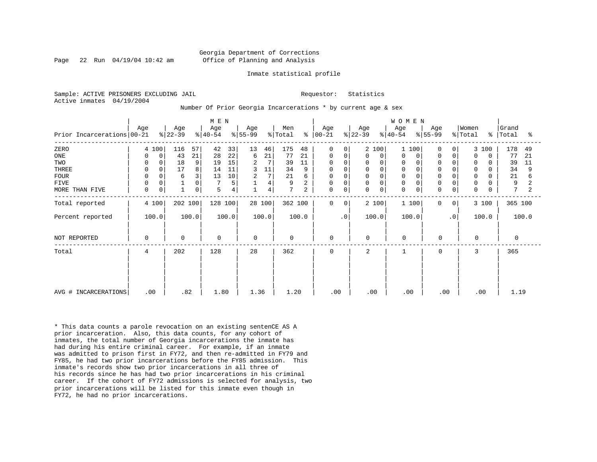### Georgia Department of Corrections Page 22 Run 04/19/04 10:42 am Office of Planning and Analysis

#### Inmate statistical profile

Sample: ACTIVE PRISONERS EXCLUDING JAIL **Requestor:** Statistics Active inmates 04/19/2004

Number Of Prior Georgia Incarcerations \* by current age & sex

| Prior Incarcerations 00-21                                           | Age                                                              | Age<br>$ 22-39 $                                                | M E N<br>Age<br>$ 40-54 $                                               | Age<br>$ 55-99 $                                                                       | Men<br>% Total<br>៖                                                                      | Age<br>$ 00-21$                                                        | Age<br>$ 22-39 $                                                                          | WOMEN<br>Age<br>Age<br>$ 55-99 $<br>$ 40-54 $                                                                                                                                        | Women<br>% Total<br>$\approx$ 1                                                                                                                      | Grand<br>Total<br>ႜ                                               |
|----------------------------------------------------------------------|------------------------------------------------------------------|-----------------------------------------------------------------|-------------------------------------------------------------------------|----------------------------------------------------------------------------------------|------------------------------------------------------------------------------------------|------------------------------------------------------------------------|-------------------------------------------------------------------------------------------|--------------------------------------------------------------------------------------------------------------------------------------------------------------------------------------|------------------------------------------------------------------------------------------------------------------------------------------------------|-------------------------------------------------------------------|
| ZERO<br>ONE<br>TWO<br>THREE<br><b>FOUR</b><br>FIVE<br>MORE THAN FIVE | 4 100<br>0<br>0<br>0<br>0<br>$\Omega$<br>0<br>$\Omega$<br>0<br>0 | 57<br>116<br>43<br>21<br>18<br>9<br>8<br>17<br>3<br>6<br>0<br>0 | 42<br>33<br>22<br>28<br>15<br>19<br>14<br>11<br>10<br>13<br>5<br>5<br>4 | 13<br>46<br>21<br>6<br>2<br>7<br>3<br>11<br>7<br>$\overline{a}$<br>4<br>$\overline{4}$ | 175<br>48<br>77<br>21<br>39<br>11<br>34<br>9<br>21<br>6<br>9<br>$\overline{2}$<br>7<br>2 | 0<br>0<br>0<br>0<br>0<br>$\mathbf 0$<br>0<br>0<br>$\Omega$<br>$\Omega$ | 2 100<br>$\Omega$<br>0<br>0<br>$\mathsf 0$<br>$\mathbf 0$<br>$\mathbf 0$<br>$\Omega$<br>0 | 1 100<br>$\Omega$<br>$\Omega$<br>$\Omega$<br>0<br>0<br>$\Omega$<br>$\mathbf 0$<br>$\Omega$<br>$\mathbf 0$<br>$\Omega$<br>$\mathbf 0$<br>$\Omega$<br>$\Omega$<br>$\Omega$<br>$\Omega$ | 3 100<br>$\overline{0}$<br>0<br>$\Omega$<br>$\Omega$<br>$\Omega$<br>0<br>$\Omega$<br>O<br>$\mathbf 0$<br>0<br>0<br>$\mathbf 0$<br>0<br>$\Omega$<br>O | 178<br>49<br>77<br>21<br>39<br>11<br>34<br>9<br>21<br>6<br>9<br>7 |
| Total reported<br>Percent reported                                   | 4 100<br>100.0                                                   | 202 100<br>100.0                                                | 128 100<br>100.0                                                        | 28 100<br>100.0                                                                        | 362 100<br>100.0                                                                         | $\mathbf 0$<br>$\Omega$<br>$\cdot$ 0                                   | 2 100<br>100.0                                                                            | 1 100<br>$\Omega$<br>100.0                                                                                                                                                           | 3 100<br>0 <sup>1</sup><br>$\cdot$ 0<br>100.0                                                                                                        | 365 100<br>100.0                                                  |
| NOT REPORTED                                                         | 0                                                                | $\Omega$                                                        | $\mathbf 0$                                                             | $\mathbf 0$                                                                            | $\mathbf 0$                                                                              | $\mathbf 0$                                                            | $\mathbf 0$                                                                               | $\Omega$<br>$\mathbf 0$                                                                                                                                                              | $\Omega$                                                                                                                                             | $\Omega$                                                          |
| Total                                                                | 4                                                                | 202                                                             | 128                                                                     | 28                                                                                     | 362                                                                                      | $\mathbf 0$                                                            | 2                                                                                         | 0                                                                                                                                                                                    | 3                                                                                                                                                    | 365                                                               |
| AVG # INCARCERATIONS                                                 | .00                                                              | .82                                                             | 1.80                                                                    | 1.36                                                                                   | 1.20                                                                                     | .00                                                                    | .00                                                                                       | .00<br>.00                                                                                                                                                                           | .00                                                                                                                                                  | 1.19                                                              |

\* This data counts a parole revocation on an existing sentenCE AS A prior incarceration. Also, this data counts, for any cohort of inmates, the total number of Georgia incarcerations the inmate has had during his entire criminal career. For example, if an inmate was admitted to prison first in FY72, and then re-admitted in FY79 and FY85, he had two prior incarcerations before the FY85 admission. This inmate's records show two prior incarcerations in all three of his records since he has had two prior incarcerations in his criminal career. If the cohort of FY72 admissions is selected for analysis, two prior incarcerations will be listed for this inmate even though in FY72, he had no prior incarcerations.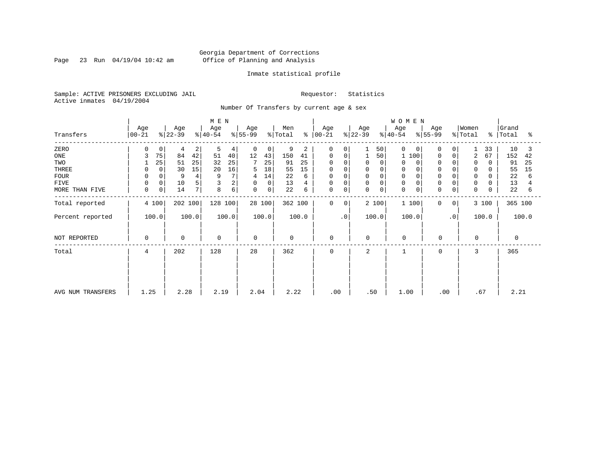Page 23 Run 04/19/04 10:42 am

### Inmate statistical profile

Sample: ACTIVE PRISONERS EXCLUDING JAIL Requestor: Statistics Active inmates 04/19/2004

Number Of Transfers by current age & sex

|                   |                     |                      | M E N            |                   |                                 |                             |                  | <b>WOMEN</b>                              |                              |                         |
|-------------------|---------------------|----------------------|------------------|-------------------|---------------------------------|-----------------------------|------------------|-------------------------------------------|------------------------------|-------------------------|
| Transfers         | Age<br>$ 00-21 $    | Age<br>$ 22-39 $     | Age<br>$ 40-54 $ | Age<br>$ 55-99 $  | Men<br>% Total<br>$\frac{8}{6}$ | Age<br>$ 00-21 $            | Age<br>$8 22-39$ | Age<br>Age<br>$ 55-99 $<br>$8 40-54$      | Women<br>$\frac{1}{2}$ Total | Grand<br>%   Total<br>ႜ |
| ZERO              | 0                   | $\overline{2}$<br>4  | 5<br>4           | $\mathbf{0}$<br>0 | 9<br>2                          | 0<br>0                      | 50               | 0<br>$\Omega$<br>0                        | 33<br>0                      | 10<br>3                 |
| ONE               | 75                  | 42<br>84             | 51<br>40         | 12<br>43          | 150<br>41                       | 0<br>0                      | 50               | 100<br>$\Omega$                           | 2<br>67<br>0                 | 152<br>42               |
| TWO               | 25                  | 25<br>51             | 25<br>32         | 7<br>25           | 91<br>25                        | $\Omega$<br>0               | $\Omega$         | 0<br>0                                    | $\mathbf 0$<br>0<br>$\Omega$ | 91<br>25                |
| THREE             | 0                   | 15<br>30             | 16<br>20         | 18<br>5           | 55<br>15                        | 0<br>$\Omega$               | 0                | 0                                         | 0                            | 55<br>15                |
| <b>FOUR</b>       |                     | 9                    | 9                | 14<br>4           | 22<br>6                         | 0<br>$\Omega$               | $\Omega$         | 0                                         | $\mathbf 0$                  | 22<br>6                 |
| <b>FIVE</b>       | 0                   | 10<br>5              | 2                | 0<br>0            | 13<br>4                         | 0<br>0                      | 0<br>$\Omega$    | $\mathbf 0$                               | $\mathbf 0$<br>0             | 13                      |
| MORE THAN FIVE    | 0 <sup>1</sup><br>0 | 7 <sup>1</sup><br>14 | 6<br>8           | $\mathbf 0$<br>0  | 22<br>6                         | 0<br>0                      | 0<br>$\mathbf 0$ | $\mathbf 0$<br>$\mathbf 0$<br>$\mathbf 0$ | 0<br>$\mathbf 0$             | 22<br>6                 |
| Total reported    | 4 100               | 202 100              | 128 100          | 28 100            | 362 100                         | $\mathbf 0$<br>$\mathbf{0}$ | 2 100            | 1 100<br>$\mathbf{0}$                     | 3 100<br>0                   | 365 100                 |
| Percent reported  | 100.0               | 100.0                | 100.0            | 100.0             | 100.0                           | $\cdot$ 0                   | 100.0            | 100.0                                     | $\cdot$ 0<br>100.0           | 100.0                   |
| NOT REPORTED      | 0                   | $\mathbf 0$          | 0                | $\mathbf 0$       | $\mathbf 0$                     | $\mathbf 0$                 | $\mathbf 0$      | $\mathbf 0$<br>$\mathbf 0$                | $\mathbf 0$                  | $\mathbf 0$             |
| Total             | 4                   | 202                  | 128              | 28                | 362                             | 0                           | 2                | 0<br>1                                    | 3                            | 365                     |
|                   |                     |                      |                  |                   |                                 |                             |                  |                                           |                              |                         |
|                   |                     |                      |                  |                   |                                 |                             |                  |                                           |                              |                         |
| AVG NUM TRANSFERS | 1.25                | 2.28                 | 2.19             | 2.04              | 2.22                            | .00                         | .50              | 1.00                                      | .67<br>.00                   | 2.21                    |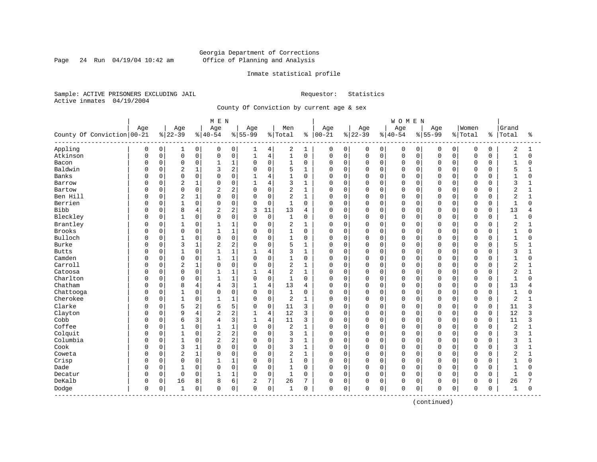Page 24 Run 04/19/04 10:42 am

### Inmate statistical profile

Sample: ACTIVE PRISONERS EXCLUDING JAIL Requestor: Statistics Active inmates 04/19/2004

County Of Conviction by current age & sex

|                            |          | M E N    |                |                |                |                |                |                |                |              |              |             |             |             | <b>WOMEN</b> |          |           |             |             |             |                |              |
|----------------------------|----------|----------|----------------|----------------|----------------|----------------|----------------|----------------|----------------|--------------|--------------|-------------|-------------|-------------|--------------|----------|-----------|-------------|-------------|-------------|----------------|--------------|
|                            | Age      |          | Age            |                | Age            |                | Age            |                | Men            |              | Age          |             | Age         |             | Age          |          | Age       |             | Women       |             | Grand          |              |
| County Of Conviction 00-21 |          |          | $8 22-39$      |                | $8140 - 54$    |                | $8155 - 99$    |                | % Total        | ႜ            | $ 00 - 21$   |             | $ 22-39$    |             | $8 40-54$    |          | $8 55-99$ |             | % Total     | ႜ           | Total          | ႜ            |
| Appling                    | 0        | 0        | 1              | 0              | 0              | 0              | 1              | 4              | 2              | 1            | 0            | 0           | 0           | 0           | 0            | 0        | 0         | 0           | 0           | 0           | 2              | 1            |
| Atkinson                   | 0        | 0        | $\mathsf 0$    | 0              | $\Omega$       | 0              | $\mathbf{1}$   | $\,4$          | $\mathbf{1}$   | $\mathbf 0$  | 0            | $\mathbf 0$ | $\mathsf 0$ | $\mathbf 0$ | $\mathbf 0$  | 0        | $\Omega$  | $\mathbf 0$ | $\mathbf 0$ | $\mathbf 0$ | $\mathbf{1}$   | $\Omega$     |
| Bacon                      | O        | 0        | $\mathbf 0$    | 0              | $\mathbf{1}$   | $1\,$          | $\Omega$       | $\mathbf 0$    | $\mathbf{1}$   | $\mathbf 0$  | 0            | $\mathbf 0$ | $\mathbf 0$ | $\mathbf 0$ | $\mathbf 0$  | 0        | $\Omega$  | $\Omega$    | $\mathbf 0$ | $\Omega$    | $\mathbf{1}$   | $\Omega$     |
| Baldwin                    | C        | 0        | 2              | 1              | κ              | $\overline{c}$ | $\Omega$       | $\mathbf 0$    | 5              | 1            | 0            | $\mathbf 0$ | 0           | 0           | $\Omega$     | 0        | $\Omega$  | $\cap$      | $\mathbf 0$ | 0           | 5              |              |
| Banks                      | C        | $\Omega$ | $\mathbf 0$    | $\Omega$       | $\cap$         | $\Omega$       | $\mathbf{1}$   | 4              | 1              | $\Omega$     | <sup>0</sup> | $\Omega$    | 0           | $\Omega$    | $\Omega$     | $\Omega$ | $\cap$    | $\cap$      | $\Omega$    | $\Omega$    | $\mathbf{1}$   | $\Omega$     |
| Barrow                     | C        | 0        | 2              | $\mathbf{1}$   | $\Omega$       | $\mathbf 0$    | 1              | $\overline{4}$ | 3              | $\mathbf{1}$ | 0            | $\mathbf 0$ | 0           | $\Omega$    | $\Omega$     | $\Omega$ | $\Omega$  | $\Omega$    | $\mathbf 0$ | $\Omega$    | 3              |              |
| Bartow                     | C        | 0        | $\mathbf 0$    | 0              | $\overline{2}$ | $\overline{c}$ | $\Omega$       | $\mathbf 0$    | 2              | $\mathbf{1}$ | $\Omega$     | $\mathbf 0$ | 0           | $\mathbf 0$ | $\Omega$     | 0        | $\Omega$  | $\mathbf 0$ | $\mathbf 0$ | 0           | $\overline{c}$ | 1            |
| Ben Hill                   | C        | 0        | $\overline{2}$ | $\mathbf 1$    | $\Omega$       | $\mathbf 0$    | $\Omega$       | $\mathbf 0$    | 2              | 1            | 0            | $\mathbf 0$ | 0           | $\mathbf 0$ | $\Omega$     | 0        | $\Omega$  | $\Omega$    | $\mathbf 0$ | $\Omega$    | $\overline{2}$ | $\mathbf{1}$ |
| Berrien                    | 0        | 0        | $\mathbf{1}$   | 0              | $\Omega$       | 0              | $\Omega$       | 0              | 1              | $\mathbf 0$  | 0            | $\mathbf 0$ | 0           | 0           | $\Omega$     | 0        | $\Omega$  | $\Omega$    | $\mathbf 0$ | 0           | $\mathbf{1}$   | 0            |
| Bibb                       | C        | 0        | 8              | 4              | $\overline{2}$ | 2              | 3              | 11             | 13             | 4            | 0            | $\mathbf 0$ | 0           | $\mathbf 0$ | 0            | 0        | $\Omega$  | $\Omega$    | $\mathbf 0$ | $\mathbf 0$ | 13             | 4            |
| Bleckley                   | O        | 0        | $\mathbf{1}$   | 0              | $\Omega$       | $\mathbf 0$    | $\Omega$       | $\mathbf 0$    | $\mathbf{1}$   | 0            | 0            | $\mathbf 0$ | $\mathbf 0$ | $\mathbf 0$ | $\mathbf 0$  | 0        | $\Omega$  | $\Omega$    | $\mathbf 0$ | 0           | $\mathbf{1}$   | 0            |
| Brantley                   | U        | 0        | $\mathbf{1}$   | 0              | 1              | $\mathbf{1}$   | $\Omega$       | $\mathbf 0$    | $\overline{2}$ | $\mathbf{1}$ | 0            | $\mathbf 0$ | 0           | $\Omega$    | $\mathbf 0$  | $\Omega$ | $\Omega$  | $\Omega$    | $\mathbf 0$ | $\Omega$    | $\overline{2}$ | 1            |
| Brooks                     | C        | 0        | $\mathbf 0$    | 0              |                | $1\,$          | $\Omega$       | $\mathbf 0$    | $\mathbf{1}$   | $\mathbf 0$  | $\Omega$     | $\mathbf 0$ | 0           | $\mathbf 0$ | $\Omega$     | 0        | $\Omega$  | $\Omega$    | $\mathbf 0$ | 0           | $\mathbf{1}$   | $\Omega$     |
| Bulloch                    |          | 0        | $\mathbf{1}$   | 0              | $\Omega$       | $\mathbf 0$    | $\Omega$       | $\mathbf 0$    | $\mathbf{1}$   | $\mathbf 0$  | $\Omega$     | $\Omega$    | 0           | $\Omega$    | $\Omega$     | 0        | $\Omega$  | $\cap$      | $\mathbf 0$ | 0           | $\mathbf{1}$   | U            |
| Burke                      | C        | 0        | 3              | 1              | $\overline{2}$ | $\overline{c}$ | $\Omega$       | $\mathbf 0$    | 5              | $\mathbf{1}$ | 0            | $\mathbf 0$ | $\mathbf 0$ | $\mathbf 0$ | $\mathbf 0$  | 0        | $\Omega$  | $\Omega$    | $\mathbf 0$ | 0           | 5              |              |
| <b>Butts</b>               | C        | 0        | $\mathbf{1}$   | 0              |                | $\mathbf{1}$   |                | $\overline{4}$ | 3              | $\mathbf{1}$ | $\Omega$     | $\mathbf 0$ | 0           | $\Omega$    | $\Omega$     | $\Omega$ | $\Omega$  | $\Omega$    | $\mathbf 0$ | $\Omega$    | 3              |              |
| Camden                     | C        | $\Omega$ | $\mathbf 0$    | 0              | 1              | $\mathbf{1}$   | $\Omega$       | $\mathbf 0$    | 1              | $\Omega$     | 0            | $\Omega$    | 0           | $\Omega$    | $\Omega$     | $\Omega$ | $\Omega$  | $\cap$      | $\Omega$    | $\Omega$    | $\mathbf{1}$   | U            |
| Carroll                    | 0        | 0        | 2              | 1              | $\Omega$       | $\mathbf 0$    | $\mathbf 0$    | $\mathbf 0$    | 2              | 1            | 0            | $\mathbf 0$ | 0           | $\mathbf 0$ | $\Omega$     | $\Omega$ | $\Omega$  | $\Omega$    | $\mathbf 0$ | 0           | 2              |              |
| Catoosa                    | C        | 0        | 0              | 0              | 1              | $1\,$          | $\mathbf{1}$   | $\overline{4}$ | $\overline{2}$ | $\mathbf{1}$ | $\Omega$     | $\mathbf 0$ | 0           | $\mathbf 0$ | $\Omega$     | 0        | $\Omega$  | $\Omega$    | $\mathbf 0$ | 0           | $\overline{2}$ | 1            |
| Charlton                   | C        | 0        | $\mathbf 0$    | 0              | $\mathbf{1}$   | $\mathbf{1}$   | $\Omega$       | $\mathbf 0$    | 1              | $\mathbf 0$  | $\Omega$     | $\mathbf 0$ | $\mathbf 0$ | $\mathbf 0$ | $\Omega$     | 0        | $\Omega$  | $\Omega$    | $\mathbf 0$ | 0           | $\mathbf{1}$   | $\Omega$     |
| Chatham                    | C        | 0        | 8              | 4              | 4              | 3              |                | $\overline{4}$ | 13             | 4            | 0            | 0           | 0           | $\Omega$    | 0            | 0        | $\Omega$  | $\Omega$    | $\mathbf 0$ | 0           | 13             |              |
| Chattooga                  | C        | 0        | $\mathbf{1}$   | 0              | $\Omega$       | $\mathbf 0$    | $\Omega$       | $\mathbf 0$    | $\mathbf{1}$   | $\mathbf 0$  | $\Omega$     | $\mathbf 0$ | 0           | $\Omega$    | $\mathbf 0$  | 0        | $\Omega$  | $\Omega$    | $\mathbf 0$ | $\mathbf 0$ | $\mathbf{1}$   | $\Omega$     |
| Cherokee                   | O        | $\Omega$ | $\overline{1}$ | 0              | 1              | $\mathbf{1}$   | $\Omega$       | $\mathbf 0$    | 2              | $\mathbf{1}$ | 0            | $\Omega$    | 0           | $\Omega$    | $\Omega$     | $\Omega$ | $\Omega$  | $\Omega$    | $\Omega$    | $\Omega$    | 2              | 1            |
| Clarke                     | C        | 0        | 5              | 2              | 6              | 5              | $\Omega$       | $\mathbf 0$    | 11             | 3            | 0            | $\mathbf 0$ | 0           | $\Omega$    | 0            | $\Omega$ | $\Omega$  | $\Omega$    | $\mathbf 0$ | 0           | 11             | 3            |
| Clayton                    | C        | 0        | 9              | $\overline{4}$ | $\overline{2}$ | $\overline{c}$ |                | 4              | 12             | 3            | $\Omega$     | $\mathbf 0$ | 0           | $\mathbf 0$ | $\mathbf 0$  | 0        | $\Omega$  | $\mathbf 0$ | $\mathbf 0$ | $\mathbf 0$ | 12             | 3            |
| Cobb                       |          | 0        | 6              | 3              | 4              | 3              | $\mathbf{1}$   | 4              | 11             | 3            | 0            | $\mathbf 0$ | 0           | 0           | 0            | 0        | $\Omega$  | $\Omega$    | $\mathbf 0$ | 0           | 11             | 3            |
| Coffee                     | C        | 0        | $\mathbf{1}$   | 0              |                | $\mathbf{1}$   | $\Omega$       | $\mathbf 0$    | 2              | 1            | 0            | 0           | 0           | 0           | $\Omega$     | 0        | $\Omega$  | $\cap$      | $\mathbf 0$ | 0           | 2              |              |
| Colquit                    | C        | 0        | $\mathbf{1}$   | 0              | $\overline{2}$ | 2              | $\Omega$       | $\mathbf 0$    | 3              | $\mathbf{1}$ | 0            | 0           | 0           | $\Omega$    | $\mathbf 0$  | 0        | $\Omega$  | $\Omega$    | $\mathbf 0$ | $\Omega$    | 3              |              |
| Columbia                   | U        | 0        | $\mathbf{1}$   | 0              | $\overline{2}$ | $\overline{c}$ | $\Omega$       | $\Omega$       | 3              | $\mathbf{1}$ | 0            | $\mathbf 0$ | 0           | $\Omega$    | $\mathbf 0$  | $\Omega$ | $\Omega$  | $\Omega$    | $\mathbf 0$ | $\Omega$    | 3              | 1            |
| Cook                       | 0        | 0        | 3              | $\mathbf 1$    | $\Omega$       | $\mathbf 0$    | 0              | $\mathbf 0$    | 3              | 1            | 0            | $\mathbf 0$ | 0           | $\mathbf 0$ | 0            | 0        | $\Omega$  | $\Omega$    | $\mathbf 0$ | 0           | 3              | 1            |
| Coweta                     |          | 0        | $\overline{2}$ | $\mathbf{1}$   | $\Omega$       | $\mathbf 0$    | $\Omega$       | $\mathbf 0$    | $\overline{2}$ | $\mathbf{1}$ | 0            | $\mathbf 0$ | 0           | $\mathbf 0$ | $\Omega$     | 0        | $\Omega$  | $\Omega$    | $\mathbf 0$ | 0           | $\overline{2}$ |              |
| Crisp                      | $\Omega$ | 0        | $\Omega$       | 0              | 1              | $\mathbf{1}$   | $\Omega$       | $\mathbf 0$    | $\mathbf{1}$   | $\Omega$     | 0            | $\mathbf 0$ | $\mathbf 0$ | $\Omega$    | $\mathbf 0$  | $\Omega$ | $\Omega$  | $\Omega$    | $\mathbf 0$ | $\Omega$    | $\mathbf{1}$   | $\Omega$     |
| Dade                       | 0        | 0        | $\mathbf{1}$   | 0              | $\Omega$       | $\mathbf 0$    | $\Omega$       | $\mathbf 0$    | 1              | $\Omega$     | $\Omega$     | $\mathbf 0$ | 0           | $\Omega$    | $\Omega$     | 0        | $\Omega$  | $\Omega$    | $\Omega$    | $\Omega$    | $\mathbf{1}$   | $\Omega$     |
| Decatur                    | 0        | 0        | $\mathbf 0$    | 0              | $\mathbf{1}$   | 1              | $\Omega$       | $\mathbf 0$    | $\mathbf{1}$   | $\Omega$     | 0            | $\mathbf 0$ | $\mathbf 0$ | $\Omega$    | $\Omega$     | 0        | $\Omega$  | $\Omega$    | $\Omega$    | $\Omega$    | $\mathbf{1}$   | $\Omega$     |
| DeKalb                     | 0        | 0        | 16             | 8              | 8              | 6              | $\overline{2}$ | 7              | 26             | 7            | 0            | $\mathbf 0$ | 0           | $\Omega$    | 0            | 0        | $\Omega$  | 0           | $\Omega$    | $\Omega$    | 26             |              |
| Dodge                      | 0        | 0        | $\mathbf{1}$   | 0              | $\mathbf 0$    | 0              | 0              | $\mathsf 0$    | 1              | 0            | 0            | 0           | 0           | 0           | $\mathbf 0$  | 0        | 0         | 0           | $\mathbf 0$ | 0           | 1              | 0            |
| ------------               |          |          |                |                |                |                |                |                |                |              |              |             |             |             |              |          |           |             |             |             |                |              |

(continued)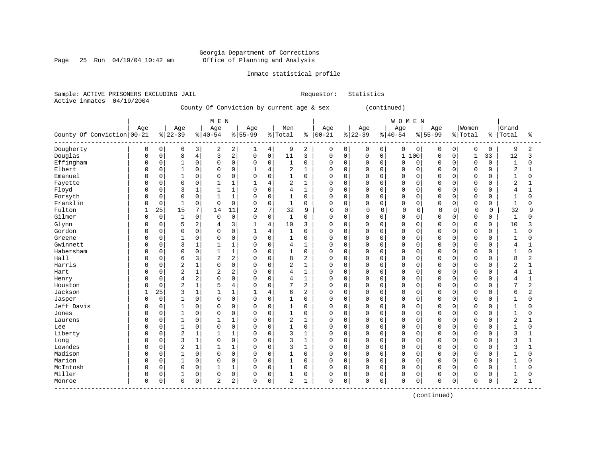Page 25 Run  $04/19/04$  10:42 am

### Inmate statistical profile

Sample: ACTIVE PRISONERS EXCLUDING JAIL Requestor: Statistics Active inmates 04/19/2004

County Of Conviction by current age & sex (continued)

|                                  |              |             |                |                | M E N          |                |              |                |                |                |             |          |             |             | WOMEN        |             |             |             |                |             |                |                |
|----------------------------------|--------------|-------------|----------------|----------------|----------------|----------------|--------------|----------------|----------------|----------------|-------------|----------|-------------|-------------|--------------|-------------|-------------|-------------|----------------|-------------|----------------|----------------|
|                                  | Age          |             | Age            |                | Age            |                | Age          |                | Men            |                | Age         |          | Age         |             | Age          |             | Age         |             | Women          |             | Grand          |                |
| County Of Conviction 00-21       |              |             | $ 22-39$       |                | $8 40-54$      |                | $8 55-99$    |                | % Total        | ႜ              | $ 00 - 21$  |          | $8 22-39$   |             | $8 40-54$    |             | $8 55-99$   |             | % Total        | $\approx$ 1 | Total          | ిక             |
| Dougherty                        | 0            | 0           | 6              | 3              | 2              | 2              | 1            | 4              | 9              | 2              | 0           | 0        | 0           | 0           | 0            | $\mathbf 0$ | 0           | 0           | 0              | 0           | 9              | 2              |
| Douglas                          | <sup>0</sup> | $\mathbf 0$ | 8              | $\overline{4}$ | 3              | $\overline{2}$ | $\mathbf 0$  | $\mathsf 0$    | 11             | 3              | 0           | 0        | $\mathbf 0$ | 0           | $\mathbf{1}$ | 100         | $\mathbf 0$ | $\mathbf 0$ | $\mathbf{1}$   | 33          | 12             | 3              |
| Effingham                        | <sup>0</sup> | 0           | 1              | $\mathbf 0$    | $\Omega$       | $\Omega$       | $\mathbf 0$  | $\Omega$       | $\mathbf{1}$   | $\mathbf 0$    | $\Omega$    | $\Omega$ | $\Omega$    | $\Omega$    | $\Omega$     | $\Omega$    | $\Omega$    | $\Omega$    | $\Omega$       | $\Omega$    | $\mathbf{1}$   | $\Omega$       |
| Elbert                           | O            | $\mathbf 0$ |                | $\mathbf 0$    | 0              | $\mathbf 0$    |              | $\overline{4}$ | 2              | 1              | $\Omega$    | $\Omega$ | $\Omega$    | $\Omega$    | $\Omega$     | $\Omega$    | $\Omega$    | $\Omega$    | $\mathbf 0$    | $\Omega$    | $\overline{2}$ |                |
| Emanuel                          |              | 0           | $\mathbf{1}$   | $\mathsf 0$    | $\Omega$       | $\mathsf 0$    | $\mathbf 0$  | $\Omega$       | $\overline{1}$ | $\mathsf 0$    | $\Omega$    | 0        | $\Omega$    | $\mathbf 0$ | $\Omega$     | $\Omega$    | $\Omega$    | $\Omega$    | $\mathbf 0$    | $\Omega$    | $\mathbf{1}$   | 0              |
| Fayette                          |              | 0           | $\Omega$       | $\mathbf 0$    |                | $\mathbf{1}$   | $\mathbf{1}$ | 4              | 2              | $\mathbf 1$    | $\Omega$    | 0        | $\Omega$    | $\Omega$    | $\Omega$     | $\Omega$    | $\Omega$    | $\Omega$    | $\mathbf 0$    | $\Omega$    | $\sqrt{2}$     | 1              |
| Floyd                            | U            | $\mathbf 0$ | 3              | 1              |                | $\mathbf{1}$   | $\Omega$     | $\Omega$       | 4              | $\mathbf 1$    | $\mathbf 0$ | 0        | $\Omega$    | $\Omega$    | $\Omega$     | $\Omega$    | $\Omega$    | $\Omega$    | $\Omega$       | $\Omega$    | 4              | $\mathbf{1}$   |
| Forsyth                          | O            | $\mathbf 0$ | $\Omega$       | $\mathbf 0$    |                | $\mathbf{1}$   | 0            | $\Omega$       | 1              | $\mathbf 0$    | $\mathbf 0$ | $\Omega$ | $\Omega$    | $\Omega$    | $\Omega$     | $\Omega$    | 0           | $\Omega$    | $\mathbf 0$    | 0           | $\mathbf{1}$   | $\Omega$       |
| Franklin                         | U            | $\mathbf 0$ |                | $\mathbf 0$    | $\Omega$       | $\Omega$       | $\mathbf 0$  | $\Omega$       | $\mathbf{1}$   | $\mathbf 0$    | $\Omega$    | $\Omega$ | $\Omega$    | 0           | $\Omega$     | $\Omega$    | $\Omega$    | $\Omega$    | $\mathbf 0$    | U           | $\mathbf{1}$   | $\Omega$       |
| Fulton                           | 1            | 25          | 15             | 7              | 14             | 11             | 2            | 7              | 32             | 9              | $\Omega$    | $\Omega$ | $\Omega$    | 0           | $\Omega$     | 0           | $\Omega$    | $\Omega$    | $\Omega$       | $\Omega$    | 32             | 9              |
| Gilmer                           | O            | $\mathbf 0$ |                | $\mathbf 0$    | $\mathbf 0$    | $\mathbf 0$    | $\Omega$     | $\mathbf 0$    | $\mathbf{1}$   | $\mathbf 0$    | $\mathbf 0$ | 0        | $\Omega$    | $\mathbf 0$ | $\Omega$     | $\mathbf 0$ | 0           | $\Omega$    | $\mathbf 0$    | 0           | $\mathbf{1}$   | 0              |
| Glynn                            | 0            | $\Omega$    | 5              | $\overline{c}$ | 4              | 3              |              | $\overline{4}$ | 10             | 3              | 0           | 0        | $\Omega$    | $\Omega$    | $\Omega$     | $\Omega$    | 0           | $\Omega$    | $\mathbf 0$    | 0           | 10             | 3              |
| Gordon                           |              | 0           | $\Omega$       | $\mathsf 0$    | $\Omega$       | $\mathsf 0$    | $\mathbf{1}$ | $\overline{4}$ | $\mathbf{1}$   | $\mathbf 0$    | 0           | 0        | $\Omega$    | $\mathbf 0$ | $\Omega$     | $\Omega$    | $\Omega$    | $\mathbf 0$ | $\mathbf 0$    | $\Omega$    | $\mathbf{1}$   | 0              |
| Greene                           | <sup>0</sup> | 0           | $\mathbf{1}$   | $\mathbf 0$    | $\Omega$       | $\mathbf 0$    | $\mathbf 0$  | $\Omega$       | $\mathbf{1}$   | $\mathbf 0$    | $\mathbf 0$ | 0        | $\Omega$    | $\Omega$    | $\Omega$     | $\Omega$    | $\Omega$    | $\Omega$    | $\Omega$       | $\Omega$    | $\mathbf{1}$   | $\Omega$       |
| Gwinnett                         | <sup>0</sup> | 0           | 3              | 1              |                | $\mathbf{1}$   | $\Omega$     | $\Omega$       | 4              | 1              | $\mathbf 0$ | 0        | $\Omega$    | $\Omega$    | $\Omega$     | $\Omega$    | $\Omega$    | $\Omega$    | $\Omega$       | 0           | 4              |                |
| Habersham                        | O            | $\mathbf 0$ | $\Omega$       | $\mathbf 0$    |                | $\mathbf{1}$   | $\Omega$     | $\Omega$       | 1              | $\mathbf 0$    | $\mathbf 0$ | 0        | $\Omega$    | $\Omega$    | $\Omega$     | $\Omega$    | $\Omega$    | $\Omega$    | $\mathbf 0$    | 0           | $\mathbf{1}$   | $\Omega$       |
| Hall                             | U            | $\mathbf 0$ | 6              | 3              | 2              | $\overline{2}$ | $\Omega$     | $\Omega$       | 8              | 2              | $\Omega$    | 0        | $\Omega$    | $\Omega$    | $\Omega$     | $\Omega$    | $\Omega$    | $\Omega$    | $\Omega$       | U           | 8              | 2              |
| Harris                           | O            | $\Omega$    | $\overline{2}$ | $\mathbf 1$    | $\Omega$       | $\Omega$       | $\mathbf 0$  | $\Omega$       | 2              | $\mathbf 1$    | $\Omega$    | $\Omega$ | $\Omega$    | $\Omega$    | $\Omega$     | $\Omega$    | $\Omega$    | $\Omega$    | $\Omega$       | $\Omega$    | 2              | 1              |
| Hart                             | U            | $\mathbf 0$ | $\sqrt{2}$     | 1              | $\overline{2}$ | $\overline{2}$ | 0            | $\mathbf 0$    | 4              | $\mathbf{1}$   | $\Omega$    | 0        | $\mathbf 0$ | $\mathbf 0$ | $\Omega$     | $\mathbf 0$ | 0           | $\Omega$    | $\overline{0}$ | O           | 4              | 1              |
| Henry                            |              | $\mathsf 0$ | $\overline{4}$ | 2              | $\Omega$       | $\mathsf 0$    | $\Omega$     | $\mathbf 0$    | 4              | $\mathbf{1}$   | $\mathbf 0$ | 0        | $\Omega$    | $\mathbf 0$ | $\Omega$     | $\Omega$    | $\Omega$    | $\Omega$    | $\overline{0}$ | 0           | 4              | $\mathbf{1}$   |
| Houston                          |              | $\mathbf 0$ | $\overline{2}$ | $\mathbf 1$    |                | $\overline{4}$ | $\Omega$     | $\Omega$       | 7              | $\overline{2}$ | $\Omega$    | 0        | $\Omega$    | $\Omega$    | $\Omega$     | $\Omega$    | $\Omega$    | $\Omega$    | $\Omega$       | $\Omega$    | 7              | $\overline{2}$ |
| Jackson                          |              | 25          | 3              | $\mathbf{1}$   |                | $\mathbf{1}$   |              | 4              | 6              | 2              | $\mathbf 0$ | 0        | $\Omega$    | $\mathbf 0$ | $\Omega$     | 0           | 0           | $\Omega$    | $\mathbf 0$    | 0           | 6              | 2              |
| Jasper                           | O            | $\mathsf 0$ |                | $\mathsf 0$    | $\Omega$       | $\mathsf 0$    | $\mathbf 0$  | $\mathbf 0$    | 1              | $\mathbf 0$    | $\mathbf 0$ | 0        | $\Omega$    | $\mathbf 0$ | $\Omega$     | $\Omega$    | $\Omega$    | $\Omega$    | $\mathbf 0$    |             | $\mathbf{1}$   | $\Omega$       |
| Jeff Davis                       |              | $\mathbf 0$ |                | $\mathbf 0$    | $\Omega$       | $\mathbf 0$    | 0            | $\Omega$       | 1              | 0              | $\mathbf 0$ | $\Omega$ | $\Omega$    | $\mathbf 0$ | $\Omega$     | $\Omega$    | $\Omega$    | $\Omega$    | 0              | O           | $\mathbf{1}$   | O              |
| Jones                            | U            | $\mathbf 0$ | $\mathbf{1}$   | $\mathbf 0$    | $\Omega$       | $\Omega$       | $\Omega$     | $\Omega$       | $\mathbf{1}$   | $\mathbf 0$    | $\Omega$    | $\Omega$ | $\Omega$    | $\Omega$    | $\Omega$     | $\Omega$    | $\Omega$    | $\Omega$    | $\Omega$       | U           | $\mathbf{1}$   | $\Omega$       |
| Laurens                          |              | $\Omega$    | 1              | $\mathbf 0$    |                | $\mathbf{1}$   | $\Omega$     | $\Omega$       | 2              | $\mathbf{1}$   | 0           | $\Omega$ | $\Omega$    | $\Omega$    | $\Omega$     | $\Omega$    | $\Omega$    | $\Omega$    | $\Omega$       | $\Omega$    | 2              |                |
| Lee                              | U            | $\mathbf 0$ |                | $\mathbf 0$    | $\Omega$       | $\mathbf 0$    | $\mathbf 0$  | $\mathbf 0$    | $\overline{1}$ | $\mathbf 0$    | $\mathbf 0$ | 0        | $\Omega$    | $\mathbf 0$ | $\Omega$     | 0           | $\Omega$    | $\Omega$    | $\mathbf 0$    | O           | $\mathbf{1}$   | 0              |
| Liberty                          |              | 0           | $\overline{2}$ | $\mathbf{1}$   |                | $\mathbf{1}$   | 0            | $\mathbf 0$    | 3              | $\mathbf{1}$   | $\Omega$    | 0        | $\Omega$    | $\mathbf 0$ | $\Omega$     | $\Omega$    | $\Omega$    | $\Omega$    | $\overline{0}$ | $\Omega$    | 3              |                |
| Long                             |              | $\mathbf 0$ | 3              | $\mathbf 1$    | $\Omega$       | $\Omega$       | $\mathbf 0$  | $\Omega$       | 3              | $\mathbf{1}$   | $\Omega$    | 0        | $\Omega$    | $\Omega$    | $\Omega$     | $\Omega$    | $\Omega$    | $\Omega$    | $\Omega$       | $\Omega$    | 3              | 1              |
| Lowndes                          | <sup>0</sup> | 0           | $\overline{2}$ | $\mathbf 1$    |                | $\mathbf{1}$   | 0            | $\mathbf 0$    | 3              | $\mathbf{1}$   | $\mathbf 0$ | 0        | $\Omega$    | $\mathbf 0$ | $\Omega$     | $\Omega$    | 0           | $\Omega$    | $\mathbf 0$    | 0           | 3              | 1              |
| Madison                          | O            | $\mathsf 0$ |                | $\mathsf 0$    | $\Omega$       | $\mathbf 0$    | 0            | $\Omega$       | 1              | $\mathbf 0$    | $\mathbf 0$ | 0        | $\Omega$    | $\Omega$    | $\Omega$     | $\Omega$    | 0           | $\Omega$    | $\mathbf 0$    | 0           | $\mathbf{1}$   | $\Omega$       |
| Marion                           | <sup>0</sup> | $\Omega$    | 1              | $\mathbf 0$    | $\Omega$       | $\Omega$       | $\mathbf 0$  | $\Omega$       | $\mathbf{1}$   | $\Omega$       | $\Omega$    | 0        | $\Omega$    | $\Omega$    | $\Omega$     | $\Omega$    | $\Omega$    | $\Omega$    | $\Omega$       | $\Omega$    | $\mathbf{1}$   | $\Omega$       |
| McIntosh                         | 0            | $\Omega$    | $\Omega$       | $\mathbf 0$    |                | $\mathbf{1}$   | $\Omega$     | $\Omega$       | $\mathbf{1}$   | $\Omega$       | $\Omega$    | $\Omega$ | $\Omega$    | $\Omega$    | $\Omega$     | $\Omega$    | $\Omega$    | $\Omega$    | $\Omega$       | $\Omega$    | $\mathbf{1}$   | 0              |
| Miller                           | 0            | $\mathsf 0$ |                | $\mathsf 0$    | $\Omega$       | $\mathsf 0$    | 0            | $\mathbf 0$    | 1              | 0              | 0           | 0        | 0           | $\mathbf 0$ | $\Omega$     | $\mathbf 0$ | 0           | $\mathbf 0$ | 0              | O           |                | 0              |
| Monroe<br>---------------------- | $\Omega$     | 0           | $\mathbf 0$    | 0              | $\overline{2}$ | 2              | $\Omega$     | 0              | $\overline{2}$ | $\mathbf{1}$   | $\mathsf 0$ | 0        | $\Omega$    | 0           | $\mathbf 0$  | 0           | $\mathbf 0$ | 0           | $\Omega$       | 0           | $\overline{c}$ | $\mathbf{1}$   |

(continued)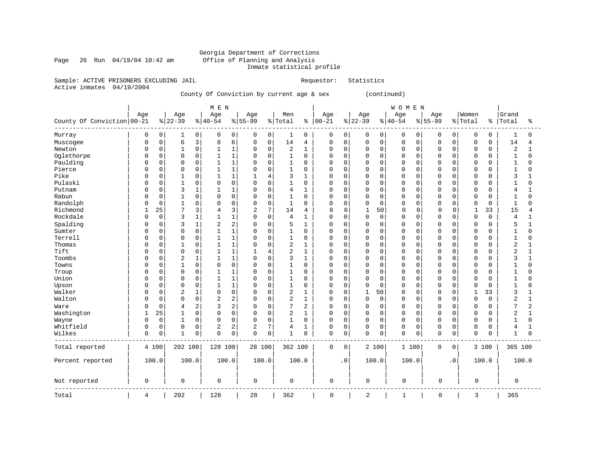### Georgia Department of Corrections Page 26 Run 04/19/04 10:42 am Office of Planning and Analysis Inmate statistical profile

Sample: ACTIVE PRISONERS EXCLUDING JAIL **Requestor:** Statistics

Active inmates 04/19/2004

County Of Conviction by current age & sex (continued)

|                              |              |             |              |              | M E N          |              |                |          |                |                |             |                |                |              | WOMEN        |             |             |           |              |          |                |                |
|------------------------------|--------------|-------------|--------------|--------------|----------------|--------------|----------------|----------|----------------|----------------|-------------|----------------|----------------|--------------|--------------|-------------|-------------|-----------|--------------|----------|----------------|----------------|
|                              | Age          |             | Age          |              | Age            |              | Age            |          | Men            |                | Age         |                | Age            |              | Age          |             | Age         |           | Women        |          | Grand          |                |
| County Of Conviction   00-21 |              |             | $ 22-39$     |              | $8 40-54$      |              | $8 55-99$      |          | % Total        | နွ             | $ 00-21$    |                | $ 22-39$       |              | $ 40-54$     |             | $8 55-99$   |           | % Total      | ိ        | Total          | ႜ              |
| Murray                       | 0            | 0           | 1            | 0            | 0              | 0            | 0              | $\circ$  | 1              | 0              | 0           | $\overline{0}$ | 0              | 0            | 0            | 0           | 0           | 0         | 0            | 0        | 1              | 0              |
| Muscogee                     | 0            | $\mathbf 0$ | 6            | 3            | 8              | 6            | $\mathbf 0$    | 0        | 14             | 4              | $\mathbf 0$ | 0              | $\mathbf 0$    | $\mathsf{O}$ | 0            | $\mathsf 0$ | $\Omega$    | 0         | 0            | 0        | 14             | $\overline{4}$ |
| Newton                       | 0            | 0           | 1            | 0            | 1              | 1            | 0              | $\Omega$ | 2              | 1              | 0           | $\Omega$       | $\Omega$       | $\mathbf 0$  | $\Omega$     | 0           | $\Omega$    | 0         | 0            | 0        | 2              | 1              |
| Oglethorpe                   | 0            | $\mathbf 0$ | 0            | $\mathbf 0$  | $\mathbf{1}$   | $\mathbf{1}$ | $\mathbf 0$    | $\Omega$ | $\mathbf{1}$   | $\mathbf 0$    | 0           | 0              | $\Omega$       | $\mathbf 0$  | $\Omega$     | $\mathbf 0$ | $\Omega$    | 0         | $\mathbf 0$  | 0        | 1              | 0              |
| Paulding                     | 0            | $\mathbf 0$ | $\Omega$     | $\mathbf 0$  | $\mathbf{1}$   | $\mathbf{1}$ | $\Omega$       | $\Omega$ | $\mathbf{1}$   | $\mathbf 0$    | $\mathbf 0$ | $\Omega$       | $\Omega$       | $\mathbf 0$  | $\mathbf 0$  | $\mathbf 0$ | 0           | 0         | $\mathbf 0$  | 0        | 1              | $\Omega$       |
| Pierce                       | 0            | $\mathbf 0$ | 0            | $\mathbf 0$  | $\mathbf{1}$   | $\mathbf{1}$ | $\mathbf 0$    | 0        | $\mathbf{1}$   | 0              | 0           | 0              | $\Omega$       | 0            | $\Omega$     | 0           | $\Omega$    | 0         | 0            | 0        | 1              | $\Omega$       |
| Pike                         | 0            | $\mathbf 0$ | $\mathbf{1}$ | $\Omega$     | $\mathbf{1}$   | $\mathbf{1}$ | $\mathbf{1}$   | 4        | 3              | $\mathbf{1}$   | $\mathbf 0$ | $\Omega$       | $\Omega$       | 0            | $\Omega$     | $\mathbf 0$ | $\Omega$    | 0         | $\mathbf 0$  | 0        | 3              | 1              |
| Pulaski                      | 0            | $\mathbf 0$ | $\mathbf{1}$ | 0            | $\mathbf 0$    | $\mathbf 0$  | $\mathbf 0$    | $\Omega$ | $\mathbf{1}$   | 0              | 0           | $\mathbf 0$    | 0              | $\mathbf 0$  | $\mathbf 0$  | $\mathbf 0$ | $\Omega$    | 0         | $\mathbf 0$  | 0        | 1              | 0              |
| Putnam                       | 0            | $\mathbf 0$ | 3            | $\mathbf{1}$ | $\mathbf{1}$   | $\mathbf{1}$ | $\Omega$       | $\Omega$ | 4              | 1              | 0           | $\Omega$       | $\Omega$       | $\mathbf 0$  | $\mathbf 0$  | $\mathbf 0$ | $\Omega$    | 0         | 0            | 0        | 4              | $\mathbf{1}$   |
| Rabun                        | 0            | 0           | 1            | 0            | $\mathbf 0$    | 0            | $\mathbf 0$    | 0        | $\mathbf{1}$   | 0              | 0           | $\Omega$       | $\mathbf 0$    | $\mathbf 0$  | 0            | $\mathbf 0$ | $\Omega$    | 0         | 0            | 0        | 1              | $\Omega$       |
| Randolph                     | 0            | $\mathbf 0$ | 1            | $\mathbf 0$  | $\mathbf 0$    | $\mathbf 0$  | $\mathbf 0$    | $\Omega$ | $\mathbf{1}$   | $\Omega$       | $\mathbf 0$ | $\Omega$       | $\mathbf 0$    | $\mathbf 0$  | $\Omega$     | $\mathbf 0$ | 0           | 0         | $\mathbf 0$  | 0        | 1              | $\Omega$       |
| Richmond                     | $\mathbf{1}$ | 25          | 7            | 3            | $\overline{4}$ | 3            | $\overline{2}$ | 7        | 14             | 4              | $\mathbf 0$ | $\mathbf 0$    | $\mathbf 1$    | 50           | $\mathbf 0$  | 0           | $\Omega$    | 0         | $\mathbf{1}$ | 33       | 15             | $\overline{4}$ |
| Rockdale                     | 0            | $\mathbf 0$ | 3            | $\mathbf{1}$ | $\mathbf{1}$   | 1            | $\mathbf 0$    | 0        | $\overline{4}$ | 1              | 0           | 0              | $\mathbf 0$    | $\mathsf{O}$ | $\Omega$     | 0           | $\Omega$    | 0         | 0            | 0        | 4              | $\mathbf{1}$   |
| Spalding                     | 0            | $\mathbf 0$ | 3            | $\mathbf{1}$ | 2              | 2            | $\Omega$       | $\Omega$ | 5              | $\mathbf{1}$   | 0           | 0              | $\Omega$       | 0            | 0            | 0           | $\Omega$    | 0         | 0            | 0        | 5              | $\mathbf{1}$   |
| Sumter                       | 0            | $\mathbf 0$ | 0            | $\Omega$     | $\mathbf{1}$   | $\mathbf{1}$ | $\Omega$       | $\Omega$ | $\mathbf{1}$   | $\Omega$       | $\mathbf 0$ | $\Omega$       | $\Omega$       | $\mathbf 0$  | $\Omega$     | $\Omega$    | $\Omega$    | 0         | $\mathbf 0$  | $\Omega$ |                | $\Omega$       |
| Terrell                      | 0            | $\mathbf 0$ | 0            | $\mathbf 0$  | $\mathbf{1}$   | $\mathbf{1}$ | 0              | $\Omega$ | $\mathbf{1}$   | $\mathbf 0$    | 0           | $\mathbf 0$    | $\mathbf 0$    | $\mathbf 0$  | 0            | 0           | 0           | 0         | 0            | 0        | 1              | $\Omega$       |
| Thomas                       | 0            | $\mathbf 0$ | 1            | $\Omega$     | 1              | $\mathbf{1}$ | $\mathbf 0$    | $\Omega$ | $\overline{c}$ | 1              | 0           | $\Omega$       | $\Omega$       | $\mathbf 0$  | $\Omega$     | $\mathbf 0$ | $\Omega$    | 0         | $\mathbf 0$  | 0        | 2              | $\mathbf{1}$   |
| Tift                         | 0            | $\mathbf 0$ | 0            | $\Omega$     | $\mathbf{1}$   | $\mathbf{1}$ | 1              | 4        | $\overline{2}$ | 1              | 0           | $\Omega$       | $\Omega$       | 0            | $\Omega$     | $\mathbf 0$ | 0           | 0         | 0            | 0        | $\overline{2}$ | $\mathbf{1}$   |
| Toombs                       | 0            | $\mathbf 0$ | 2            | $\mathbf{1}$ | $\mathbf{1}$   | $\mathbf{1}$ | $\mathbf 0$    | $\Omega$ | 3              | $\mathbf{1}$   | $\mathbf 0$ | $\Omega$       | $\Omega$       | $\mathbf 0$  | $\Omega$     | $\mathbf 0$ | $\Omega$    | 0         | $\mathbf 0$  | $\Omega$ | 3              | $\mathbf{1}$   |
| Towns                        | 0            | $\mathbf 0$ | $\mathbf{1}$ | $\mathbf 0$  | $\mathbf 0$    | 0            | 0              | 0        | $\mathbf{1}$   | $\mathbf 0$    | $\mathbf 0$ | $\Omega$       | $\mathbf 0$    | $\mathbf 0$  | 0            | $\mathbf 0$ | 0           | 0         | $\mathbf 0$  | 0        | 1              | $\Omega$       |
| Troup                        | 0            | $\mathbf 0$ | 0            | $\mathbf 0$  | $\mathbf{1}$   | 1            | $\mathbf 0$    | $\Omega$ | $\mathbf{1}$   | $\mathbf 0$    | 0           | 0              | $\Omega$       | 0            | $\Omega$     | $\mathbf 0$ | $\Omega$    | 0         | $\mathbf 0$  | 0        | 1              | $\Omega$       |
| Union                        | 0            | 0           | 0            | $\mathbf 0$  | $\mathbf{1}$   | $\mathbf{1}$ | $\Omega$       | 0        | $\mathbf{1}$   | 0              | $\mathbf 0$ | 0              | $\mathbf 0$    | $\mathbf 0$  | $\Omega$     | $\mathbf 0$ | $\Omega$    | 0         | 0            | 0        | 1              | $\Omega$       |
| Upson                        | 0            | $\mathbf 0$ | 0            | $\mathbf 0$  | $\mathbf{1}$   | $\mathbf{1}$ | $\Omega$       | $\Omega$ | $\mathbf{1}$   | $\mathbf 0$    | 0           | $\mathbf 0$    | $\mathbf 0$    | $\mathbf 0$  | $\Omega$     | $\mathbf 0$ | $\Omega$    | 0         | 0            | 0        | 1              | $\Omega$       |
| Walker                       | 0            | $\mathbf 0$ | 2            | $\mathbf{1}$ | $\mathbf 0$    | $\mathbf 0$  | 0              | $\Omega$ | $\overline{2}$ | 1              | 0           | $\Omega$       | $\mathbf 1$    | 50           | $\Omega$     | $\mathbf 0$ | $\Omega$    | 0         | $\mathbf 1$  | 33       | 3              | $\mathbf{1}$   |
| Walton                       | 0            | $\mathbf 0$ | 0            | $\mathbf 0$  | $\overline{c}$ | 2            | $\mathbf 0$    | 0        | $\overline{c}$ | $\mathbf{1}$   | 0           | 0              | $\mathbf 0$    | 0            | 0            | 0           | $\Omega$    | 0         | 0            | 0        | 2              | 1              |
| Ware                         | $\Omega$     | $\mathbf 0$ | 4            | 2            | 3              | 2            | $\Omega$       | 0        | $\overline{7}$ | $\overline{2}$ | 0           | $\mathbf 0$    | $\mathbf 0$    | 0            | $\Omega$     | $\mathbf 0$ | $\Omega$    | 0         | $\Omega$     | $\Omega$ |                | 2              |
| Washington                   | $\mathbf{1}$ | 25          | $\mathbf{1}$ | $\mathbf 0$  | $\mathbf 0$    | $\mathbf 0$  | $\mathbf 0$    | $\Omega$ | 2              | $\mathbf{1}$   | $\mathbf 0$ | $\Omega$       | $\Omega$       | $\mathbf 0$  | $\mathbf 0$  | $\mathbf 0$ | $\Omega$    | 0         | $\mathbf 0$  | 0        | 2              | $\mathbf{1}$   |
| Wayne                        | $\Omega$     | $\mathbf 0$ | $\mathbf 1$  | $\mathbf 0$  | $\mathbf 0$    | 0            | $\mathbf 0$    | 0        | $\mathbf{1}$   | $\mathbf 0$    | $\mathbf 0$ | $\Omega$       | $\mathbf 0$    | 0            | 0            | $\mathbf 0$ | $\Omega$    | 0         | 0            | 0        | 1              | $\Omega$       |
| Whitfield                    | 0            | $\mathbf 0$ | 0            | 0            | 2              | 2            | $\overline{2}$ | 7        | 4              | $\mathbf{1}$   | 0           | $\mathbf 0$    | $\mathbf 0$    | 0            | $\mathbf 0$  | 0           | 0           | 0         | $\mathbf 0$  | 0        | 4              | $\mathbf{1}$   |
| Wilkes                       | 0            | $\mathbf 0$ | $\mathbf 1$  | $\mathbf 0$  | $\mathbf 0$    | 0            | $\mathbf 0$    | 0        | $\mathbf{1}$   | $\mathbf 0$    | $\mathbf 0$ | 0              | $\mathbf 0$    | 0            | $\mathbf 0$  | 0           | 0           | 0         | $\mathbf 0$  | 0        | 1              | $\mathbf 0$    |
| Total reported               |              | 4 100       | 202 100      |              | 128 100        |              | 28 100         |          | 362 100        |                | 0           | 0              |                | 2 100        | 1 100        |             | 0           | 0         |              | 3 100    | 365 100        |                |
| Percent reported             |              | 100.0       | 100.0        |              | 100.0          |              |                | 100.0    |                | 100.0          |             | $\cdot$ 0      |                | 100.0        | 100.0        |             |             | $\cdot$ 0 |              | 100.0    |                | 100.0          |
| Not reported                 | 0            |             | 0            |              | $\mathsf 0$    |              | $\mathbf 0$    |          | 0              |                | 0           |                | 0              |              | 0            |             | $\mathbf 0$ |           | 0            |          | 0              |                |
| Total                        | 4            |             | 202          |              | 128            |              | 28             |          | 362            |                | 0           |                | $\overline{2}$ |              | $\mathbf{1}$ |             | $\Omega$    |           | 3            |          | 365            |                |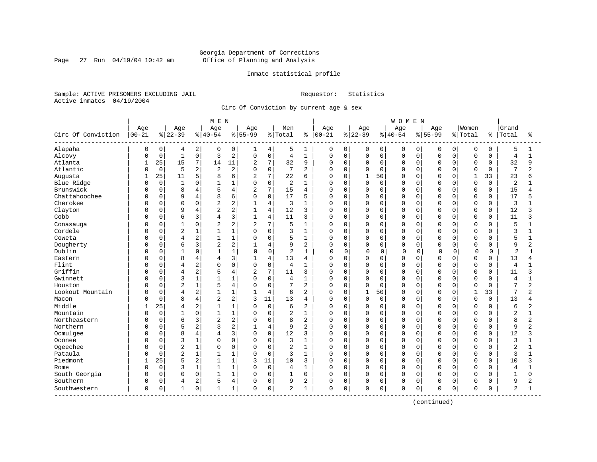Page 27 Run  $04/19/04$  10:42 am

### Inmate statistical profile

Sample: ACTIVE PRISONERS EXCLUDING JAIL Requestor: Statistics Active inmates 04/19/2004

Circ Of Conviction by current age & sex

|                    |              |             |                         |                | M E N          |                |                |                |                |                |              |             |              |             | <b>WOMEN</b> |          |           |             |              |             |                |                |
|--------------------|--------------|-------------|-------------------------|----------------|----------------|----------------|----------------|----------------|----------------|----------------|--------------|-------------|--------------|-------------|--------------|----------|-----------|-------------|--------------|-------------|----------------|----------------|
|                    | Age          |             | Age                     |                | Age            |                | Age            |                | Men            |                | Age          |             | Age          |             | Age          |          | Age       |             | Women        |             | Grand          |                |
| Circ Of Conviction | $00 - 21$    |             | $ 22-39$                |                | $8 40-54$      |                | $8155 - 99$    |                | % Total        | ႜ              | $ 00 - 21$   |             | $8 22-39$    |             | $8 40-54$    |          | $8 55-99$ | % Total     |              | ႜ           | Total          | ÷              |
| Alapaha            | 0            | 0           | 4                       | 2              | $\Omega$       | 0              | ı              | 4              | 5              | 1              | 0            | 0           | 0            | 0           | 0            | 0        | $\Omega$  | 0           | 0            | 0           | 5              | 1              |
| Alcovy             | U            | $\mathbf 0$ | $\mathbf{1}$            | 0              | 3              | $\overline{c}$ | $\mathbf 0$    | $\mathsf 0$    | $\overline{4}$ | $\mathbf{1}$   | $\Omega$     | $\mathbf 0$ | $\mathsf 0$  | $\mathbf 0$ | $\mathbf 0$  | 0        | $\Omega$  | $\mathbf 0$ | $\mathbf 0$  | 0           | 4              | $\mathbf{1}$   |
| Atlanta            | $\mathbf{1}$ | 25          | 15                      | $\overline{7}$ | 14             | 11             | $\overline{a}$ | 7              | 32             | 9              | $\Omega$     | $\mathbf 0$ | $\mathbf 0$  | 0           | $\Omega$     | 0        | $\Omega$  | $\Omega$    | $\Omega$     | $\Omega$    | 32             | 9              |
| Atlantic           |              | $\mathbf 0$ | 5                       | $\overline{c}$ | 2              | $\overline{a}$ | $\Omega$       | $\mathbf 0$    | 7              | $\overline{2}$ | 0            | $\mathbf 0$ | 0            | $\Omega$    | $\Omega$     | $\Omega$ |           | $\cap$      | $\Omega$     | $\Omega$    | 7              | $\overline{c}$ |
| Augusta            | -1           | 25          | 11                      | 5              | 8              | 6              | $\overline{2}$ | 7              | 22             | 6              | <sup>0</sup> | $\Omega$    | $\mathbf{1}$ | 50          | $\Omega$     | $\Omega$ | $\Omega$  | U           | $\mathbf{1}$ | 33          | 23             | ศ              |
| Blue Ridge         | ſ            | $\mathbf 0$ | $\mathbf{1}$            | 0              |                | $\mathbf{1}$   | $\Omega$       | $\mathbf 0$    | 2              | $\mathbf{1}$   | 0            | $\Omega$    | 0            | $\Omega$    | $\Omega$     | $\Omega$ | $\cap$    | $\cap$      | $\Omega$     | $\Omega$    | 2              |                |
| Brunswick          |              | 0           | 8                       | $\overline{4}$ |                | 4              | $\overline{2}$ | 7              | 15             | 4              | $\Omega$     | $\mathbf 0$ | 0            | $\mathbf 0$ | $\Omega$     | 0        | $\Omega$  | $\Omega$    | $\mathbf 0$  | $\mathbf 0$ | 15             | 4              |
| Chattahoochee      |              | $\Omega$    | 9                       | $\overline{4}$ | 8              | 6              | $\Omega$       | $\mathbf 0$    | 17             | 5              | 0            | $\Omega$    | 0            | $\Omega$    | $\Omega$     | 0        | $\Omega$  | $\Omega$    | $\mathbf 0$  | $\Omega$    | 17             | 5              |
| Cherokee           | C            | 0           | $\Omega$                | 0              |                | $\overline{2}$ |                | $\overline{4}$ | 3              |                | 0            | 0           | 0            | 0           | $\Omega$     | 0        | $\Omega$  | $\cap$      | 0            | 0           | 3              |                |
| Clayton            |              | 0           | 9                       | 4              | $\overline{c}$ | 2              | 1              | $\overline{4}$ | 12             | 3              | 0            | $\Omega$    | 0            | $\Omega$    | 0            | 0        | $\Omega$  | $\Omega$    | $\mathbf 0$  | $\Omega$    | 12             | 3              |
| Cobb               | C            | 0           | 6                       | 3              | 4              | 3              | $\mathbf{1}$   | 4              | 11             | 3              | 0            | $\Omega$    | 0            | $\Omega$    | 0            | $\Omega$ | $\Omega$  | $\Omega$    | $\Omega$     | 0           | 11             | ζ              |
| Conasauga          | C            | 0           | $\mathbf{1}$            | $\Omega$       | $\overline{c}$ | $\overline{a}$ | $\overline{a}$ | 7              | 5              | $\mathbf{1}$   | 0            | $\Omega$    | O            | $\Omega$    | $\Omega$     | $\Omega$ | $\Omega$  | $\Omega$    | $\Omega$     | $\Omega$    | 5              | 1              |
| Cordele            |              | 0           | $\overline{\mathbf{c}}$ | 1              |                | $1\,$          | $\Omega$       | $\mathbf 0$    | 3              | $\mathbf{1}$   | 0            | $\mathbf 0$ | 0            | $\Omega$    | $\Omega$     | $\Omega$ | $\Omega$  | $\Omega$    | $\mathbf 0$  | $\Omega$    | 3              | 1              |
| Coweta             |              | 0           | 4                       | $\overline{c}$ | $\mathbf{1}$   | $1\,$          | $\Omega$       | $\Omega$       | 5              | $\mathbf{1}$   | 0            | $\Omega$    | 0            | $\Omega$    | $\Omega$     | 0        | $\cap$    | $\cap$      | $\mathbf 0$  | $\Omega$    | 5              | $\mathbf{1}$   |
| Dougherty          |              | 0           | 6                       | 3              | $\overline{c}$ | 2              |                | $\overline{4}$ | 9              | 2              | 0            | 0           | 0            | 0           | $\Omega$     | 0        | $\Omega$  | $\Omega$    | $\mathbf 0$  | 0           | 9              | $\overline{2}$ |
| Dublin             |              | 0           | 1                       | $\mathbf 0$    |                | $\mathbf{1}$   | $\Omega$       | $\Omega$       | $\overline{a}$ | 1              | $\Omega$     | 0           | $\Omega$     | 0           | $\mathbf 0$  | 0        |           | 0           | $\Omega$     | 0           | $\overline{2}$ | $\mathbf{1}$   |
| Eastern            |              | $\Omega$    | 8                       | 4              | 4              | 3              | 1              | 4              | 13             | 4              | 0            | $\Omega$    | 0            | $\Omega$    | $\Omega$     | $\Omega$ | n         | $\cap$      | $\Omega$     | $\Omega$    | 13             | 4              |
| Flint              | С            | 0           | 4                       | $\overline{c}$ | U              | $\mathbf 0$    | $\mathbf 0$    | $\mathbf 0$    | $\overline{4}$ | $\mathbf{1}$   | 0            | 0           | 0            | $\Omega$    | $\Omega$     | $\Omega$ | $\Omega$  | $\Omega$    | $\mathbf 0$  | 0           | 4              |                |
| Griffin            | C            | 0           | 4                       | $\overline{c}$ |                | 4              | $\overline{2}$ | 7              | 11             | 3              | 0            | $\Omega$    | 0            | $\mathbf 0$ | $\Omega$     | 0        | $\Omega$  | $\Omega$    | 0            | $\mathbf 0$ | 11             | 3              |
| Gwinnett           |              | 0           | 3                       | $\mathbf{1}$   |                | $\mathbf{1}$   | $\Omega$       | $\mathbf 0$    | 4              | 1              | 0            | $\Omega$    | $\mathbf 0$  | $\mathbf 0$ | $\Omega$     | 0        | $\Omega$  | $\Omega$    | $\Omega$     | $\Omega$    | 4              | 1              |
| Houston            |              | 0           | 2                       | 1              | 5              | $\overline{4}$ | $\Omega$       | $\mathbf 0$    | 7              | 2              | 0            | 0           | 0            | 0           | $\Omega$     | 0        | $\Omega$  | $\cap$      | $\Omega$     | 0           | 7              | 2              |
| Lookout Mountain   |              | 0           | $\overline{4}$          | $\overline{2}$ | 1              | $\mathbf{1}$   | $\mathbf{1}$   | $\overline{4}$ | 6              | $\overline{2}$ | $\Omega$     | $\mathbf 0$ | $\mathbf{1}$ | 50          | 0            | 0        | $\Omega$  | $\Omega$    | $\mathbf{1}$ | 33          | 7              | 2              |
| Macon              | U            | $\Omega$    | 8                       | 4              | $\overline{2}$ | 2              | 3              | 11             | 13             | 4              | $\Omega$     | $\Omega$    | $\Omega$     | $\Omega$    | $\Omega$     | $\Omega$ | $\Omega$  | $\Omega$    | $\Omega$     | $\Omega$    | 13             | 4              |
| Middle             |              | 25          | 4                       | $\overline{c}$ |                | $\mathbf{1}$   | $\Omega$       | 0              | 6              | $\overline{2}$ | $\Omega$     | $\Omega$    | 0            | $\Omega$    | $\Omega$     | $\Omega$ | $\Omega$  | $\Omega$    | $\mathbf 0$  | $\Omega$    | 6              | $\overline{2}$ |
| Mountain           |              | $\mathbf 0$ | $\mathbf{1}$            | 0              |                | $1\,$          | $\Omega$       | $\mathbf 0$    | 2              | $\mathbf{1}$   | $\Omega$     | $\mathbf 0$ | 0            | 0           | $\Omega$     | 0        | $\Omega$  | $\Omega$    | $\mathbf 0$  | $\mathbf 0$ | $\overline{2}$ | 1              |
| Northeastern       |              | 0           | 6                       | 3              | $\overline{a}$ | $\overline{c}$ | $\cap$         | $\Omega$       | 8              | 2              | 0            | $\Omega$    | 0            | $\Omega$    | $\Omega$     | 0        | $\cap$    | $\cap$      | $\mathbf 0$  | $\Omega$    | 8              | $\overline{2}$ |
| Northern           |              | 0           | 5                       | 2              |                | $\overline{2}$ |                | $\overline{4}$ | 9              | 2              | 0            | 0           | 0            | 0           | $\Omega$     | 0        | $\Omega$  | $\cap$      | $\mathbf 0$  | 0           | 9              | 2              |
| Ocmulgee           |              | $\Omega$    | 8                       | 4              | 4              | 3              | $\Omega$       | $\mathbf 0$    | 12             | 3              | 0            | $\Omega$    | 0            | $\Omega$    | 0            | $\Omega$ | $\Omega$  | $\cap$      | $\mathbf 0$  | $\Omega$    | 12             | ς              |
| Oconee             |              | 0           | 3                       | $\mathbf{1}$   | $\cap$         | $\mathbf 0$    | $\Omega$       | 0              | 3              | $\mathbf{1}$   | 0            | $\Omega$    | 0            | $\Omega$    | $\Omega$     | $\Omega$ | $\Omega$  | $\cap$      | $\Omega$     | $\Omega$    | 3              |                |
| Ogeechee           | С            | 0           | 2                       | $\mathbf 1$    | $\Omega$       | $\mathbf 0$    | 0              | $\mathbf 0$    | $\overline{2}$ | $\mathbf{1}$   | 0            | $\mathbf 0$ | 0            | $\mathbf 0$ | $\Omega$     | 0        | $\Omega$  | $\Omega$    | $\mathbf 0$  | 0           | $\overline{2}$ | 1              |
| Pataula            |              | 0           | 2                       | $\mathbf{1}$   |                | $\mathbf{1}$   | $\Omega$       | $\mathbf 0$    | 3              | $\mathbf{1}$   | 0            | $\mathbf 0$ | 0            | $\mathbf 0$ | $\Omega$     | 0        | $\Omega$  | $\Omega$    | $\mathbf 0$  | 0           | 3              |                |
| Piedmont           |              | 25          | 5                       | 2              |                | $\mathbf{1}$   | 3              | 11             | 10             | 3              | $\Omega$     | $\Omega$    | $\Omega$     | $\Omega$    | $\Omega$     | $\Omega$ | $\Omega$  | $\Omega$    | $\Omega$     | $\Omega$    | 10             | 3              |
| Rome               |              | $\mathbf 0$ | 3                       | 1              |                | 1              | $\Omega$       | $\mathbf 0$    | $\overline{4}$ | $\mathbf{1}$   | $\Omega$     | $\mathbf 0$ | 0            | $\Omega$    | $\Omega$     | $\Omega$ | $\Omega$  | $\Omega$    | $\Omega$     | $\Omega$    | 4              |                |
| South Georgia      | U            | 0           | $\Omega$                | 0              | $\mathbf{1}$   | 1              | $\Omega$       | $\mathbf 0$    | $\mathbf{1}$   | $\Omega$       | 0            | $\Omega$    | 0            | $\Omega$    | $\Omega$     | 0        | $\Omega$  | $\Omega$    | $\Omega$     | $\Omega$    | $\mathbf{1}$   | $\Omega$       |
| Southern           | 0            | 0           | 4                       | 2              | 5              | $\overline{4}$ | $\Omega$       | $\mathbf 0$    | 9              | 2              | 0            | 0           | 0            | 0           | $\Omega$     | 0        | $\Omega$  | $\Omega$    | $\Omega$     | $\Omega$    | 9              | 2              |
| Southwestern       | 0            | 0           | 1                       | 0              | 1              | 1              | $\Omega$       | 0              | 2              | 1              | 0            | 0           | 0            | 0           | $\mathbf 0$  | 0        | 0         | 0           | $\Omega$     | 0           | 2              | 1              |

(continued)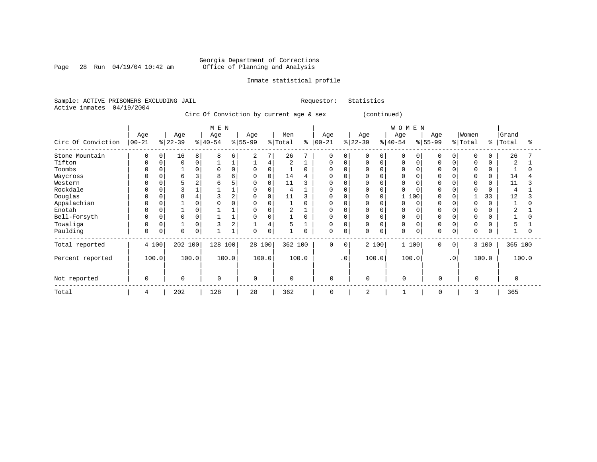Page 28 Run  $04/19/04$  10:42 am

### Inmate statistical profile

Sample: ACTIVE PRISONERS EXCLUDING JAIL Requestor: Statistics Active inmates 04/19/2004

Circ Of Conviction by current age & sex (continued)

|                    |                   |       |                 |                | M E N            |              |                 |          |                |             |                   |           |                 |       | WOMEN           |       |                 |             |                  |       |                |        |
|--------------------|-------------------|-------|-----------------|----------------|------------------|--------------|-----------------|----------|----------------|-------------|-------------------|-----------|-----------------|-------|-----------------|-------|-----------------|-------------|------------------|-------|----------------|--------|
| Circ Of Conviction | Age<br>$ 00 - 21$ |       | Age<br>$ 22-39$ |                | Age<br>$ 40-54 $ |              | Age<br>$ 55-99$ |          | Men<br>% Total | ៖           | Age<br>$ 00 - 21$ |           | Age<br>$ 22-39$ |       | Age<br>$ 40-54$ |       | Age<br>$ 55-99$ |             | Women<br>% Total | % ၂   | Grand<br>Total | ႜ      |
|                    |                   |       |                 |                |                  |              |                 |          |                |             |                   |           |                 |       |                 |       |                 |             |                  |       |                |        |
| Stone Mountain     | 0                 | 0     | 16              | 8              | 8                | 6            | 2               | 7        | 26             |             | 0                 |           | $\Omega$        | 0     | $\Omega$        |       | 0               | 0           | $\Omega$         | 0     | 26             |        |
| Tifton             | 0                 | 0     | $\mathbf 0$     | $\mathbf 0$    |                  |              |                 | 4        | $\overline{2}$ |             | 0                 |           | $\Omega$        |       | $\mathbf 0$     |       | $\Omega$        | 0           | $\Omega$         | 0     | $\overline{2}$ |        |
| Toombs             | 0                 | 0     |                 | 0              |                  | $\Omega$     | 0               | $\Omega$ |                | $\Omega$    | 0                 |           | 0               |       | 0               |       |                 |             |                  | 0     |                |        |
| Waycross           |                   |       | 6               | 3              |                  | 6            |                 | $\Omega$ | 14             |             | <sup>0</sup>      |           | $\Omega$        |       |                 |       |                 |             |                  | U     | 14             |        |
| Western            |                   |       |                 | $\overline{2}$ |                  |              |                 |          | 11             |             | 0                 |           | $\Omega$        |       |                 |       |                 |             |                  | 0     | 11             |        |
| Rockdale           |                   |       |                 |                |                  |              |                 |          | 4              |             | <sup>0</sup>      |           | $\Omega$        |       | $\Omega$        |       |                 |             |                  | O     |                |        |
| Douglas            |                   |       | 8               |                |                  |              |                 | $\Omega$ | 11             |             | 0                 |           | $\Omega$        |       |                 | 100   |                 |             |                  | 33    | 12             |        |
| Appalachian        |                   |       |                 | 0              |                  |              |                 |          |                | $\Omega$    | <sup>0</sup>      |           | $\Omega$        |       | $\Omega$        |       |                 |             |                  |       |                |        |
| Enotah             | 0                 |       |                 | 0              |                  |              |                 |          | 2              |             | <sup>0</sup>      |           | $\Omega$        |       | 0               |       | O               |             |                  |       | 2              |        |
| Bell-Forsyth       | O                 | O     | $\Omega$        | 0              |                  |              | O               |          |                | $\Omega$    | <sup>0</sup>      |           | $\Omega$        |       | $\Omega$        |       | n               |             | $\Omega$         |       |                |        |
| Towaliga           |                   | 0     |                 | 0              |                  | 2            |                 | 4        | 5              |             | 0                 |           | 0               |       | 0               |       | 0               | 0           |                  | 0     |                |        |
| Paulding           | 0                 | 0     | $\Omega$        | $\mathbf 0$    |                  | $\mathbf{1}$ | $\Omega$        | 0        |                | $\mathbf 0$ | 0                 |           | $\Omega$        | 0     | $\mathbf 0$     |       | $\Omega$        | $\mathbf 0$ | $\Omega$         | 0     |                | $\cap$ |
| Total reported     |                   | 4 100 | 202 100         |                | 128              | 100          | 28 100          |          | 362 100        |             | $\Omega$          | $\Omega$  |                 | 2 100 |                 | 1 100 | $\Omega$        | $\Omega$    |                  | 3 100 | 365 100        |        |
| Percent reported   |                   | 100.0 |                 | 100.0          |                  | 100.0        |                 | 100.0    |                | 100.0       |                   | $\cdot$ 0 |                 | 100.0 |                 | 100.0 |                 | $\cdot$ 0   |                  | 100.0 |                | 100.0  |
| Not reported       | 0                 |       | $\Omega$        |                | $\mathbf 0$      |              | 0               |          | 0              |             | $\mathbf 0$       |           | $\mathbf 0$     |       | $\Omega$        |       | $\mathbf 0$     |             |                  |       | $\Omega$       |        |
| Total              | 4                 |       | 202             |                | 128              |              | 28              |          | 362            |             | $\mathbf 0$       |           | 2               |       |                 |       | $\Omega$        |             |                  |       | 365            |        |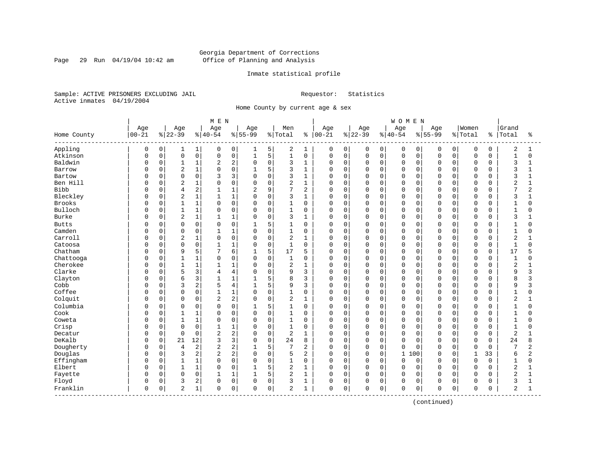Page 29 Run 04/19/04 10:42 am

### Inmate statistical profile

Sample: ACTIVE PRISONERS EXCLUDING JAIL Requestor: Statistics Active inmates 04/19/2004

Home County by current age & sex

|                       |           |             |                |              | M E N          |                |                |              |              |                |            |             |          |              | <b>WOMEN</b> |          |             |             |              |             |                |                |
|-----------------------|-----------|-------------|----------------|--------------|----------------|----------------|----------------|--------------|--------------|----------------|------------|-------------|----------|--------------|--------------|----------|-------------|-------------|--------------|-------------|----------------|----------------|
|                       | Age       |             | Age            |              | Age            |                | Age            |              | Men          |                | Age        |             | Age      |              | Age          |          | Age         |             | Women        |             | Grand          |                |
| Home County           | $00 - 21$ |             | $ 22-39$       |              | $8140 - 54$    |                | $8155 - 99$    |              | % Total      | ៖              | $ 00 - 21$ |             | $ 22-39$ |              | $8 40-54$    |          | $8155 - 99$ |             | % Total      | နွ          | Total          | ႜ              |
| Appling               | 0         | 0           | 1              | $\mathbf{1}$ | 0              | 0              | 1              | 5            | 2            | 1              | 0          | 0           | 0        | 0            | 0            | 0        | 0           | 0           | 0            | 0           | $\overline{c}$ | 1              |
| Atkinson              | 0         | $\mathsf 0$ | $\mathsf 0$    | 0            | 0              | 0              | $\mathbf{1}$   | 5            | $\mathbf{1}$ | $\mathbf 0$    | 0          | $\mathbf 0$ | 0        | $\mathsf{O}$ | $\mathbf 0$  | 0        | $\Omega$    | $\mathbf 0$ | $\mathsf 0$  | $\mathbf 0$ | $\mathbf{1}$   | $\mathbf 0$    |
| Baldwin               | O         | 0           | $\mathbf{1}$   | 1            | 2              | $\overline{c}$ | $\Omega$       | $\mathbf 0$  | 3            | $\mathbf{1}$   | 0          | $\mathbf 0$ | 0        | $\mathbf 0$  | $\mathbf 0$  | 0        | $\Omega$    | $\Omega$    | $\mathbf 0$  | 0           | 3              | 1              |
| Barrow                | O         | $\mathbf 0$ | $\overline{2}$ | 1            | $\Omega$       | 0              |                | 5            | 3            | $\mathbf{1}$   | 0          | $\mathbf 0$ | 0        | $\mathbf 0$  | $\mathbf 0$  | $\Omega$ | $\Omega$    | $\Omega$    | $\mathbf 0$  | $\Omega$    | 3              | -1             |
| Bartow                | O         | 0           | $\mathbf 0$    | 0            | 3              | 3              | $\Omega$       | $\Omega$     | 3            | $\mathbf{1}$   | 0          | 0           | 0        | $\Omega$     | $\mathbf 0$  | $\Omega$ | $\cap$      | O           | $\Omega$     | $\Omega$    | 3              |                |
| Ben Hill              | U         | $\Omega$    | $\overline{2}$ | 1            | $\Omega$       | $\mathbf 0$    | $\Omega$       | $\Omega$     | 2            | $\mathbf{1}$   | 0          | $\mathbf 0$ | O        | $\Omega$     | $\mathbf 0$  | $\Omega$ | $\Omega$    | $\Omega$    | $\Omega$     | U           | $\overline{c}$ | $\mathbf{1}$   |
| <b>Bibb</b>           | Ω         | $\mathbf 0$ | 4              | 2            |                | $\mathbf 1$    | $\overline{2}$ | 9            | 7            | $\overline{2}$ | 0          | $\mathbf 0$ | 0        | $\mathbf 0$  | $\mathbf 0$  | 0        | $\Omega$    | 0           | $\Omega$     | $\Omega$    | 7              | $\overline{2}$ |
| Bleckley              | Ω         | 0           | $\overline{a}$ | 1            |                | $\mathbf 1$    | $\Omega$       | 0            | 3            | $\mathbf{1}$   | 0          | $\mathbf 0$ | 0        | $\mathbf 0$  | $\Omega$     | 0        | $\Omega$    | 0           | $\mathbf 0$  | $\Omega$    | 3              |                |
| <b>Brooks</b>         | $\Omega$  | 0           | $\mathbf{1}$   | 1            | $\Omega$       | $\mathbf 0$    | $\mathbf 0$    | $\mathbf 0$  | 1            | $\mathbf 0$    | 0          | $\mathbf 0$ | 0        | $\mathbf 0$  | $\mathbf 0$  | 0        | $\Omega$    | $\Omega$    | $\mathbf 0$  | $\Omega$    | 1              | $\Omega$       |
| Bulloch               | U         | 0           | 1              | 1            | $\Omega$       | $\mathsf 0$    | $\Omega$       | 0            | 1            | $\mathbf 0$    | 0          | $\mathbf 0$ | 0        | $\mathbf 0$  | $\mathbf 0$  | 0        | $\Omega$    | O           | $\Omega$     | $\Omega$    | $\mathbf{1}$   |                |
| <b>Burke</b>          | U         | 0           | $\overline{2}$ | 1            | 1              | $1\,$          | $\Omega$       | $\mathbf 0$  | 3            | $\mathbf{1}$   | 0          | $\mathbf 0$ | 0        | $\mathbf 0$  | $\Omega$     | $\Omega$ | $\Omega$    | O           | $\Omega$     | $\cap$      | 3              |                |
| <b>Butts</b>          | Ω         | 0           | $\Omega$       | $\Omega$     | $\Omega$       | $\Omega$       | $\mathbf{1}$   | 5            | 1            | $\Omega$       | 0          | $\Omega$    | 0        | $\Omega$     | $\Omega$     | $\Omega$ | $\Omega$    | 0           | $\Omega$     | $\Omega$    | 1              | $\Omega$       |
| Camden                |           | $\mathbf 0$ | $\mathbf 0$    | 0            | $\mathbf{1}$   | $1\,$          | $\Omega$       | $\mathbf 0$  | $\mathbf{1}$ | $\mathbf 0$    | $\Omega$   | $\mathbf 0$ | 0        | $\Omega$     | $\mathbf 0$  | $\Omega$ | $\Omega$    | $\Omega$    | $\Omega$     | $\Omega$    | $\mathbf{1}$   | $\Omega$       |
| Carroll               |           | 0           | $\sqrt{2}$     | 1            | $\Omega$       | 0              | $\Omega$       | 0            | $\mathbf 2$  | $\mathbf{1}$   | $\Omega$   | $\mathbf 0$ | 0        | $\mathbf 0$  | $\mathbf 0$  | 0        | $\Omega$    | $\Omega$    | $\Omega$     | $\Omega$    | $\overline{a}$ |                |
| Catoosa               | O         | 0           | $\Omega$       | 0            | $\mathbf{1}$   | $1\,$          | $\Omega$       | $\Omega$     | $\mathbf{1}$ | $\Omega$       | $\Omega$   | $\mathbf 0$ | 0        | $\Omega$     | $\mathbf 0$  | $\Omega$ | $\Omega$    | $\Omega$    | $\Omega$     | $\Omega$    | $\mathbf{1}$   | $\Omega$       |
| Chatham               | Ω         | 0           | 9              | 5            |                | 6              |                | 5            | 17           | 5              | 0          | $\mathbf 0$ | 0        | $\mathbf 0$  | $\mathbf 0$  | $\Omega$ | $\Omega$    | O           | $\Omega$     | $\Omega$    | 17             |                |
| Chattooga             | O         | 0           | $\mathbf{1}$   | $\mathbf 1$  | $\Omega$       | $\mathbf 0$    | $\Omega$       | $\Omega$     | $\mathbf{1}$ | $\Omega$       | $\Omega$   | $\Omega$    | 0        | $\Omega$     | $\Omega$     | $\Omega$ | $\Omega$    | $\Omega$    | $\Omega$     | $\Omega$    | $\mathbf{1}$   | U              |
| Cherokee              | O         | 0           | $\mathbf{1}$   | $\mathbf 1$  |                | $\mathbf{1}$   | $\Omega$       | $\Omega$     | 2            | $\mathbf{1}$   | $\Omega$   | $\mathbf 0$ | 0        | $\Omega$     | $\mathbf 0$  | $\Omega$ | $\Omega$    | $\Omega$    | $\mathbf 0$  | $\Omega$    | $\overline{2}$ |                |
| Clarke                |           | 0           | 5              | 3            | 4              | $\,4$          | $\Omega$       | $\Omega$     | 9            | 3              | $\Omega$   | $\mathbf 0$ | 0        | 0            | $\Omega$     | 0        | $\Omega$    | 0           | $\Omega$     | $\Omega$    | 9              | 3              |
| Clayton               | Ω         | $\mathbf 0$ | 6              | 3            | $\mathbf{1}$   | $1\,$          | $\mathbf{1}$   | 5            | 8            | 3              | $\Omega$   | $\mathbf 0$ | 0        | $\mathbf 0$  | $\Omega$     | 0        | $\Omega$    | $\Omega$    | $\Omega$     | $\Omega$    | 8              | κ              |
| Cobb                  | O         | 0           | 3              | 2            | 5              | $\overline{4}$ |                | 5            | 9            | 3              | 0          | $\mathbf 0$ | 0        | $\mathbf 0$  | $\mathbf 0$  | 0        | $\Omega$    | 0           | $\mathbf 0$  | $\Omega$    | 9              | 3              |
| Coffee                | O         | 0           | $\mathbf 0$    | 0            |                | $\mathbf{1}$   | $\Omega$       | $\mathbf 0$  | $\mathbf{1}$ | $\Omega$       | $\Omega$   | $\mathbf 0$ | 0        | $\Omega$     | $\mathbf 0$  | $\Omega$ | $\Omega$    | $\Omega$    | $\Omega$     | $\Omega$    | $\mathbf{1}$   | O              |
| Colquit               | U         | $\mathbf 0$ | $\mathbf 0$    | 0            | 2              | $\overline{c}$ | $\Omega$       | 0            | 2            | $\mathbf{1}$   | 0          | $\mathbf 0$ | 0        | $\mathbf 0$  | $\mathbf 0$  | $\Omega$ | $\Omega$    | $\Omega$    | $\Omega$     | $\Omega$    | $\overline{2}$ |                |
| Columbia              | 0         | 0           | 0              | 0            | $\Omega$       | 0              | 1              | 5            | 1            | 0              | 0          | $\mathbf 0$ | 0        | $\mathbf 0$  | $\mathbf 0$  | 0        | $\Omega$    | 0           | $\Omega$     | $\Omega$    | $\mathbf{1}$   | O              |
| Cook                  |           | $\mathbf 0$ | $\mathbf{1}$   | 1            | $\Omega$       | $\mathbf 0$    | $\mathbf 0$    | $\mathbf 0$  | 1            | 0              | 0          | $\mathbf 0$ | 0        | 0            | $\mathbf 0$  | 0        | $\Omega$    | 0           | $\mathbf 0$  | $\Omega$    | $\mathbf{1}$   | 0              |
| Coweta                | Ω         | $\mathbf 0$ | $\mathbf{1}$   | 1            | $\Omega$       | 0              | $\Omega$       | 0            | $\mathbf{1}$ | $\mathbf 0$    | 0          | $\mathbf 0$ | 0        | $\mathbf 0$  | $\mathbf 0$  | 0        | $\Omega$    | 0           | $\mathbf 0$  | $\Omega$    | $\mathbf 1$    | $\Omega$       |
| Crisp                 | O         | 0           | $\mathbf 0$    | 0            |                | $\mathbf{1}$   | $\Omega$       | $\mathbf 0$  | $\mathbf{1}$ | $\mathbf 0$    | 0          | $\mathbf 0$ | 0        | $\mathbf 0$  | $\mathbf 0$  | 0        | $\Omega$    | 0           | $\mathbf 0$  | 0           | $\mathbf{1}$   | O              |
| Decatur               | O         | 0           | $\Omega$       | 0            | $\overline{c}$ | $\overline{c}$ | $\Omega$       | $\mathbf 0$  | 2            | $\mathbf{1}$   | $\Omega$   | $\mathbf 0$ | 0        | $\Omega$     | $\Omega$     | $\Omega$ | $\Omega$    | 0           | $\Omega$     | $\Omega$    | $\overline{2}$ |                |
| DeKalb                | 0         | 0           | 21             | 12           | 3              | 3              | $\Omega$       | $\Omega$     | 24           | 8              | $\Omega$   | $\Omega$    | 0        | $\Omega$     | $\Omega$     | $\Omega$ | $\Omega$    | $\Omega$    | $\Omega$     | $\Omega$    | 24             | 8              |
| Dougherty             | 0         | $\mathbf 0$ | 4              | 2            | 2              | $\overline{c}$ |                | 5            | 7            | 2              | 0          | $\mathbf 0$ | 0        | $\mathbf 0$  | $\Omega$     | $\Omega$ | $\Omega$    | $\Omega$    | $\mathbf 0$  | $\Omega$    | 7              | 2              |
| Douglas               | 0         | $\mathbf 0$ | 3              | 2            | $\overline{2}$ | $\overline{c}$ | $\Omega$       | $\mathbf 0$  | 5            | 2              | $\Omega$   | $\mathbf 0$ | 0        | $\mathbf 0$  | $\mathbf{1}$ | 100      | $\Omega$    | $\Omega$    | $\mathbf{1}$ | 33          | 6              | 2              |
| Effingham             | $\Omega$  | $\mathbf 0$ | $\mathbf{1}$   | 1            | $\Omega$       | $\mathbf 0$    | $\Omega$       | $\mathbf 0$  | $\mathbf{1}$ | $\mathbf 0$    | $\Omega$   | $\mathbf 0$ | 0        | $\Omega$     | $\mathbf 0$  | $\Omega$ | $\Omega$    | $\Omega$    | $\Omega$     | $\Omega$    | $\mathbf 1$    | $\Omega$       |
| Elbert                | 0         | 0           | $\mathbf{1}$   | 1            | $\Omega$       | $\mathsf 0$    |                | 5            | 2            | $\mathbf{1}$   | $\Omega$   | $\mathbf 0$ | 0        | $\mathbf 0$  | $\mathbf 0$  | $\Omega$ | $\Omega$    | $\Omega$    | $\Omega$     | $\Omega$    | $\overline{2}$ |                |
| Fayette               | O         | 0           | $\mathbf 0$    | 0            | $\mathbf{1}$   | $1\,$          | $\mathbf{1}$   | 5            | 2            | $\mathbf{1}$   | $\Omega$   | $\mathbf 0$ | 0        | $\Omega$     | $\mathbf 0$  | 0        | $\Omega$    | $\Omega$    | $\Omega$     | $\Omega$    | $\overline{2}$ | $\mathbf{1}$   |
| Floyd                 | 0         | 0           | 3              | 2            | 0              | 0              | $\Omega$       | $\mathbf 0$  | 3            | $\mathbf{1}$   | 0          | $\mathbf 0$ | 0        | $\mathbf 0$  | $\mathbf 0$  | 0        | $\Omega$    | 0           | $\Omega$     | O           | 3              | -1             |
| Franklin<br>--------- | 0         | 0           | $\overline{2}$ | 1            | 0              | 0              | $\Omega$       | $\mathsf{O}$ | 2            | 1              | 0          | 0           | 0        | 0            | $\mathbf 0$  | 0        | 0           | 0           | $\mathbf 0$  | 0           | 2              | 1              |

(continued)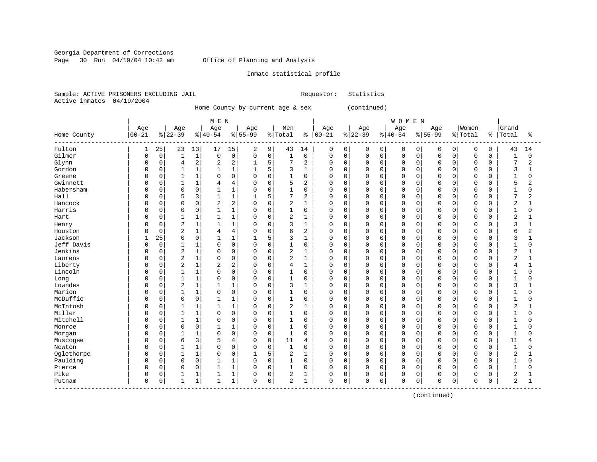Georgia Department of Corrections Page 30 Run 04/19/04 10:42 am Office of Planning and Analysis

### Inmate statistical profile

Sample: ACTIVE PRISONERS EXCLUDING JAIL Requestor: Statistics Active inmates 04/19/2004

Home County by current age & sex (continued)

|                          |              |             |                |             | M E N          |                |              |             |                |                |           |             |             |          | WOMEN       |             |             |             |             |          |                |                |
|--------------------------|--------------|-------------|----------------|-------------|----------------|----------------|--------------|-------------|----------------|----------------|-----------|-------------|-------------|----------|-------------|-------------|-------------|-------------|-------------|----------|----------------|----------------|
|                          | Age          |             | Age            |             | Age            |                | Age          |             | Men            |                | Age       |             | Age         |          | Age         |             | Age         |             | Women       |          | Grand          |                |
| Home County<br>--------- | $00 - 21$    |             | $ 22-39$       |             | $ 40-54$       |                | $8155 - 99$  |             | % Total        | နွ             | $00 - 21$ |             | $ 22-39$    |          | $ 40-54$    |             | $8 55-99$   |             | % Total     | ႜ        | Total          | ႜ              |
| Fulton                   | 1            | 25          | 23             | 13          | 17             | 15             | 2            | 9           | 43             | 14             | 0         | 0           | 0           | 0        | 0           | 0           | 0           | 0           | 0           | 0        | 43             | 14             |
| Gilmer                   | 0            | $\mathsf 0$ | $\mathbf{1}$   | $1\,$       | $\mathbf 0$    | $\mathsf 0$    | $\mathbf 0$  | $\mathsf 0$ | $\mathbf{1}$   | $\mathbf 0$    | 0         | $\mathbf 0$ | $\mathbf 0$ | 0        | $\mathbf 0$ | $\mathbf 0$ | $\mathbf 0$ | $\mathbf 0$ | $\mathbf 0$ | 0        | $\mathbf{1}$   | $\Omega$       |
| Glynn                    | 0            | 0           | $\overline{4}$ | 2           | 2              | $\overline{2}$ | 1            | 5           | 7              | 2              | $\Omega$  | $\mathbf 0$ | $\mathbf 0$ | 0        | $\Omega$    | $\mathbf 0$ | $\Omega$    | $\Omega$    | $\mathbf 0$ | 0        | 7              | $\overline{2}$ |
| Gordon                   | O            | 0           | 1              | $\mathbf 1$ |                | $\mathbf{1}$   |              | 5           | 3              | 1              | U         | 0           | 0           | $\Omega$ | $\Omega$    | $\mathbf 0$ |             | $\Omega$    | $\mathbf 0$ | 0        | 3              |                |
| Greene                   | O            | 0           | $\mathbf{1}$   | 1           | $\Omega$       | $\mathbf 0$    | $\Omega$     | $\mathbf 0$ | 1              | $\Omega$       | 0         | $\Omega$    | 0           | $\Omega$ | $\Omega$    | $\Omega$    | $\cap$      | $\cap$      | $\mathbf 0$ | $\Omega$ | $\mathbf{1}$   | $\Omega$       |
| Gwinnett                 | 0            | 0           | $\mathbf{1}$   | $\mathbf 1$ | 4              | $\overline{4}$ | $\mathbf 0$  | $\mathbf 0$ | 5              | 2              | 0         | 0           | 0           | $\Omega$ | $\Omega$    | 0           | $\Omega$    | $\Omega$    | $\mathbf 0$ | $\Omega$ | 5              | 2              |
| Habersham                | 0            | 0           | $\mathbf 0$    | 0           |                | $\mathbf 1$    | 0            | $\mathbf 0$ | $\mathbf 1$    | $\mathbf 0$    | 0         | $\mathbf 0$ | 0           | 0        | 0           | $\mathbf 0$ | $\Omega$    | 0           | $\mathbf 0$ | 0        | 1              | 0              |
| Hall                     | Ω            | 0           | 5              | 3           | $\mathbf{1}$   | $1\,$          | $\mathbf{1}$ | 5           | 7              | 2              | 0         | $\Omega$    | $\mathbf 0$ | $\Omega$ | $\Omega$    | $\mathbf 0$ | $\Omega$    | $\Omega$    | $\mathbf 0$ | $\Omega$ | 7              | 2              |
| Hancock                  | O            | 0           | $\mathbf 0$    | 0           | $\overline{2}$ | $\overline{2}$ | $\Omega$     | $\mathbf 0$ | $\overline{2}$ | $\mathbf{1}$   | 0         | $\mathbf 0$ | $\mathbf 0$ | 0        | $\Omega$    | 0           | $\Omega$    | $\Omega$    | $\mathbf 0$ | 0        | $\overline{2}$ |                |
| Harris                   | U            | 0           | 0              | 0           |                | $\mathbf 1$    | 0            | $\mathbf 0$ | 1              | 0              | 0         | $\mathbf 0$ | 0           | 0        | $\Omega$    | $\mathbf 0$ | $\Omega$    | O           | $\mathbf 0$ | $\Omega$ | 1              | $\Omega$       |
| Hart                     | O            | 0           | $\mathbf{1}$   | 1           | $\mathbf{1}$   | $1\,$          | $\Omega$     | $\mathbf 0$ | $\overline{2}$ | 1              | 0         | 0           | 0           | 0        | $\mathbf 0$ | 0           | $\Omega$    | $\Omega$    | $\mathbf 0$ | $\Omega$ | $\overline{2}$ | $\mathbf{1}$   |
| Henry                    | U            | $\Omega$    | $\overline{2}$ | 1           | 1              | $1\,$          | $\Omega$     | $\Omega$    | 3              | $\mathbf{1}$   | 0         | $\Omega$    | 0           | $\Omega$ | $\Omega$    | $\Omega$    | $\Omega$    | $\cap$      | $\Omega$    | $\Omega$ | 3              | $\mathbf{1}$   |
| Houston                  | 0            | 0           | $\overline{2}$ | 1           | 4              | $\overline{4}$ | $\Omega$     | $\mathbf 0$ | 6              | $\overline{2}$ | 0         | $\mathbf 0$ | 0           | $\Omega$ | $\Omega$    | 0           | $\Omega$    | $\Omega$    | $\mathbf 0$ | 0        | 6              | $\overline{2}$ |
| Jackson                  | $\mathbf{1}$ | 25          | 0              | 0           |                | $1\,$          |              | 5           | 3              | $\mathbf{1}$   | 0         | $\mathbf 0$ | $\mathbf 0$ | 0        | 0           | 0           | $\Omega$    | $\Omega$    | $\mathbf 0$ | 0        | 3              | 1              |
| Jeff Davis               | 0            | $\mathbf 0$ | $\mathbf{1}$   | 1           | $\Omega$       | $\mathbf 0$    | $\Omega$     | $\Omega$    | $\mathbf{1}$   | $\Omega$       | $\Omega$  | $\Omega$    | $\mathbf 0$ | $\Omega$ | $\Omega$    | $\mathbf 0$ | $\Omega$    | $\Omega$    | $\mathbf 0$ | $\Omega$ | $\mathbf{1}$   | $\Omega$       |
| Jenkins                  | O            | 0           | $\overline{2}$ | 1           | $\Omega$       | $\mathbf 0$    | $\Omega$     | $\mathbf 0$ | 2              | 1              | U         | 0           | $\Omega$    | $\Omega$ | $\Omega$    | 0           | $\Omega$    | $\Omega$    | $\mathbf 0$ | 0        | $\overline{2}$ |                |
| Laurens                  | O            | 0           | $\overline{2}$ | $\mathbf 1$ | $\Omega$       | 0              | $\Omega$     | $\Omega$    | $\overline{2}$ | $\mathbf{1}$   | $\Omega$  | $\Omega$    | $\Omega$    | $\Omega$ | $\Omega$    | $\mathbf 0$ | $\cap$      | $\cap$      | $\mathbf 0$ | $\Omega$ | 2              |                |
| Liberty                  | U            | 0           | $\overline{c}$ | 1           | 2              | $\overline{2}$ | $\Omega$     | $\mathbf 0$ | 4              | 1              | 0         | $\Omega$    | 0           | $\Omega$ | $\Omega$    | 0           | $\Omega$    | U           | $\mathbf 0$ | $\Omega$ | 4              | $\mathbf{1}$   |
| Lincoln                  | U            | 0           | $\mathbf{1}$   | $\mathbf 1$ | $\Omega$       | $\mathbf 0$    | $\Omega$     | $\mathbf 0$ | 1              | $\mathbf 0$    | 0         | 0           | 0           | 0        | 0           | 0           | $\Omega$    | $\Omega$    | $\mathbf 0$ | 0        | $\mathbf{1}$   | 0              |
| Long                     | 0            | 0           | $\mathbf{1}$   | 1           | $\Omega$       | 0              | $\Omega$     | $\Omega$    | $\mathbf{1}$   | $\mathbf 0$    | 0         | $\Omega$    | $\Omega$    | 0        | $\Omega$    | $\mathbf 0$ | $\Omega$    | $\Omega$    | $\mathbf 0$ | $\Omega$ | $\mathbf{1}$   | $\Omega$       |
| Lowndes                  | O            | 0           | $\overline{a}$ | 1           |                | $\mathbf 1$    | $\Omega$     | $\mathbf 0$ | 3              | $\mathbf{1}$   | $\Omega$  | $\mathbf 0$ | $\mathbf 0$ | $\Omega$ | $\Omega$    | $\mathbf 0$ | $\Omega$    | $\Omega$    | $\mathbf 0$ | $\Omega$ | 3              | 1              |
| Marion                   | O            | 0           | $\mathbf{1}$   | $\mathbf 1$ | $\Omega$       | $\mathsf 0$    | 0            | $\mathbf 0$ | 1              | 0              | 0         | 0           | 0           | 0        | $\Omega$    | 0           | $\Omega$    | O           | $\mathbf 0$ | 0        | $\mathbf{1}$   | O              |
| McDuffie                 | 0            | 0           | $\mathbf 0$    | 0           |                | 1              | $\Omega$     | 0           | $\mathbf{1}$   | $\mathbf 0$    | 0         | 0           | 0           | 0        | $\mathbf 0$ | 0           | $\Omega$    | $\Omega$    | $\mathbf 0$ | $\Omega$ | $\mathbf{1}$   | U              |
| McIntosh                 | O            | 0           | $\mathbf{1}$   | 1           |                | 1              | $\Omega$     | $\mathbf 0$ | 2              | $\mathbf{1}$   | 0         | $\Omega$    | 0           | $\Omega$ | $\Omega$    | $\Omega$    | $\Omega$    | $\Omega$    | $\mathbf 0$ | $\Omega$ | 2              |                |
| Miller                   | U            | 0           | $\mathbf{1}$   | 1           | $\Omega$       | $\mathbf 0$    | $\Omega$     | $\mathbf 0$ | 1              | 0              | 0         | $\mathbf 0$ | $\Omega$    | $\Omega$ | $\Omega$    | 0           | $\Omega$    | $\Omega$    | $\mathbf 0$ | $\Omega$ | -1             | 0              |
| Mitchell                 |              | 0           | $\mathbf{1}$   | 1           | $\Omega$       | $\mathbf 0$    | $\Omega$     | $\mathbf 0$ | 1              | $\mathbf 0$    | 0         | $\mathbf 0$ | 0           | 0        | 0           | $\mathbf 0$ | $\Omega$    | 0           | $\mathbf 0$ | 0        | 1              | O              |
| Monroe                   |              | 0           | $\Omega$       | 0           |                | 1              | $\Omega$     | $\Omega$    | $\mathbf{1}$   | $\Omega$       | 0         | $\Omega$    | $\mathbf 0$ | $\Omega$ | $\Omega$    | $\mathbf 0$ | $\Omega$    | $\Omega$    | $\mathbf 0$ | $\Omega$ | $\mathbf{1}$   | $\Omega$       |
| Morgan                   | O            | 0           | $\mathbf{1}$   | 1           | $\Omega$       | $\mathbf 0$    | $\Omega$     | $\mathbf 0$ | $\mathbf{1}$   | $\Omega$       | $\Omega$  | $\mathbf 0$ | $\mathbf 0$ | $\Omega$ | $\Omega$    | $\mathbf 0$ | $\Omega$    | $\Omega$    | $\mathbf 0$ | $\Omega$ | $\mathbf{1}$   | 0              |
| Muscogee                 | U            | 0           | 6              | 3           | 5              | 4              | 0            | $\mathbf 0$ | 11             | 4              | 0         | 0           | 0           | $\Omega$ | $\mathbf 0$ | $\mathbf 0$ | $\Omega$    | O           | $\mathbf 0$ | $\Omega$ | 11             |                |
| Newton                   | Ω            | $\Omega$    | $\mathbf{1}$   | 1           | $\Omega$       | $\mathbf 0$    | $\Omega$     | $\mathbf 0$ | 1              | $\Omega$       | 0         | $\Omega$    | $\Omega$    | $\Omega$ | $\Omega$    | $\Omega$    | $\Omega$    | $\cap$      | $\Omega$    | $\Omega$ | $\mathbf{1}$   | U              |
| Oglethorpe               | 0            | 0           | $\mathbf{1}$   | $\mathbf 1$ | $\Omega$       | $\mathbf 0$    |              | 5           | 2              | $\mathbf{1}$   | 0         | 0           | 0           | 0        | $\Omega$    | 0           | $\Omega$    | $\Omega$    | $\mathbf 0$ | 0        | $\overline{2}$ |                |
| Paulding                 | 0            | 0           | $\mathbf 0$    | 0           |                | $\mathbf 1$    | $\Omega$     | $\mathbf 0$ | $\mathbf{1}$   | $\mathbf 0$    | 0         | $\mathbf 0$ | $\Omega$    | $\Omega$ | $\Omega$    | $\mathbf 0$ | $\Omega$    | $\Omega$    | $\mathbf 0$ | $\Omega$ | $\mathbf{1}$   | $\Omega$       |
| Pierce                   | O            | 0           | $\mathbf 0$    | 0           | $\mathbf{1}$   | $1\,$          | $\Omega$     | $\mathbf 0$ | $\mathbf{1}$   | $\mathbf 0$    | $\Omega$  | $\Omega$    | $\mathbf 0$ | 0        | $\Omega$    | $\mathbf 0$ | $\Omega$    | $\Omega$    | $\mathbf 0$ | $\Omega$ | $\mathbf{1}$   | $\Omega$       |
| Pike                     | 0            | 0           |                | 1           |                | 1              | 0            | 0           | 2              | 1              | 0         | 0           | 0           | 0        | $\Omega$    | 0           | $\Omega$    | 0           | 0           | 0        | 2              |                |
| Putnam                   | 0            | 0           | $\mathbf{1}$   | 1           | $\mathbf{1}$   | $1\,$          | 0            | $\mathbf 0$ | 2              | 1              | 0         | 0           | 0           | 0        | 0           | 0           | $\Omega$    | 0           | $\mathbf 0$ | 0        | $\overline{2}$ | $\mathbf{1}$   |
| .                        |              |             |                |             |                |                |              |             |                |                |           |             |             |          |             |             | (continued) |             |             |          |                |                |

(continued)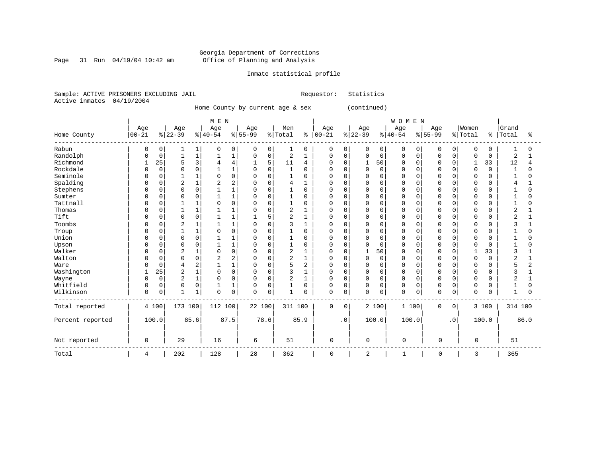#### Georgia Department of Corrections Page 31 Run 04/19/04 10:42 am Office of Planning and Analysis

#### Inmate statistical profile

Sample: ACTIVE PRISONERS EXCLUDING JAIL Requestor: Statistics Active inmates 04/19/2004

Home County by current age & sex (continued)

 | M E N | W O M E N | | Age | Age | Age | Age | Men | Age | Age | Age | Age |Women |Grand Home County |00-21 %|22-39 %|40-54 %|55-99 %|Total % |00-21 %|22-39 %|40-54 %|55-99 %|Total % |Total % ------------------------------------------------------------------------------------------------------------------------------------ Rabun | 0 0| 1 1| 0 0| 0 0| 1 0 | 0 0| 0 0| 0 0| 0 0| 0 0 | 1 0 Randolph | 0 0| 1 1| 1 1| 0 0| 2 1 | 0 0| 0 0| 0 0| 0 0| 0 0 | 2 1 Richmond | 1 25| 5 3| 4 4| 1 5| 11 4 | 0 0| 1 50| 0 0| 0 0| 1 33 | 12 4 Rockdale | 0 0| 0 0| 1 1| 0 0| 1 0 | 0 0| 0 0| 0 0| 0 0| 0 0 | 1 0 Seminole | 0 0| 1 1| 0 0| 0 0| 1 0 | 0 0| 0 0| 0 0| 0 0| 0 0 | 1 0 Spalding | 0 0| 2 1| 2 2| 0 0| 4 1 | 0 0| 0 0| 0 0| 0 0| 0 0 | 4 1 Stephens | 0 0| 0 0| 1 1| 0 0| 1 0 | 0 0| 0 0| 0 0| 0 0| 0 0 | 1 0 Sumter | 0 0| 0 0| 1 1| 0 0| 1 0 | 0 0| 0 0| 0 0| 0 0| 0 0 | 1 0 Tattnall | 0 0| 1 1| 0 0| 0 0| 1 0 | 0 0| 0 0| 0 0| 0 0| 0 0 | 1 0 Thomas | 0 0| 1 1| 1 1| 0 0| 2 1 | 0 0| 0 0| 0 0| 0 0| 0 0 | 2 1 Tift | 0 0| 0 0| 1 1| 1 5| 2 1 | 0 0| 0 0| 0 0| 0 0| 0 0 | 2 1 Toombs | 0 0| 2 1| 1 1| 0 0| 3 1 | 0 0| 0 0| 0 0| 0 0| 0 0 | 3 1 Troup | 0 0| 1 1| 0 0| 0 0| 1 0 | 0 0| 0 0| 0 0| 0 0| 0 0 | 1 0 Union | 0 0| 0 0| 1 1| 0 0| 1 0 | 0 0| 0 0| 0 0| 0 0| 0 0 | 1 0 Upson | 0 0| 0 0| 1 1| 0 0| 1 0 | 0 0| 0 0| 0 0| 0 0| 0 0 | 1 0 Walker | 0 0| 2 1| 0 0| 0 0| 2 1 | 0 0| 1 50| 0 0| 0 0| 1 33 | 3 1 Walton | 0 0| 0 0| 2 2| 0 0| 2 1 | 0 0| 0 0| 0 0| 0 0| 0 0 | 2 1 Ware | 0 0| 4 2| 1 1| 0 0| 5 2 | 0 0| 0 0| 0 0| 0 0| 0 0 | 5 2 Washington | 1 25| 2 1| 0 0| 0 0| 3 1 | 0 0| 0 0| 0 0| 0 0| 0 0 | 3 1 Wayne | 0 0| 2 1| 0 0| 0 0| 2 1 | 0 0| 0 0| 0 0| 0 0| 0 0 | 2 1 Whitfield | 0 0| 0 0| 1 1| 0 0| 1 0 | 0 0| 0 0| 0 0| 0 0| 0 0 | 1 0 Wilkinson | 0 0| 1 1| 0 0| 0 0| 1 0 | 0 0| 0 0| 0 0| 0 0| 0 0 | 1 0 ------------------------------------------------------------------------------------------------------------------------------------ Total reported | 4 100| 173 100| 112 100| 22 100| 311 100 | 0 0| 2 100| 1 100| 0 0| 3 100 | 314 100 | | | | | | | | | | | Percent reported | 100.0| 85.6| 87.5| 78.6| 85.9 | .0| 100.0| 100.0| .0| 100.0 | 86.0 | | | | | | | | | | | | | | | | | | | | | | Not reported | 0 | 29 | 16 | 6 | 51 | 0 | 0 | 0 | 0 | 0 | 51 ------------------------------------------------------------------------------------------------------------------------------------ Total | 4 | 202 | 128 | 28 | 362 | 0 | 2 | 1 | 0 | 3 | 365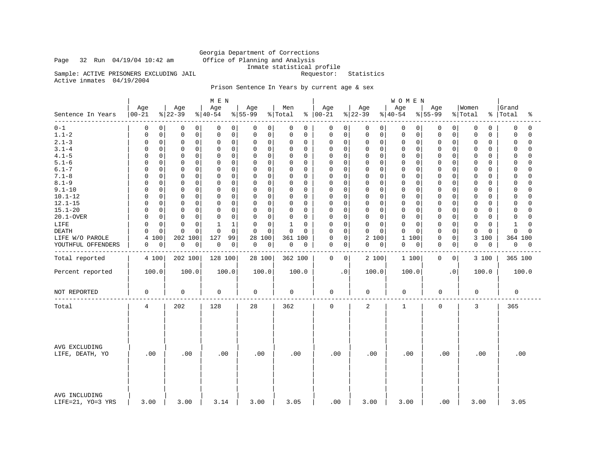# Georgia Department of Corrections<br>Office of Planning and Analysis Inmate statistical profile<br>Requestor: Statistics

Sample: ACTIVE PRISONERS EXCLUDING JAIL

Active inmates 04/19/2004

### Prison Sentence In Years by current age & sex

|                                    |                   |                 | M E N           |                  |                |                   |                 | <b>WOMEN</b>        |                 |                  |                         |
|------------------------------------|-------------------|-----------------|-----------------|------------------|----------------|-------------------|-----------------|---------------------|-----------------|------------------|-------------------------|
| Sentence In Years<br>-----         | Age<br>$00 - 21$  | Age<br>$ 22-39$ | Age<br>$ 40-54$ | Age<br>$ 55-99$  | Men<br>% Total | Age<br>$% 100-21$ | Age<br>$ 22-39$ | Age<br>$ 40-54$     | Age<br>$ 55-99$ | Women<br>% Total | Grand<br>%   Total<br>ႜ |
| $0 - 1$                            | 0                 | 0               | 0               | 0                | 0              | 0                 | 0               | $\overline{0}$      | 0               | 0                | $\Omega$                |
|                                    | 0                 | 0               | 0               | $\overline{0}$   | 0              | 0                 | 0               | 0                   | 0               | 0                | $\Omega$                |
| $1.1 - 2$                          | 0                 | 0               | $\mathsf 0$     | $\mathsf 0$      | $\mathbf 0$    | 0                 | 0               | $\mathbf 0$         | 0               | 0                | $\Omega$                |
|                                    | 0                 | $\mathbf 0$     | $\mathbf 0$     | $\overline{0}$   | 0              | $\mathbf 0$       | 0               | 0                   | $\Omega$        | 0                | 0                       |
| $2.1 - 3$                          | 0                 | 0               | 0               | 0                | $\mathbf 0$    | 0                 | $\mathbf 0$     | $\mathbf 0$         | 0               | 0                | $\Omega$                |
|                                    | 0                 | 0               | $\mathbf 0$     | 0                | 0              | 0                 | $\mathbf 0$     | 0                   | 0               | 0                | $\Omega$                |
| $3.1 - 4$                          | 0                 | $\mathbf 0$     | $\Omega$        | $\mathbf 0$      | $\mathbf 0$    | $\Omega$          | 0               | $\mathbf 0$         | O               | $\Omega$         | $\Omega$                |
|                                    | 0                 | $\Omega$        | $\mathbf 0$     | $\Omega$         | 0              | $\mathbf 0$       | $\Omega$        | $\Omega$            | 0               | 0                | $\Omega$                |
| $4.1 - 5$                          | 0                 | $\mathbf 0$     | $\mathsf 0$     | $\mathbf 0$      | 0              | $\mathbf 0$       | 0               | $\mathsf 0$         | $\mathbf 0$     | $\mathbf 0$      | $\Omega$                |
|                                    | 0                 | $\mathbf 0$     | $\Omega$        | 0                | $\mathbf 0$    | 0                 | 0               | 0                   | $\Omega$        | 0                | 0                       |
| $5.1 - 6$                          | 0                 | $\mathbf 0$     | $\mathbf 0$     | $\mathbf 0$      | $\mathbf 0$    | $\mathbf 0$       | 0               | $\mathbf 0$         | O               | 0                | $\Omega$                |
|                                    | <sup>0</sup>      | $\Omega$        | $\Omega$        | 0                | 0              | 0                 | $\Omega$        | 0                   | 0               | 0                | $\Omega$                |
| $6.1 - 7$                          | 0                 | $\mathbf 0$     | $\mathbf 0$     | $\mathbf 0$      | 0              | $\Omega$          | $\Omega$        | $\mathbf 0$         | $\mathbf 0$     | $\Omega$         | $\Omega$                |
|                                    | 0                 | $\Omega$        | $\Omega$        | $\Omega$         | $\mathbf 0$    | $\mathbf 0$       | $\Omega$        | $\Omega$            | $\Omega$        | $\Omega$         | $\Omega$                |
| $7.1 - 8$                          | 0                 | $\mathbf 0$     | $\mathbf 0$     | $\Omega$         | 0              | $\mathbf 0$       | 0               | $\mathbf 0$         | $\mathbf 0$     | $\mathbf 0$      | $\Omega$                |
|                                    | 0                 | $\mathbf 0$     | $\Omega$        | $\mathbf 0$      | 0              | 0                 | $\Omega$        | $\Omega$            | $\Omega$        | 0                | $\Omega$                |
| $8.1 - 9$                          | 0                 | $\mathbf 0$     | $\mathbf 0$     | 0                | 0              | 0                 | 0               | $\mathbf 0$         | $\Omega$        | 0                | $\Omega$                |
|                                    | $\Omega$          | $\Omega$        | $\Omega$        | $\mathbf 0$      | $\mathbf 0$    | $\mathbf 0$       | $\mathbf 0$     | $\mathbf 0$         | $\mathbf 0$     | 0                | $\cap$                  |
| $9.1 - 10$                         | 0                 | $\mathbf 0$     | $\Omega$        | $\mathbf 0$      | $\mathbf 0$    | 0                 | 0               | $\mathbf 0$         | $\Omega$        | $\mathbf 0$      | $\Omega$                |
|                                    | 0                 | $\Omega$        | $\mathbf 0$     | 0                | 0              | $\mathbf 0$       | $\Omega$        | $\Omega$            | 0               | 0                | $\cap$                  |
| $10.1 - 12$                        | 0                 | $\mathbf 0$     | $\mathsf 0$     | $\mathbf 0$      | 0              | 0                 | 0               | $\mathbf 0$         | $\mathbf 0$     | 0                | $\cap$                  |
|                                    | 0                 | 0               | $\Omega$        | 0                | 0              | 0                 | 0               | 0                   | 0               | 0                | 0                       |
| $12.1 - 15$                        | $\Omega$          | $\mathbf 0$     | $\mathsf 0$     | $\mathsf{O}$     | 0              | 0                 | $\mathbf 0$     | $\mathbf 0$         | $\mathbf 0$     | 0                | $\mathbf 0$             |
|                                    | 0                 | $\Omega$        | $\Omega$        | 0                | 0              | $\mathbf 0$       | 0               | 0                   | $\Omega$        | 0                | $\cap$                  |
| $15.1 - 20$                        | $\Omega$          | $\mathbf 0$     | $\mathbf 0$     | $\Omega$         | $\mathbf 0$    | $\mathbf 0$       | 0               | $\mathbf 0$         | $\Omega$        | 0                | $\Omega$                |
|                                    | O                 | $\Omega$        | $\Omega$        | 0                | 0              | $\Omega$          | $\Omega$        | $\Omega$            | 0               | O                | $\cap$                  |
| 20.1-OVER                          | 0                 | $\mathsf 0$     | $\mathsf 0$     | $\mathbf 0$      | 0              | 0                 | $\mathbf 0$     | $\mathsf 0$         | $\mathsf 0$     | 0                | 0                       |
|                                    | 0                 | $\mathbf 0$     | $\Omega$        | 0                | $\mathbf 0$    | 0                 | 0               | 0                   | $\Omega$        | 0                | $\cap$                  |
| LIFE                               | 0<br><sup>0</sup> | $\Omega$<br>0   | 1               | $\mathbf 0$<br>0 | $1\,$<br>0     | $\mathbf 0$<br>0  | 0<br>$\Omega$   | $\mathbf 0$<br>0    | $\Omega$<br>0   | 0<br>0           | 1<br>$\cap$             |
| <b>DEATH</b>                       | 0                 | $\Omega$        | $\mathbf 0$     | $\mathbf 0$      | $\mathsf 0$    | $\mathbf 0$       | $\mathbf 0$     | $\mathbf 0$         | $\Omega$        | 0                | $\Omega$                |
|                                    | <sup>0</sup>      | $\Omega$        | $\Omega$        | $\mathbf 0$      | $\Omega$       | $\mathbf 0$       | $\mathbf 0$     | $\Omega$            | 0               | $\mathbf 0$      | $\Omega$                |
| LIFE W/O PAROLE                    | 100<br>4          | 202<br>100      | 127<br>99       | 28<br>100        | 361 100        | 0<br>0            | 2<br>100        | $\mathbf{1}$<br>100 | 0<br>$\Omega$   | 3<br>100         | 364 100                 |
| YOUTHFUL OFFENDERS                 | 0                 | 0               | $\mathsf 0$     | $\mathbf 0$      | 0              | $\mathsf 0$       | 0               | $\mathsf 0$         | $\mathbf 0$     | 0                | 0                       |
|                                    | 0                 | 0               | $\mathbf 0$     | $\mathbf 0$      | 0              | 0                 | 0               | 0                   | 0               | 0                | 0                       |
|                                    |                   |                 |                 |                  |                |                   |                 |                     |                 |                  |                         |
| Total reported                     | 4 100             | 202 100         | 128 100         | 28 100           | 362 100        | $\mathbf 0$<br>0  | 2 100           | 1 100               | 0<br>0          | 3 100            | 365 100                 |
| Percent reported                   | 100.0             | 100.0           | 100.0           | 100.0            | 100.0          | $\cdot$ 0         | 100.0           | 100.0               | $\cdot$ 0       | 100.0            | 100.0                   |
| NOT REPORTED                       | 0                 | 0               | 0               | 0                | 0              | $\mathbf 0$       | 0               | 0                   | 0               | 0                | 0                       |
| Total                              | 4                 | 202             | 128             | 28               | 362            | $\mathbf 0$       | 2               | $\mathbf{1}$        | $\mathbf 0$     | 3                | 365                     |
| AVG EXCLUDING<br>LIFE, DEATH, YO   | .00               | .00             | .00             | .00              | .00            | .00               | .00             | .00                 | .00             | .00              | .00                     |
| AVG INCLUDING<br>LIFE=21, YO=3 YRS | 3.00              | 3.00            | 3.14            | 3.00             | 3.05           | .00               | 3.00            | 3.00                | .00             | 3.00             | 3.05                    |

Page 32 Run 04/19/04 10:42 am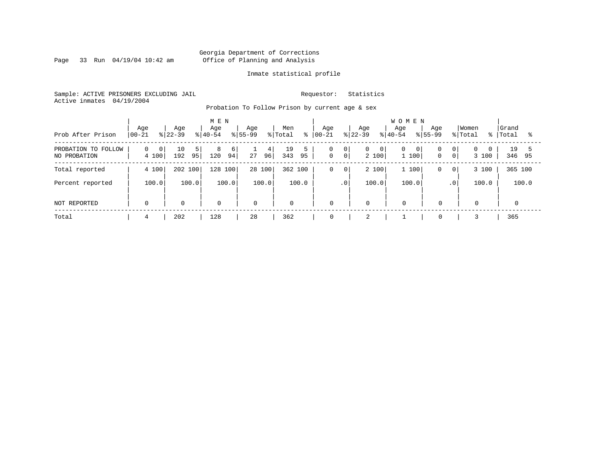Page 33 Run  $04/19/04$  10:42 am

### Inmate statistical profile

Sample: ACTIVE PRISONERS EXCLUDING JAIL Requestor: Statistics Active inmates 04/19/2004

Probation To Follow Prison by current age & sex

| Prob After Prison                   | Age<br>$00 - 21$            | Age<br>$ 22-39 $      | M E N<br>Age<br>$8 40-54$ | Age<br>$ 55-99 $ | Men<br>% Total<br>⊱ | Age<br>$ 00 - 21 $                         | Age<br>$8 22-39$                          | <b>WOMEN</b><br>Age<br>Age<br>$8155 - 99$<br>$8 40-54$ | Women<br>% Total                          | Grand<br>Total<br>% |
|-------------------------------------|-----------------------------|-----------------------|---------------------------|------------------|---------------------|--------------------------------------------|-------------------------------------------|--------------------------------------------------------|-------------------------------------------|---------------------|
| PROBATION TO FOLLOW<br>NO PROBATION | 0 <br>$\mathbf{0}$<br>4 100 | 10<br>5 <br>192<br>95 | 8<br>6<br>94<br>120       | 4<br>96 <br>27   | 19<br>343<br>95     | 0<br> 0 <br>0 <sup>1</sup><br>$\mathsf{O}$ | $\overline{0}$<br>$\overline{0}$<br>2 100 | 0<br>$\overline{0}$<br>1100<br>$\mathbf{0}$            | 0 <sup>1</sup><br>0 <sup>1</sup><br>3 100 | 19<br>346 95        |
| Total reported                      | 4 100                       | 202 100               | 100<br>128                | 28 100           | 362 100             | 0<br>$\mathbf 0$                           | 2 100                                     | 1 100<br>0                                             | 3 100<br>$\overline{0}$                   | 365 100             |
| Percent reported                    | 100.0                       | 100.0                 | 100.0                     | 100.0            | 100.0               | $\cdot$ 0                                  | 100.0                                     | 100.0                                                  | 100.0<br>.0 <sup>1</sup>                  | 100.0               |
| NOT REPORTED                        | $\Omega$                    | $\mathbf 0$           | $\mathbf 0$               | $\mathbf 0$      | $\mathbf{0}$        | $\mathbf 0$                                | $\mathbf 0$                               | $\Omega$<br>$\Omega$                                   | $\mathbf 0$                               |                     |
| Total                               | 4                           | 202                   | 128                       | 28               | 362                 | 0                                          | $\bigcap$<br>∠                            | $\mathbf 0$                                            |                                           | 365                 |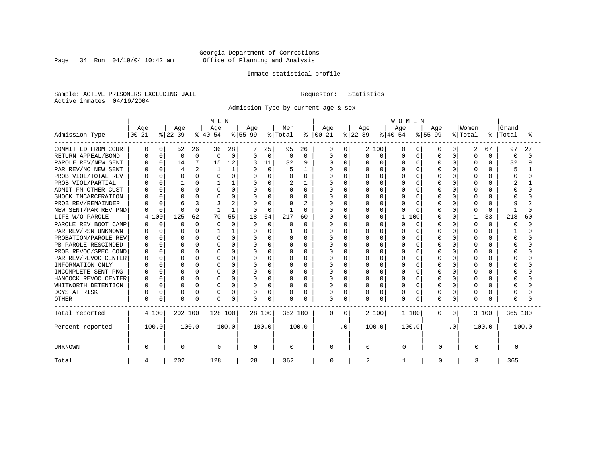Page 34 Run  $04/19/04$  10:42 am

### Inmate statistical profile

Sample: ACTIVE PRISONERS EXCLUDING JAIL Requestor: Statistics Active inmates 04/19/2004

Admission Type by current age & sex

|                      |              |             |          |          | MEN          |              |           |             |          |              |             |          |           |              | <b>WOMEN</b> |              |           |           |          |          |         |       |
|----------------------|--------------|-------------|----------|----------|--------------|--------------|-----------|-------------|----------|--------------|-------------|----------|-----------|--------------|--------------|--------------|-----------|-----------|----------|----------|---------|-------|
|                      | Age          |             | Age      |          | Age          |              | Age       |             | Men      |              | Age         |          | Age       |              | Age          |              | Age       |           | Women    |          | Grand   |       |
| Admission Type       | $00 - 21$    |             | $ 22-39$ |          | $ 40-54$     |              | $8 55-99$ |             | % Total  | ៖            | $ 00-21$    |          | $ 22-39 $ |              | $ 40-54$     |              | $8 55-99$ |           | % Total  | ႜ        | Total   | °     |
| COMMITTED FROM COURT | 0            | 0           | 52       | 26       | 36           | 28           |           | 25          | 95       | 26           | 0           | $\Omega$ |           | 2 100        | O            | O            | O         | 0         | 2        | 67       | 97      | 27    |
| RETURN APPEAL/BOND   | 0            | $\mathbf 0$ | 0        | 0        | <sup>0</sup> | $\mathbf 0$  | 0         | $\mathbf 0$ | $\Omega$ | $\Omega$     | 0           | $\Omega$ | 0         | $\Omega$     | $\Omega$     | $\Omega$     | $\cap$    | 0         | 0        | 0        | 0       | O     |
| PAROLE REV/NEW SENT  | <sup>0</sup> | $\Omega$    | 14       | 7        | 15           | 12           |           | 11          | 32       | 9            | U           | $\Omega$ | 0         | $\Omega$     | $\cap$       | $\Omega$     | $\cap$    | $\Omega$  | 0        | U        | 32      | 9     |
| PAR REV/NO NEW SENT  |              | O           | 4        | 2        |              | 1            |           | $\mathbf 0$ |          |              | U           | $\Omega$ |           | $\Omega$     | $\Omega$     | O            |           | U         | $\Omega$ |          | 5       |       |
| PROB VIOL/TOTAL REV  |              | 0           | 0        | 0        |              | $\Omega$     |           | 0           |          | 0            | 0           | $\Omega$ |           | $\Omega$     | $\Omega$     | O            |           |           | $\Omega$ |          |         |       |
| PROB VIOL/PARTIAL    | n            | O           |          | 0        |              |              | O         | 0           | 2        |              | 0           | $\Omega$ | 0         | $\Omega$     | $\Omega$     | O            |           |           | $\Omega$ |          |         |       |
| ADMIT FM OTHER CUST  | n            | $\Omega$    | n        | 0        | U            | $\Omega$     | O         | 0           | 0        | $\Omega$     | 0           | $\Omega$ | U         | $\Omega$     | $\Omega$     | $\Omega$     |           | $\Omega$  | 0        | n        | U       | U     |
| SHOCK INCARCERATION  |              | $\Omega$    | $\Omega$ | 0        |              | $\Omega$     | O         | $\Omega$    | O        | 0            | 0           | $\Omega$ | U         | $\cap$       | $\Omega$     | $\Omega$     |           | $\Omega$  | $\Omega$ | n        |         |       |
| PROB REV/REMAINDER   |              | $\Omega$    | 6        | 3        |              | 2            | O         | $\Omega$    |          | $\mathbf{2}$ | U           | $\Omega$ | U         | $\Omega$     | $\cap$       | <sup>0</sup> |           | $\Omega$  | $\Omega$ | U        | 9       | 2     |
| NEW SENT/PAR REV PND | U            | $\Omega$    | n        | $\Omega$ |              | $\mathbf{1}$ | O         | $\mathbf 0$ |          | $\Omega$     | ი           | $\Omega$ | U         | $\Omega$     | $\Omega$     | O            |           | $\Omega$  | 0        | $\Omega$ |         | O     |
| LIFE W/O PAROLE      | 4            | .00         | 125      | 62       | 70           | 55           | 18        | 64          | 217      | 60           | N           | $\Omega$ | O         | $\Omega$     | $\mathbf{1}$ | 100          |           | $\Omega$  |          | 33       | 218     | 60    |
| PAROLE REV BOOT CAMP |              | $\mathbf 0$ | $\Omega$ | $\Omega$ | O            | $\Omega$     | $\Omega$  | $\Omega$    | O        | $\Omega$     | Ω           | $\Omega$ | U         | $\Omega$     | $\cap$       | $\Omega$     |           | $\Omega$  | $\Omega$ | $\Omega$ | U       | 0     |
| PAR REV/RSN UNKNOWN  | U            | $\Omega$    | n        | $\Omega$ |              | 1            | O         | $\Omega$    |          | 0            | U           | $\Omega$ |           | <sup>n</sup> | O            | <sup>0</sup> |           | $\Omega$  | $\Omega$ | U        |         | U     |
| PROBATION/PAROLE REV | <sup>0</sup> | 0           | n        | 0        | O            | $\Omega$     | O         | $\Omega$    | O        | 0            | U           | $\Omega$ |           | $\Omega$     | $\Omega$     | <sup>0</sup> |           |           | $\Omega$ |          | O       | U     |
| PB PAROLE RESCINDED  |              | $\Omega$    | ∩        | 0        | U            | $\Omega$     | O         | 0           | U        | $\Omega$     | U           | $\Omega$ |           | $\Omega$     | $\cap$       | O            |           |           | $\Omega$ |          | U       | U     |
| PROB REVOC/SPEC COND |              | $\Omega$    | n        | 0        | U            | $\Omega$     |           | 0           |          | 0            | ი           | 0        |           | $\Omega$     | $\Omega$     | O            |           | U         | O        |          |         |       |
| PAR REV/REVOC CENTER | n            | 0           | n        | 0        |              | $\Omega$     |           | 0           |          | 0            | 0           | $\Omega$ |           | $\Omega$     | $\Omega$     | O            |           |           | $\Omega$ |          |         |       |
| INFORMATION ONLY     |              | $\Omega$    | n        | 0        | U            | $\Omega$     | O         | 0           |          | $\Omega$     | 0           | $\Omega$ |           | $\Omega$     | $\cap$       | O            |           |           | $\Omega$ |          |         |       |
| INCOMPLETE SENT PKG  |              | $\Omega$    | n        | 0        | U            | $\Omega$     | O         | 0           | O        | $\Omega$     | 0           | $\Omega$ |           | $\Omega$     | $\Omega$     | $\Omega$     |           | $\Omega$  | 0        |          |         |       |
| HANCOCK REVOC CENTER | <sup>0</sup> | 0           | n        | 0        | U            | $\Omega$     | O         | $\Omega$    | O        | 0            | 0           | $\Omega$ | U         | $\Omega$     | $\Omega$     | $\Omega$     | ∩         | $\Omega$  | $\Omega$ | n        |         |       |
| WHITWORTH DETENTION  | <sup>0</sup> | $\Omega$    | $\Omega$ | $\Omega$ | U            | $\Omega$     | O         | $\mathbf 0$ | $\Omega$ | $\Omega$     | U           | $\Omega$ | U         | $\Omega$     | $\Omega$     | $\Omega$     | U         | $\Omega$  | $\Omega$ | U        | U       |       |
| DCYS AT RISK         | U            | 0           | 0        | 0        | O            | 0            | O         | 0           | O        | 0            | 0           | 0        | O         | $\Omega$     | $\Omega$     | 0            |           | $\Omega$  | 0        | O        |         |       |
| <b>OTHER</b>         | $\Omega$     | 0           | n        | 0        | O            | 0            | O         | 0           | $\Omega$ | O            | 0           | $\Omega$ | O         | $\Omega$     | $\Omega$     | 0            | $\cap$    | 0         | $\Omega$ |          |         |       |
| Total reported       |              | 4 100       | 202 100  |          | 128 100      |              |           | 28 100      | 362 100  |              | 0           | $\Omega$ |           | 2 100        |              | 1 100        | 0         | $\circ$   |          | 3 100    | 365 100 |       |
| Percent reported     |              | 100.0       |          | 100.0    |              | 100.0        |           | 100.0       |          | 100.0        |             | . 0      |           | 100.0        |              | 100.0        |           | $\cdot$ 0 |          | 100.0    |         | 100.0 |
| <b>UNKNOWN</b>       | 0            |             | 0        |          | 0            |              | 0         |             | 0        |              | 0           |          | 0         |              | 0            |              | 0         |           | 0        |          | 0       |       |
| Total                | 4            |             | 202      |          | 128          |              | 28        |             | 362      |              | $\mathbf 0$ |          | 2         |              | 1            |              | 0         |           | 3        |          | 365     |       |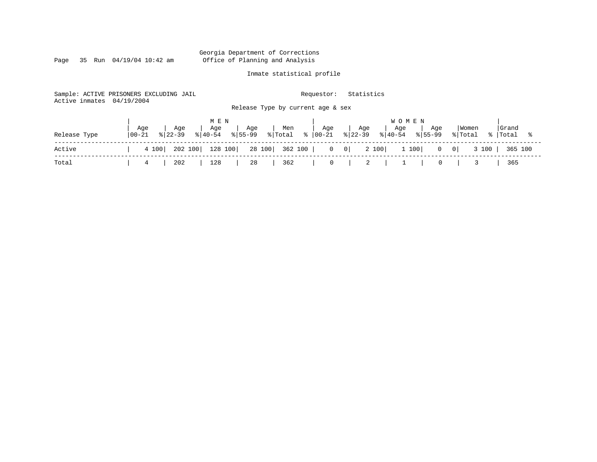Page 35 Run  $04/19/04$  10:42 am

### Inmate statistical profile

Sample: ACTIVE PRISONERS EXCLUDING JAIL Requestor: Statistics Active inmates 04/19/2004 Release Type by current age & sex

|              |                   | MEN |                      |  | <b>WOMEN</b>                                                                                                                                 |                          |                                                             |
|--------------|-------------------|-----|----------------------|--|----------------------------------------------------------------------------------------------------------------------------------------------|--------------------------|-------------------------------------------------------------|
| Release Type | Age<br>$100 - 21$ |     |                      |  | Age   Age   Age   Men   Age   Age   Age   Age<br>  8   8   40   8   55   99   8   10   8   10   21   8   22   39   8   40   54   8   55   99 | Women<br>% Total % Total | Grand                                                       |
| Active       |                   |     |                      |  | 4 100   202 100   128 100   28 100   362 100   0 0   2 100   1 100   0 0   3 100   365 100                                                   |                          |                                                             |
| Total        | 4                 |     | 202   128   28   362 |  |                                                                                                                                              |                          | $\begin{array}{c} \begin{array}{c} \end{array} \end{array}$ |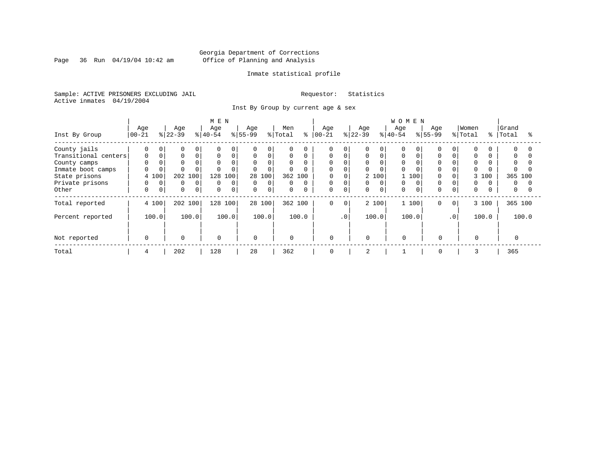Page 36 Run 04/19/04 10:42 am

### Inmate statistical profile

Sample: ACTIVE PRISONERS EXCLUDING JAIL Requestor: Statistics Active inmates 04/19/2004

Inst By Group by current age & sex

|                      |           |             |           |              | M E N       |             |                |          |              |          |             |                 |           |          | <b>WOMEN</b> |          |             |           |          |     |           |       |
|----------------------|-----------|-------------|-----------|--------------|-------------|-------------|----------------|----------|--------------|----------|-------------|-----------------|-----------|----------|--------------|----------|-------------|-----------|----------|-----|-----------|-------|
|                      | Age       |             | Age       |              | Age         |             | Age            |          | Men          |          | Age         |                 | Age       |          | Age          |          | Age         |           | Women    |     | Grand     |       |
| Inst By Group        | $00 - 21$ |             | $ 22-39 $ |              | $ 40-54 $   |             | $ 55-99 $      |          | % Total      | ႜ        | $ 00 - 21$  |                 | $ 22-39 $ |          | $8 40-54$    |          | $ 55-99 $   |           | % Total  |     | %   Total |       |
| County jails         | 0         | $\Omega$    | $\Omega$  | 0            | $\Omega$    | $\Omega$    | $\Omega$       | 0        | $\Omega$     | 0        | $\Omega$    |                 | 0         | $\Omega$ | O            |          |             |           |          |     | $\Omega$  |       |
| Transitional centers | 0         |             | 0         | 0            | $\mathbf 0$ | $\mathbf 0$ | $\mathbf 0$    | 0        | $\mathbf 0$  | 0        | 0           |                 | 0         | $\Omega$ | 0            |          | $\Omega$    |           | $\Omega$ |     | $\Omega$  |       |
| County camps         |           |             |           |              | $\Omega$    | $\Omega$    | $\mathbf{0}$   | $\Omega$ | $\Omega$     |          | $\Omega$    |                 | 0         |          | $\Omega$     |          |             |           |          |     | $\Omega$  |       |
| Inmate boot camps    | 0         |             |           |              |             | $\Omega$    | $\Omega$       | $\Omega$ | $\Omega$     | 0        | $\Omega$    |                 | 0         |          | 0            |          | $\Omega$    |           |          |     | 0         |       |
| State prisons        | 4 100     |             | 202       | 100          | 128         | 100         |                | 28 100   | 362 100      |          | 0           |                 |           | 2 100    |              | 100      |             |           | 3        | 100 | 365 100   |       |
| Private prisons      | $\Omega$  | $\Omega$    | $\Omega$  | $\mathbf{0}$ | $\Omega$    | $\Omega$    | $\overline{0}$ | $\Omega$ | 0            | $\Omega$ | 0           |                 | 0         | $\Omega$ | $\Omega$     | $\Omega$ |             |           | $\Omega$ |     | $\Omega$  |       |
| Other                | 0         | $\mathbf 0$ | 0         | $\mathbf{0}$ | $\mathbf 0$ | $\mathbf 0$ | $\mathbf{0}$   | 0        | $\mathbf 0$  | 0        | $\mathbf 0$ | 0               | 0         | 0        | 0            |          | $\Omega$    |           | $\Omega$ |     | 0         |       |
| Total reported       | 4 100     |             |           | 202 100      | 128 100     |             |                | 28 100   | 362 100      |          | $\mathbf 0$ | $\mathbf 0$     |           | 2 100    |              | 1 100    | $\mathbf 0$ | $\circ$   | 3 100    |     | 365 100   |       |
| Percent reported     | 100.0     |             |           | 100.0        |             | 100.0       |                | 100.0    |              | 100.0    |             | .0 <sup>1</sup> |           | 100.0    |              | 100.0    |             | $\cdot$ 0 | 100.0    |     |           | 100.0 |
| Not reported         | $\Omega$  |             | $\Omega$  |              | 0           |             | $\Omega$       |          | $\mathbf{0}$ |          | $\Omega$    |                 | $\Omega$  |          | $\Omega$     |          | $\Omega$    |           | $\Omega$ |     |           |       |
|                      |           |             |           |              |             |             |                |          |              |          |             |                 |           |          |              |          |             |           |          |     |           |       |
| Total                | 4         |             | 202       |              | 128         |             | 28             |          | 362          |          | 0           |                 | 2         |          |              |          | 0           |           | 3        |     | 365       |       |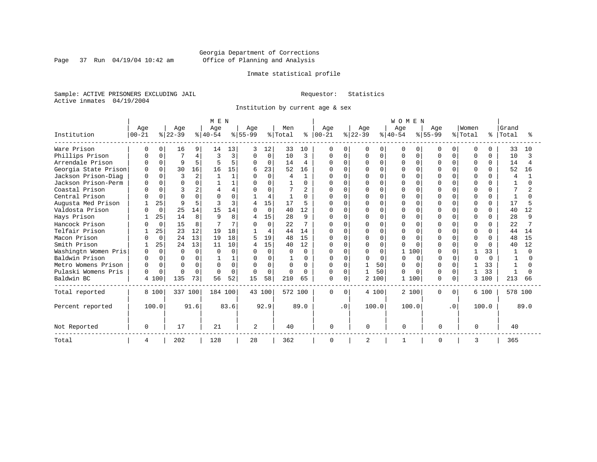Page 37 Run  $04/19/04$  10:42 am

### Inmate statistical profile

Sample: ACTIVE PRISONERS EXCLUDING JAIL Requestor: Statistics Active inmates 04/19/2004

Institution by current age & sex

|                      |            |             |              |                | M E N    |          |                |          |              |                |               |           |           |          | WOMEN    |              |              |           |              |              |                |      |
|----------------------|------------|-------------|--------------|----------------|----------|----------|----------------|----------|--------------|----------------|---------------|-----------|-----------|----------|----------|--------------|--------------|-----------|--------------|--------------|----------------|------|
|                      | Age        |             | Age          |                | Age      |          | Age            |          | Men          |                | Age           |           | Age       |          | Age      |              | Age          |           | Women        |              | Grand          |      |
| Institution          | $ 00 - 21$ |             | $ 22-39 $    |                | $ 40-54$ |          | $8 55-99$      |          | % Total      |                | $8   00 - 21$ |           | $ 22-39 $ |          | $ 40-54$ |              | $8155 - 99$  |           | % Total      | ႜ            | Total          |      |
| Ware Prison          |            | 0           | 16           | 9              | 14       | 13       | 3              | 12       | 33           | 10             | 0             | 0         | O         | 0        | 0        | <sup>0</sup> | U            | 0         | <sup>0</sup> |              | 33             | 10   |
| Phillips Prison      |            | $\Omega$    |              | 4              | Р        | 3        | $\Omega$       | 0        | 10           | 3              | O             | $\Omega$  | O         | $\Omega$ | U        | $\Omega$     | U            | 0         | $\Omega$     | $\Omega$     | 10             |      |
| Arrendale Prison     |            | $\Omega$    | 9            | 5              |          | 5        | $\Omega$       | 0        | 14           | 4              | $\Omega$      | $\Omega$  | U         | $\Omega$ | 0        | $\Omega$     | U            | 0         | $\Omega$     | $\Omega$     | 14             |      |
| Georgia State Prison |            | $\cap$      | 30           | 16             | 16       | 15       | 6              | 23       | 52           | 16             |               | ∩         |           | $\Omega$ |          | $\Omega$     |              | O.        | $\Omega$     |              | 52             | 16   |
| Jackson Prison-Diag  | $\Omega$   | $\cap$      | 3            | $\overline{2}$ |          |          | $\cap$         | $\Omega$ | 4            | $\mathbf{1}$   | U             | $\cap$    | U         | $\Omega$ |          | $\Omega$     | ∩            | U         | $\cap$       | <sup>n</sup> | $\overline{A}$ |      |
| Jackson Prison-Perm  | $\Omega$   | $\Omega$    | $\cap$       | 0              |          |          | O              | $\Omega$ |              | 0              | O             | $\cap$    | O         | $\Omega$ | U        | $\Omega$     | $\cap$       |           | $\Omega$     |              |                |      |
| Coastal Prison       |            |             |              | 2              |          |          | $\Omega$       | U        |              | $\overline{a}$ | O             | ∩         | Λ         | $\Omega$ | ∩        | $\cap$       | ∩            |           | $\Omega$     | <sup>n</sup> |                |      |
| Central Prison       |            | $\Omega$    | $\Omega$     | $\Omega$       |          | 0        |                | 4        |              | 0              | 0             | $\Omega$  | Ω         | $\Omega$ | U        | $\Omega$     | $\Omega$     | O.        | $\Omega$     | $\Omega$     |                |      |
| Augusta Med Prison   |            | 25          | $\mathsf{Q}$ | 5              |          | ζ        | 4              | 15       | 17           | 5              | U             | $\Omega$  | U         | $\Omega$ |          | $\Omega$     | $\cap$       |           | $\cap$       | $\cap$       | 17             |      |
| Valdosta Prison      |            | $\mathbf 0$ | 25           | 14             | 15       | 14       | $\Omega$       | $\Omega$ | 40           | 12             | $\Omega$      | $\Omega$  | U         | $\Omega$ | ∩        | O            | $\cap$       |           | $\Omega$     | $\Omega$     | 40             | 12   |
| Hays Prison          |            | 25          | 14           | 8              | Q        | 8        | 4              | 15       | 28           | 9              | $\Omega$      | $\Omega$  | N         | $\Omega$ | U        | $\Omega$     | $\cap$       |           | $\Omega$     | $\Omega$     | 28             | q    |
| Hancock Prison       |            | $\Omega$    | 15           | 8              |          | 7        |                | $\Omega$ | 22           |                | 0             | $\Omega$  |           | $\Omega$ |          | $\cap$       | 0            |           | $\Omega$     | $\Omega$     | 22             |      |
| Telfair Prison       |            | 25          | 23           | 12             | 19       | 18       |                | 4        | 44           | 14             | $\cap$        | $\Omega$  | O         | $\Omega$ | ∩        | $\Omega$     | $\cap$       | U         | $\Omega$     | <sup>n</sup> | 44             | 14   |
| Macon Prison         |            | $\Omega$    | 24           | 13             | 19       | 18       | 5              | 19       | 48           | 15             | $\Omega$      | $\Omega$  | O         | $\Omega$ | $\Omega$ | $\Omega$     | $\cap$       |           | $\Omega$     | $\cap$       | 48             | 15   |
| Smith Prison         |            | 25          | 24           | 13             | 11       | 10       | 4              | 15       | 40           | 12             | $\Omega$      | $\Omega$  | O         | $\Omega$ | U        | $\cap$       | ∩            | U         | $\Omega$     | $\cap$       | 40             | 12   |
| Washingtn Women Pris | $\Omega$   | $\Omega$    | $\Omega$     | $\mathbf 0$    | O        | $\Omega$ | $\Omega$       | $\Omega$ | <sup>0</sup> | $\Omega$       | O             | $\Omega$  | O         | $\Omega$ | 1        | 100          | $\Omega$     | O.        |              | 33           |                |      |
| Baldwin Prison       |            | $\Omega$    | U            | $\Omega$       |          |          | U              | O        |              | $\Omega$       | U             | $\Omega$  | U         | $\Omega$ | $\cap$   | $\cap$       |              |           | $\Omega$     | $\cap$       |                | U    |
| Metro Womens Prison  | n          | $\Omega$    | $\Omega$     | $\Omega$       | U        | $\Omega$ | $\Omega$       | $\Omega$ | <sup>0</sup> | 0              | $\Omega$      | $\Omega$  |           | 50       | U        | $\Omega$     | <sup>0</sup> | U         |              | 33           |                |      |
| Pulaski Womens Pris  | $\Omega$   | $\Omega$    | $\cap$       | $\Omega$       | $\cap$   | $\Omega$ | $\Omega$       | $\Omega$ | $\Omega$     | U              | $\Omega$      | $\Omega$  |           | 50       | U        | $\Omega$     | <sup>0</sup> | 0         | 1            | 33           | -1             |      |
| Baldwin BC           |            | 4 100       | 135          | 73             | 56       | 52       | 15             | 58       | 210          | 65             | $\mathbf 0$   | $\Omega$  |           | 2 100    | 1        | 100          | $\Omega$     | $\Omega$  | 3            | 100          | 213            | 66   |
| Total reported       |            | 8 100       | 337 100      |                | 184 100  |          |                | 43 100   | 572 100      |                | $\Omega$      | $\Omega$  |           | 4 100    | 2 100    |              | 0            | $\Omega$  |              | 6 100        | 578 100        |      |
| Percent reported     |            | 100.0       |              | 91.6           |          | 83.6     |                | 92.9     |              | 89.0           |               | $\cdot$ 0 | 100.0     |          | 100.0    |              |              | $\cdot$ 0 |              | 100.0        |                | 89.0 |
| Not Reported         | $\Omega$   |             | 17           |                | 21       |          | $\overline{2}$ |          | 40           |                | $\Omega$      |           | $\Omega$  |          | $\Omega$ |              | $\Omega$     |           | $\Omega$     |              | 40             |      |
| Total                | 4          |             | 202          |                | 128      |          | 28             |          | 362          |                | 0             |           | 2         |          |          |              | $\Omega$     |           | 3            |              | 365            |      |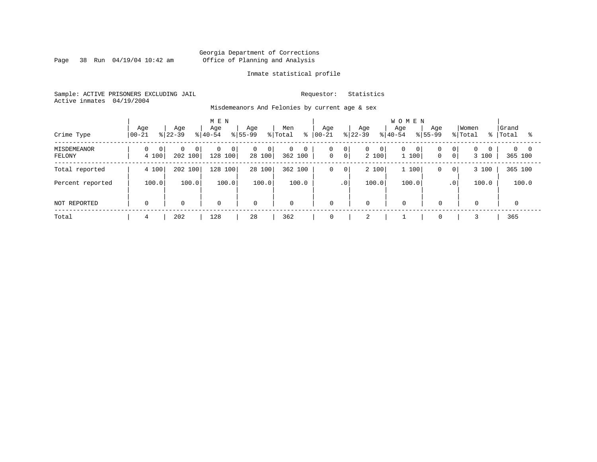Page 38 Run  $04/19/04$  10:42 am

### Inmate statistical profile

Sample: ACTIVE PRISONERS EXCLUDING JAIL Requestor: Statistics Active inmates 04/19/2004

Misdemeanors And Felonies by current age & sex

| Crime Type            | Age<br>$ 00-21$         | Age<br>$ 22-39 $                      | M E N<br>Age<br>$8 40-54$                 | Age<br>% Total<br>$ 55-99 $                | Men<br>៖          | Aqe<br>$ 00 - 21 $   | Age<br>$8 22-39$                        | <b>WOMEN</b><br>Age<br>Age<br>$8 40-54$<br>$8155 - 99$ | Women<br>% Total<br>- န ၂                                               | Grand<br>Total<br>°≈   |
|-----------------------|-------------------------|---------------------------------------|-------------------------------------------|--------------------------------------------|-------------------|----------------------|-----------------------------------------|--------------------------------------------------------|-------------------------------------------------------------------------|------------------------|
| MISDEMEANOR<br>FELONY | $\overline{0}$<br>4 100 | $\Omega$<br>0 <sup>1</sup><br>202 100 | $\mathbf{0}$<br>$\overline{0}$<br>128 100 | $\overline{0}$<br>0 <sup>1</sup><br>28 100 | 0<br>0<br>362 100 | 0<br> 0 <br> 0 <br>0 | $\overline{0}$<br>$\mathbf{0}$<br>2 100 | 0<br>0<br>0 <sup>1</sup><br>1 100<br>$\mathbf 0$       | $\overline{0}$<br>0 <sup>1</sup><br>$\Omega$<br>$\overline{0}$<br>3 100 | $0 \quad 0$<br>365 100 |
| Total reported        | 4 100                   | 202 100                               | 100<br>128                                | 28 100                                     | 362 100           | 0<br>$\mathbf 0$     | 2 100                                   | 1 100<br>0                                             | 3 100<br>$\mathbf{0}$                                                   | 365 100                |
| Percent reported      | 100.0                   | 100.0                                 | 100.0                                     | 100.0                                      | 100.0             | $\cdot$ 0            | 100.0                                   | 100.0                                                  | 100.0<br>.0 <sup>1</sup>                                                | 100.0                  |
| NOT REPORTED          | $\mathbf 0$             | $\mathbf 0$                           | $\mathbf 0$                               | $\mathbf 0$                                | $\mathbf{0}$      | $\mathbf 0$          | $\mathbf 0$                             | $\mathbf 0$<br>$\Omega$                                | $\mathbf 0$                                                             |                        |
| Total                 | 4                       | 202                                   | 128                                       | 28                                         | 362               | 0                    | $\bigcap$<br>∠                          | $\mathbf 0$                                            |                                                                         | 365                    |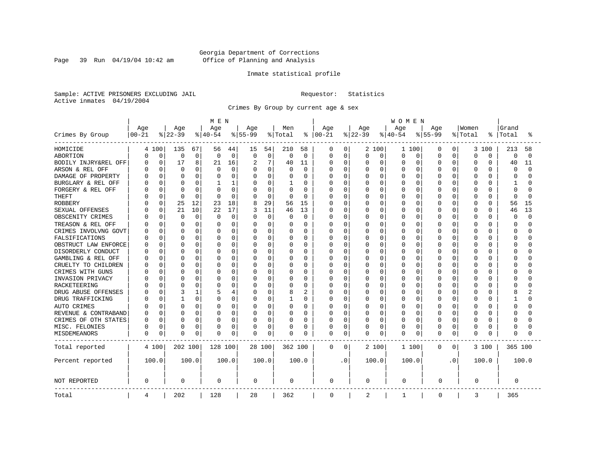Page 39 Run  $04/19/04$  10:42 am

### Inmate statistical profile

Sample: ACTIVE PRISONERS EXCLUDING JAIL Requestor: Statistics Active inmates 04/19/2004

Crimes By Group by current age & sex

|                      |           |             |              |          | MEN      |              |                |          |          | <b>WOMEN</b>   |             |             |          |             |           |             |           |           |          |              |          |          |
|----------------------|-----------|-------------|--------------|----------|----------|--------------|----------------|----------|----------|----------------|-------------|-------------|----------|-------------|-----------|-------------|-----------|-----------|----------|--------------|----------|----------|
|                      | Age       |             | Age          |          | Age      |              | Age            |          | Men      |                | Age         |             | Age      |             | Age       |             | Age       |           | Women    |              | Grand    |          |
| Crimes By Group      | $00 - 21$ |             | $ 22-39$     |          | $ 40-54$ |              | $8 55-99$      |          | % Total  | ႜ              | $ 00 - 21$  |             | $ 22-39$ |             | $8 40-54$ |             | $8 55-99$ |           | % Total  | °            | Total    | °        |
| HOMICIDE             |           | 4 100       | 135          | 67       | 56       | 44           | 15             | 54       | 210      | 58             | 0           | 0           |          | 2 100       | 1 100     |             | 0         | 0         | 3        | 100          | 213      | 58       |
| ABORTION             | 0         | $\mathbf 0$ | 0            | 0        | 0        | $\mathbf 0$  | 0              | 0        | $\Omega$ | $\mathbf 0$    | 0           | $\mathbf 0$ | 0        | 0           | 0         | 0           | $\Omega$  | 0         | $\Omega$ | 0            | 0        | $\Omega$ |
| BODILY INJRY&REL OFF | U         | 0           | 17           | 8        | 21       | 16           | $\overline{2}$ | 7        | 40       | 11             | 0           | $\mathbf 0$ | 0        | $\mathbf 0$ | 0         | 0           | 0         | 0         | $\Omega$ | 0            | 40       | 11       |
| ARSON & REL OFF      |           | 0           | 0            | 0        | 0        | $\mathbf 0$  | 0              | 0        | 0        | $\mathbf 0$    | 0           | $\mathbf 0$ | 0        | $\mathbf 0$ | $\Omega$  | 0           | $\Omega$  | O         | $\Omega$ | 0            | 0        | $\cap$   |
| DAMAGE OF PROPERTY   |           | $\Omega$    | <sup>0</sup> | $\Omega$ |          | $\Omega$     | $\Omega$       | 0        |          | $\Omega$       | O           | $\Omega$    | U        | $\Omega$    | O         | $\Omega$    | $\Omega$  | U         | $\Omega$ | O            | $\Omega$ |          |
| BURGLARY & REL OFF   |           | $\Omega$    | $\Omega$     | 0        | ı        | $\mathbf{1}$ | 0              | 0        |          | $\Omega$       | 0           | $\mathbf 0$ | 0        | $\Omega$    | 0         | $\Omega$    | $\Omega$  | 0         | $\Omega$ | $\Omega$     | 1        |          |
| FORGERY & REL OFF    |           | $\Omega$    | C            | 0        |          | $\mathbf 0$  | 0              | 0        | $\Omega$ | $\Omega$       | 0           | $\mathbf 0$ | C        | $\Omega$    | 0         | $\mathbf 0$ | $\Omega$  | 0         | $\Omega$ | $\Omega$     | $\Omega$ |          |
| <b>THEFT</b>         |           | $\Omega$    | $\Omega$     | $\Omega$ | $\Omega$ | $\Omega$     | $\Omega$       | $\Omega$ | $\Omega$ | $\Omega$       | Ω           | $\mathbf 0$ | 0        | $\Omega$    | 0         | $\Omega$    | $\Omega$  | 0         | $\Omega$ | O            | $\Omega$ | $\cap$   |
| <b>ROBBERY</b>       |           | $\Omega$    | 25           | 12       | 23       | 18           | 8              | 29       | 56       | 15             | 0           | 0           | Ω        | $\Omega$    | $\Omega$  | 0           | $\Omega$  | O         | $\Omega$ | $\Omega$     | 56       | 15       |
| SEXUAL OFFENSES      |           | $\Omega$    | 21           | 10       | 22       | 17           | 3              | 11       | 46       | 13             | 0           | $\mathbf 0$ | 0        | $\Omega$    | 0         | $\Omega$    | $\Omega$  | O         | $\Omega$ | $\Omega$     | 46       | 13       |
| OBSCENITY CRIMES     |           | $\Omega$    | $\Omega$     | 0        | $\Omega$ | $\mathbf 0$  | O              | 0        | $\Omega$ | $\Omega$       | Ω           | $\mathbf 0$ | U        | $\Omega$    | $\Omega$  | $\Omega$    | $\Omega$  | 0         | $\Omega$ | <sup>0</sup> | $\Omega$ | $\cap$   |
| TREASON & REL OFF    |           | $\Omega$    | 0            | 0        | O        | 0            | 0              | 0        | O        | $\Omega$       | 0           | 0           | 0        | $\Omega$    | O         | 0           | O         | 0         | 0        | U            | ∩        |          |
| CRIMES INVOLVNG GOVT |           | 0           | 0            | 0        |          | 0            | 0              | 0        |          | 0              | Ω           | $\mathbf 0$ | 0        | 0           | $\Omega$  | 0           | 0         | 0         | $\Omega$ | O            | $\Omega$ |          |
| FALSIFICATIONS       |           | $\Omega$    | $\Omega$     | 0        | O        | 0            | $\Omega$       | 0        | $\Omega$ | 0              | Ω           | 0           | 0        | 0           | O         | 0           | $\Omega$  | 0         | $\Omega$ | $\Omega$     | $\Omega$ |          |
| OBSTRUCT LAW ENFORCE | C         | $\Omega$    | 0            | 0        | O        | 0            | $\Omega$       | 0        | 0        | $\Omega$       | 0           | 0           | Ω        | $\Omega$    | 0         | $\Omega$    | $\Omega$  | O         | $\Omega$ | $\Omega$     | $\Omega$ |          |
| DISORDERLY CONDUCT   |           | $\Omega$    | $\bigcap$    | 0        | O        | 0            | $\Omega$       | 0        |          | 0              | Ω           | 0           | C        | $\Omega$    | O         | $\Omega$    | $\Omega$  | U         | $\Omega$ | $\Omega$     | C        |          |
| GAMBLING & REL OFF   |           | $\Omega$    | $\Omega$     | 0        | O        | 0            | O              | 0        | $\Omega$ | 0              | Ω           | 0           | 0        | $\Omega$    | 0         | $\Omega$    | $\Omega$  | 0         | $\Omega$ | U            | ∩        |          |
| CRUELTY TO CHILDREN  |           | 0           | $\Omega$     | 0        | O        | 0            | $\Omega$       | 0        | 0        | $\mathbf 0$    | Ω           | $\mathbf 0$ | 0        | 0           | 0         | $\Omega$    | $\Omega$  | 0         | $\Omega$ | $\Omega$     | $\Omega$ |          |
| CRIMES WITH GUNS     |           | $\Omega$    | C            | 0        |          | 0            | $\Omega$       | 0        |          | $\Omega$       | Ω           | 0           | 0        | $\Omega$    | 0         | 0           | $\Omega$  | O         | $\Omega$ | $\Omega$     | $\Omega$ |          |
| INVASION PRIVACY     |           | 0           | C            | 0        | O        | 0            | $\Omega$       | 0        | $\Omega$ | 0              | Ω           | 0           | 0        | $\Omega$    | 0         | $\Omega$    | $\Omega$  | 0         | $\Omega$ | O            | $\Omega$ |          |
| <b>RACKETEERING</b>  |           | 0           | $\bigcap$    | 0        | O        | 0            | 0              | 0        | 0        | $\mathbf 0$    | Ω           | $\mathbf 0$ | C        | $\Omega$    | 0         | $\Omega$    | $\Omega$  | O         | $\Omega$ | O            | C        |          |
| DRUG ABUSE OFFENSES  |           | $\Omega$    | 3            | 1        | 5        | 4            | $\Omega$       | 0        | 8        | $\overline{2}$ | Ω           | $\mathbf 0$ | 0        | $\Omega$    | 0         | 0           | $\Omega$  | 0         | $\Omega$ | $\cap$       | 8        |          |
| DRUG TRAFFICKING     |           | $\Omega$    | $\mathbf{1}$ | 0        | O        | $\Omega$     | $\Omega$       | 0        |          | $\Omega$       | 0           | $\mathbf 0$ | 0        | $\Omega$    | 0         | $\Omega$    | $\Omega$  | 0         | $\Omega$ | $\Omega$     | 1        |          |
| AUTO CRIMES          |           | $\Omega$    | $\Omega$     | 0        | O        | 0            | O              | 0        | 0        | $\Omega$       | 0           | $\mathbf 0$ | 0        | $\Omega$    | 0         | 0           | 0         | 0         | $\Omega$ | U            | $\Omega$ |          |
| REVENUE & CONTRABAND |           | 0           | $\Omega$     | 0        | O        | 0            | 0              | 0        | 0        | $\Omega$       | 0           | $\mathbf 0$ | 0        | 0           | 0         | 0           | $\Omega$  | 0         | $\Omega$ | $\Omega$     | $\Omega$ |          |
| CRIMES OF OTH STATES | U         | 0           | 0            | 0        | O        | 0            | 0              | 0        | $\Omega$ | 0              | Ω           | 0           | 0        | 0           | 0         | 0           | O         | 0         | 0        | $\Omega$     | $\Omega$ |          |
| MISC. FELONIES       | U         | 0           | 0            | 0        | 0        | 0            | 0              | 0        | 0        | 0              | 0           | 0           | 0        | 0           | 0         | 0           | $\Omega$  | O         | $\Omega$ | 0            | $\Omega$ |          |
| MISDEMEANORS         | 0         | 0           | C            | 0        | 0        | 0            | 0              | 0        | $\Omega$ | 0              | 0           | 0           | 0        | 0           | 0         | $\Omega$    | $\Omega$  | 0         | $\Omega$ | O            | $\Omega$ |          |
| Total reported       |           | 4 100       | 202 100      |          | 128 100  |              |                | 28 100   | 362 100  |                | 0           | 0           |          | 2 100       | 1 100     |             | 0         | 0         |          | 3 100        | 365 100  |          |
| Percent reported     |           | 100.0       |              | 100.0    |          | 100.0        |                | 100.0    |          | 100.0          |             | $\cdot$ 0   |          | 100.0       | 100.0     |             |           | $\cdot$ 0 |          | 100.0        |          | 100.0    |
| NOT REPORTED         | 0         |             | 0            |          | 0        |              | 0              |          | 0        |                | 0           |             | 0        |             | 0         |             | 0         |           | 0        |              | 0        |          |
| Total                | 4         |             | 202          |          | 128      |              | 28             |          | 362      |                | $\mathbf 0$ |             | 2        |             | 1         |             | 0         |           | 3        |              | 365      |          |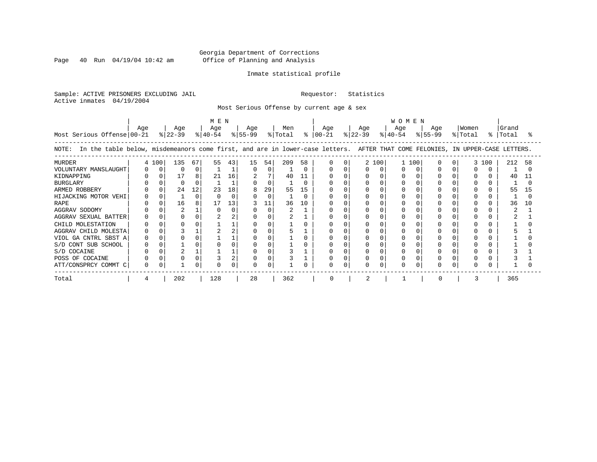Page 40 Run  $04/19/04$  10:42 am

### Inmate statistical profile

Sample: ACTIVE PRISONERS EXCLUDING JAIL Requestor: Statistics Active inmates 04/19/2004

Most Serious Offense by current age & sex

| Most Serious Offense 00-21                                                                                                                                                                                                                                          | Age |       | Age<br>$ 22-39 $                       |                              | MEN<br>Age<br>$ 40-54 $ |                                  | Age<br>$ 55-99 $ |                                                | Men<br>% Total        |                                     | Age<br>$8   00 - 21$ |   | Age<br>$ 22-39 $ |       | <b>WOMEN</b><br>Age<br>$8 40-54$ | Age<br>$8155 - 99$ | Women<br>% Total |       | Grand<br>%   Total    |          |
|---------------------------------------------------------------------------------------------------------------------------------------------------------------------------------------------------------------------------------------------------------------------|-----|-------|----------------------------------------|------------------------------|-------------------------|----------------------------------|------------------|------------------------------------------------|-----------------------|-------------------------------------|----------------------|---|------------------|-------|----------------------------------|--------------------|------------------|-------|-----------------------|----------|
| In the table below, misdemeanors come first, and are in lower-case letters. AFTER THAT COME FELONIES, IN UPPER-CASE LETTERS.<br>NOTE:                                                                                                                               |     |       |                                        |                              |                         |                                  |                  |                                                |                       |                                     |                      |   |                  |       |                                  |                    |                  |       |                       |          |
| <b>MURDER</b><br>VOLUNTARY MANSLAUGHT<br>KIDNAPPING<br><b>BURGLARY</b><br>ARMED ROBBERY<br>HIJACKING MOTOR VEHI<br><b>RAPE</b><br>AGGRAV SODOMY<br>AGGRAV SEXUAL BATTER<br>CHILD MOLESTATION<br>AGGRAV CHILD MOLESTA<br>VIOL GA CNTRL SBST A<br>S/D CONT SUB SCHOOL |     | 4 100 | 135<br>0<br>17<br>$\Omega$<br>24<br>16 | 67<br>0<br>8<br>12<br>O<br>8 | 55<br>21<br>23<br>17    | 43<br>16<br>18<br>$\Omega$<br>13 | 15<br>0          | 54<br>0<br>7<br>0<br>29<br>$\Omega$<br>11<br>O | 209<br>40<br>55<br>36 | 58<br>O<br>11<br>O<br>15<br>U<br>10 | 0<br>O               | O |                  | 2 100 | 1 100                            |                    |                  | 3 100 | 212<br>40<br>55<br>36 | 58<br>10 |
| S/D COCAINE<br>POSS OF COCAINE<br>ATT/CONSPRCY COMMT C                                                                                                                                                                                                              |     |       |                                        |                              |                         |                                  |                  |                                                |                       |                                     | 0                    |   |                  |       | O                                |                    |                  |       |                       |          |
| Total                                                                                                                                                                                                                                                               |     |       | 202                                    |                              | 128                     |                                  | 28               |                                                | 362                   |                                     | O                    |   |                  |       |                                  |                    |                  |       | 365                   |          |